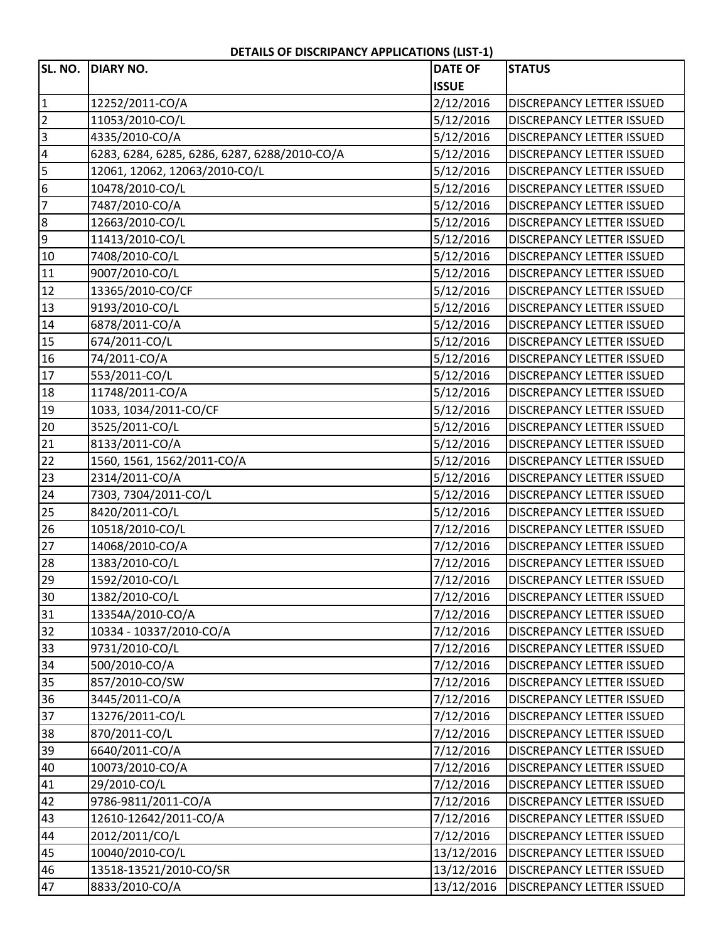## **DETAILS OF DISCRIPANCY APPLICATIONS (LIST‐1)**

|                 | SL. NO. DIARY NO.                            | <b>DATE OF</b> | <b>STATUS</b>                    |
|-----------------|----------------------------------------------|----------------|----------------------------------|
|                 |                                              | <b>ISSUE</b>   |                                  |
| $\overline{1}$  | 12252/2011-CO/A                              | 2/12/2016      | DISCREPANCY LETTER ISSUED        |
| $\overline{2}$  | 11053/2010-CO/L                              | 5/12/2016      | <b>DISCREPANCY LETTER ISSUED</b> |
| $\frac{1}{2}$   | 4335/2010-CO/A                               | 5/12/2016      | <b>DISCREPANCY LETTER ISSUED</b> |
|                 | 6283, 6284, 6285, 6286, 6287, 6288/2010-CO/A | 5/12/2016      | <b>DISCREPANCY LETTER ISSUED</b> |
| 5               | 12061, 12062, 12063/2010-CO/L                | 5/12/2016      | DISCREPANCY LETTER ISSUED        |
| $6\overline{6}$ | 10478/2010-CO/L                              | 5/12/2016      | DISCREPANCY LETTER ISSUED        |
| $\overline{7}$  | 7487/2010-CO/A                               | 5/12/2016      | <b>DISCREPANCY LETTER ISSUED</b> |
| ထ  တ            | 12663/2010-CO/L                              | 5/12/2016      | DISCREPANCY LETTER ISSUED        |
|                 | 11413/2010-CO/L                              | 5/12/2016      | DISCREPANCY LETTER ISSUED        |
| $\overline{10}$ | 7408/2010-CO/L                               | 5/12/2016      | DISCREPANCY LETTER ISSUED        |
| $\sqrt{11}$     | 9007/2010-CO/L                               | 5/12/2016      | <b>DISCREPANCY LETTER ISSUED</b> |
|                 | 13365/2010-CO/CF                             | 5/12/2016      | <b>DISCREPANCY LETTER ISSUED</b> |
| $\frac{12}{13}$ | 9193/2010-CO/L                               | 5/12/2016      | DISCREPANCY LETTER ISSUED        |
| 14              | 6878/2011-CO/A                               | 5/12/2016      | DISCREPANCY LETTER ISSUED        |
| 15              | 674/2011-CO/L                                | 5/12/2016      | DISCREPANCY LETTER ISSUED        |
| 16              | 74/2011-CO/A                                 | 5/12/2016      | DISCREPANCY LETTER ISSUED        |
| 17              | 553/2011-CO/L                                | 5/12/2016      | <b>DISCREPANCY LETTER ISSUED</b> |
| 18              | 11748/2011-CO/A                              | 5/12/2016      | DISCREPANCY LETTER ISSUED        |
| 19              | 1033, 1034/2011-CO/CF                        | 5/12/2016      | DISCREPANCY LETTER ISSUED        |
| 20              | 3525/2011-CO/L                               | 5/12/2016      | DISCREPANCY LETTER ISSUED        |
| $\overline{21}$ | 8133/2011-CO/A                               | 5/12/2016      | DISCREPANCY LETTER ISSUED        |
| 22              | 1560, 1561, 1562/2011-CO/A                   | 5/12/2016      | DISCREPANCY LETTER ISSUED        |
| 23              | 2314/2011-CO/A                               | 5/12/2016      | DISCREPANCY LETTER ISSUED        |
| 24              | 7303, 7304/2011-CO/L                         | 5/12/2016      | DISCREPANCY LETTER ISSUED        |
| 25              | 8420/2011-CO/L                               | 5/12/2016      | <b>DISCREPANCY LETTER ISSUED</b> |
| 26              | 10518/2010-CO/L                              | 7/12/2016      | DISCREPANCY LETTER ISSUED        |
| 27              | 14068/2010-CO/A                              | 7/12/2016      | <b>DISCREPANCY LETTER ISSUED</b> |
| 28              | 1383/2010-CO/L                               | 7/12/2016      | DISCREPANCY LETTER ISSUED        |
| 29              | 1592/2010-CO/L                               | 7/12/2016      | DISCREPANCY LETTER ISSUED        |
| 30              | 1382/2010-CO/L                               | 7/12/2016      | DISCREPANCY LETTER ISSUED        |
| 31              | 13354A/2010-CO/A                             | 7/12/2016      | DISCREPANCY LETTER ISSUED        |
| 32              | 10334 - 10337/2010-CO/A                      | 7/12/2016      | DISCREPANCY LETTER ISSUED        |
| 33              | 9731/2010-CO/L                               | 7/12/2016      | DISCREPANCY LETTER ISSUED        |
| 34              | 500/2010-CO/A                                | 7/12/2016      | DISCREPANCY LETTER ISSUED        |
| 35              | 857/2010-CO/SW                               | 7/12/2016      | DISCREPANCY LETTER ISSUED        |
| 36              | 3445/2011-CO/A                               | 7/12/2016      | DISCREPANCY LETTER ISSUED        |
| 37              | 13276/2011-CO/L                              | 7/12/2016      | DISCREPANCY LETTER ISSUED        |
| 38              | 870/2011-CO/L                                | 7/12/2016      | DISCREPANCY LETTER ISSUED        |
| 39              | 6640/2011-CO/A                               | 7/12/2016      | DISCREPANCY LETTER ISSUED        |
| 40              | 10073/2010-CO/A                              | 7/12/2016      | DISCREPANCY LETTER ISSUED        |
| 41              | 29/2010-CO/L                                 | 7/12/2016      | DISCREPANCY LETTER ISSUED        |
| 42              | 9786-9811/2011-CO/A                          | 7/12/2016      | DISCREPANCY LETTER ISSUED        |
| 43              | 12610-12642/2011-CO/A                        | 7/12/2016      | DISCREPANCY LETTER ISSUED        |
| 44              | 2012/2011/CO/L                               | 7/12/2016      | DISCREPANCY LETTER ISSUED        |
| 45              | 10040/2010-CO/L                              | 13/12/2016     | <b>DISCREPANCY LETTER ISSUED</b> |
| 46              | 13518-13521/2010-CO/SR                       | 13/12/2016     | <b>DISCREPANCY LETTER ISSUED</b> |
| 47              | 8833/2010-CO/A                               | 13/12/2016     | <b>DISCREPANCY LETTER ISSUED</b> |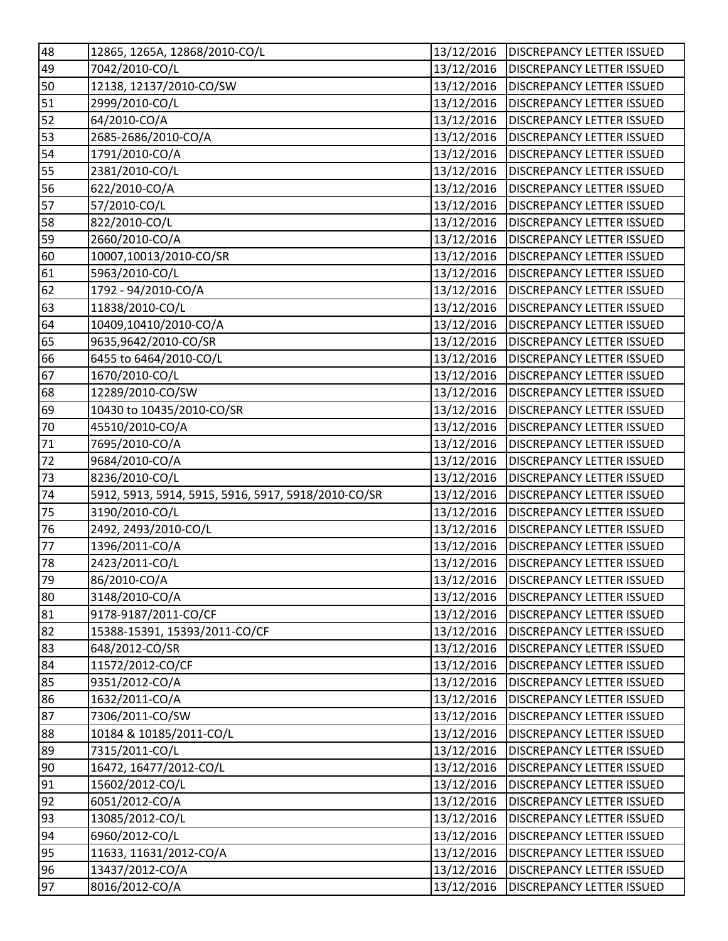| 48           | 12865, 1265A, 12868/2010-CO/L                       | 13/12/2016 | <b>DISCREPANCY LETTER ISSUED</b> |
|--------------|-----------------------------------------------------|------------|----------------------------------|
| 49           | 7042/2010-CO/L                                      | 13/12/2016 | <b>DISCREPANCY LETTER ISSUED</b> |
| 50           | 12138, 12137/2010-CO/SW                             | 13/12/2016 | <b>DISCREPANCY LETTER ISSUED</b> |
| 51           | 2999/2010-CO/L                                      | 13/12/2016 | <b>DISCREPANCY LETTER ISSUED</b> |
| 52           | 64/2010-CO/A                                        | 13/12/2016 | <b>DISCREPANCY LETTER ISSUED</b> |
| 53           | 2685-2686/2010-CO/A                                 | 13/12/2016 | <b>DISCREPANCY LETTER ISSUED</b> |
| 54           | 1791/2010-CO/A                                      | 13/12/2016 | <b>DISCREPANCY LETTER ISSUED</b> |
| 55           | 2381/2010-CO/L                                      | 13/12/2016 | <b>DISCREPANCY LETTER ISSUED</b> |
| 56           | 622/2010-CO/A                                       | 13/12/2016 | <b>DISCREPANCY LETTER ISSUED</b> |
| 57           | 57/2010-CO/L                                        | 13/12/2016 | <b>DISCREPANCY LETTER ISSUED</b> |
| 58           | 822/2010-CO/L                                       | 13/12/2016 | <b>DISCREPANCY LETTER ISSUED</b> |
| 59           | 2660/2010-CO/A                                      | 13/12/2016 | <b>DISCREPANCY LETTER ISSUED</b> |
| 60           | 10007,10013/2010-CO/SR                              | 13/12/2016 | <b>DISCREPANCY LETTER ISSUED</b> |
| 61           | 5963/2010-CO/L                                      | 13/12/2016 | <b>DISCREPANCY LETTER ISSUED</b> |
| 62           | 1792 - 94/2010-CO/A                                 | 13/12/2016 | <b>DISCREPANCY LETTER ISSUED</b> |
| 63           | 11838/2010-CO/L                                     | 13/12/2016 | <b>DISCREPANCY LETTER ISSUED</b> |
| 64           | 10409,10410/2010-CO/A                               | 13/12/2016 | <b>DISCREPANCY LETTER ISSUED</b> |
| 65           | 9635,9642/2010-CO/SR                                | 13/12/2016 | <b>DISCREPANCY LETTER ISSUED</b> |
| 66           | 6455 to 6464/2010-CO/L                              | 13/12/2016 | <b>DISCREPANCY LETTER ISSUED</b> |
| 67           | 1670/2010-CO/L                                      | 13/12/2016 | <b>DISCREPANCY LETTER ISSUED</b> |
| 68           | 12289/2010-CO/SW                                    | 13/12/2016 | <b>DISCREPANCY LETTER ISSUED</b> |
| 69           | 10430 to 10435/2010-CO/SR                           | 13/12/2016 | <b>DISCREPANCY LETTER ISSUED</b> |
| 70           | 45510/2010-CO/A                                     | 13/12/2016 | <b>DISCREPANCY LETTER ISSUED</b> |
| 71           | 7695/2010-CO/A                                      | 13/12/2016 | <b>DISCREPANCY LETTER ISSUED</b> |
| 72           | 9684/2010-CO/A                                      | 13/12/2016 | <b>DISCREPANCY LETTER ISSUED</b> |
| 73           | 8236/2010-CO/L                                      | 13/12/2016 | <b>DISCREPANCY LETTER ISSUED</b> |
| 74           | 5912, 5913, 5914, 5915, 5916, 5917, 5918/2010-CO/SR | 13/12/2016 | <b>DISCREPANCY LETTER ISSUED</b> |
| 75           | 3190/2010-CO/L                                      | 13/12/2016 | <b>DISCREPANCY LETTER ISSUED</b> |
| 76           | 2492, 2493/2010-CO/L                                | 13/12/2016 | <b>DISCREPANCY LETTER ISSUED</b> |
| $\boxed{77}$ | 1396/2011-CO/A                                      | 13/12/2016 | <b>DISCREPANCY LETTER ISSUED</b> |
| 78           | 2423/2011-CO/L                                      | 13/12/2016 | <b>DISCREPANCY LETTER ISSUED</b> |
| 79           | 86/2010-CO/A                                        | 13/12/2016 | <b>DISCREPANCY LETTER ISSUED</b> |
| 80           | 3148/2010-CO/A                                      | 13/12/2016 | <b>DISCREPANCY LETTER ISSUED</b> |
| 81           | 9178-9187/2011-CO/CF                                | 13/12/2016 | <b>DISCREPANCY LETTER ISSUED</b> |
| 82           | 15388-15391, 15393/2011-CO/CF                       | 13/12/2016 | <b>DISCREPANCY LETTER ISSUED</b> |
| 83           | 648/2012-CO/SR                                      | 13/12/2016 | <b>DISCREPANCY LETTER ISSUED</b> |
| 84           | 11572/2012-CO/CF                                    | 13/12/2016 | <b>DISCREPANCY LETTER ISSUED</b> |
| 85           | 9351/2012-CO/A                                      | 13/12/2016 | <b>DISCREPANCY LETTER ISSUED</b> |
| 86           | 1632/2011-CO/A                                      | 13/12/2016 | DISCREPANCY LETTER ISSUED        |
| 87           | 7306/2011-CO/SW                                     | 13/12/2016 | <b>DISCREPANCY LETTER ISSUED</b> |
| 88           | 10184 & 10185/2011-CO/L                             | 13/12/2016 | <b>DISCREPANCY LETTER ISSUED</b> |
| 89           | 7315/2011-CO/L                                      | 13/12/2016 | <b>DISCREPANCY LETTER ISSUED</b> |
| 90           | 16472, 16477/2012-CO/L                              | 13/12/2016 | DISCREPANCY LETTER ISSUED        |
| 91           | 15602/2012-CO/L                                     | 13/12/2016 | <b>DISCREPANCY LETTER ISSUED</b> |
| 92           | 6051/2012-CO/A                                      | 13/12/2016 | <b>DISCREPANCY LETTER ISSUED</b> |
| 93           | 13085/2012-CO/L                                     | 13/12/2016 | <b>DISCREPANCY LETTER ISSUED</b> |
| 94           | 6960/2012-CO/L                                      | 13/12/2016 | <b>DISCREPANCY LETTER ISSUED</b> |
| 95           | 11633, 11631/2012-CO/A                              | 13/12/2016 | <b>DISCREPANCY LETTER ISSUED</b> |
| 96           | 13437/2012-CO/A                                     | 13/12/2016 | <b>DISCREPANCY LETTER ISSUED</b> |
| 97           | 8016/2012-CO/A                                      | 13/12/2016 | DISCREPANCY LETTER ISSUED        |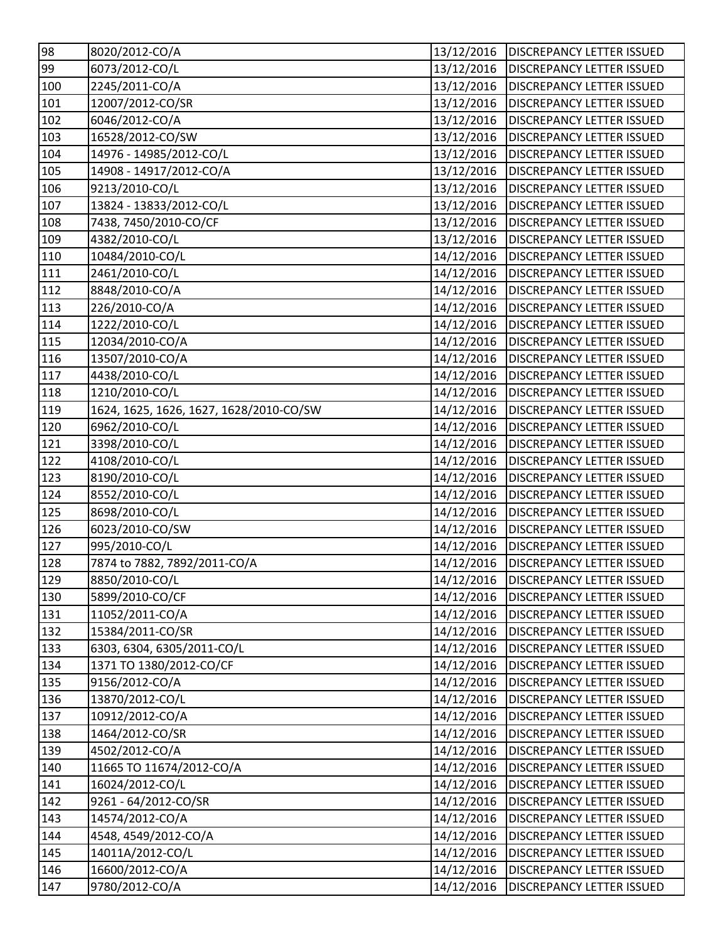| 98                | 8020/2012-CO/A                          | 13/12/2016 | <b>DISCREPANCY LETTER ISSUED</b>       |
|-------------------|-----------------------------------------|------------|----------------------------------------|
| 99                | 6073/2012-CO/L                          | 13/12/2016 | <b>DISCREPANCY LETTER ISSUED</b>       |
| 100               | 2245/2011-CO/A                          | 13/12/2016 | <b>DISCREPANCY LETTER ISSUED</b>       |
| 101               | 12007/2012-CO/SR                        | 13/12/2016 | <b>DISCREPANCY LETTER ISSUED</b>       |
| 102               | 6046/2012-CO/A                          | 13/12/2016 | <b>DISCREPANCY LETTER ISSUED</b>       |
| 103               | 16528/2012-CO/SW                        | 13/12/2016 | DISCREPANCY LETTER ISSUED              |
| 104               | 14976 - 14985/2012-CO/L                 | 13/12/2016 | <b>DISCREPANCY LETTER ISSUED</b>       |
| 105               | 14908 - 14917/2012-CO/A                 | 13/12/2016 | <b>DISCREPANCY LETTER ISSUED</b>       |
| 106               | 9213/2010-CO/L                          | 13/12/2016 | <b>DISCREPANCY LETTER ISSUED</b>       |
| 107               | 13824 - 13833/2012-CO/L                 | 13/12/2016 | <b>DISCREPANCY LETTER ISSUED</b>       |
| 108               | 7438, 7450/2010-CO/CF                   | 13/12/2016 | <b>DISCREPANCY LETTER ISSUED</b>       |
| 109               | 4382/2010-CO/L                          | 13/12/2016 | <b>DISCREPANCY LETTER ISSUED</b>       |
| 110               | 10484/2010-CO/L                         | 14/12/2016 | <b>DISCREPANCY LETTER ISSUED</b>       |
| $\overline{111}$  | 2461/2010-CO/L                          | 14/12/2016 | <b>DISCREPANCY LETTER ISSUED</b>       |
| 112               | 8848/2010-CO/A                          | 14/12/2016 | <b>DISCREPANCY LETTER ISSUED</b>       |
| $\overline{113}$  | 226/2010-CO/A                           | 14/12/2016 | <b>DISCREPANCY LETTER ISSUED</b>       |
| 114               | 1222/2010-CO/L                          | 14/12/2016 | <b>DISCREPANCY LETTER ISSUED</b>       |
| $\overline{1}$ 15 | 12034/2010-CO/A                         | 14/12/2016 | <b>DISCREPANCY LETTER ISSUED</b>       |
| 116               | 13507/2010-CO/A                         | 14/12/2016 | <b>DISCREPANCY LETTER ISSUED</b>       |
| 117               | 4438/2010-CO/L                          | 14/12/2016 | <b>DISCREPANCY LETTER ISSUED</b>       |
| 118               | 1210/2010-CO/L                          | 14/12/2016 | <b>DISCREPANCY LETTER ISSUED</b>       |
| 119               | 1624, 1625, 1626, 1627, 1628/2010-CO/SW | 14/12/2016 | <b>DISCREPANCY LETTER ISSUED</b>       |
| 120               | 6962/2010-CO/L                          | 14/12/2016 | <b>DISCREPANCY LETTER ISSUED</b>       |
| 121               | 3398/2010-CO/L                          | 14/12/2016 | <b>DISCREPANCY LETTER ISSUED</b>       |
| 122               | 4108/2010-CO/L                          | 14/12/2016 | <b>DISCREPANCY LETTER ISSUED</b>       |
| $\overline{1}$ 23 | 8190/2010-CO/L                          | 14/12/2016 | <b>DISCREPANCY LETTER ISSUED</b>       |
| 124               | 8552/2010-CO/L                          | 14/12/2016 | <b>DISCREPANCY LETTER ISSUED</b>       |
| 125               | 8698/2010-CO/L                          | 14/12/2016 | <b>DISCREPANCY LETTER ISSUED</b>       |
| 126               | 6023/2010-CO/SW                         | 14/12/2016 | <b>DISCREPANCY LETTER ISSUED</b>       |
| 127               | 995/2010-CO/L                           | 14/12/2016 | <b>DISCREPANCY LETTER ISSUED</b>       |
| 128               | 7874 to 7882, 7892/2011-CO/A            | 14/12/2016 | <b>DISCREPANCY LETTER ISSUED</b>       |
| 129               | 8850/2010-CO/L                          |            | 14/12/2016   DISCREPANCY LETTER ISSUED |
| 130               | 5899/2010-CO/CF                         | 14/12/2016 | <b>DISCREPANCY LETTER ISSUED</b>       |
| 131               | 11052/2011-CO/A                         | 14/12/2016 | <b>DISCREPANCY LETTER ISSUED</b>       |
| 132               | 15384/2011-CO/SR                        | 14/12/2016 | DISCREPANCY LETTER ISSUED              |
| 133               | 6303, 6304, 6305/2011-CO/L              | 14/12/2016 | <b>DISCREPANCY LETTER ISSUED</b>       |
| 134               | 1371 TO 1380/2012-CO/CF                 | 14/12/2016 | DISCREPANCY LETTER ISSUED              |
| 135               | 9156/2012-CO/A                          | 14/12/2016 | DISCREPANCY LETTER ISSUED              |
| 136               | 13870/2012-CO/L                         | 14/12/2016 | <b>DISCREPANCY LETTER ISSUED</b>       |
| 137               | 10912/2012-CO/A                         | 14/12/2016 | DISCREPANCY LETTER ISSUED              |
| 138               | 1464/2012-CO/SR                         | 14/12/2016 | <b>DISCREPANCY LETTER ISSUED</b>       |
| $\boxed{139}$     | 4502/2012-CO/A                          | 14/12/2016 | DISCREPANCY LETTER ISSUED              |
| 140               | 11665 TO 11674/2012-CO/A                | 14/12/2016 | DISCREPANCY LETTER ISSUED              |
| 141               | 16024/2012-CO/L                         | 14/12/2016 | DISCREPANCY LETTER ISSUED              |
| 142               | 9261 - 64/2012-CO/SR                    | 14/12/2016 | <b>DISCREPANCY LETTER ISSUED</b>       |
| 143               | 14574/2012-CO/A                         | 14/12/2016 | DISCREPANCY LETTER ISSUED              |
| 144               | 4548, 4549/2012-CO/A                    | 14/12/2016 | DISCREPANCY LETTER ISSUED              |
| 145               | 14011A/2012-CO/L                        | 14/12/2016 | DISCREPANCY LETTER ISSUED              |
| 146               | 16600/2012-CO/A                         | 14/12/2016 | DISCREPANCY LETTER ISSUED              |
| 147               | 9780/2012-CO/A                          | 14/12/2016 | DISCREPANCY LETTER ISSUED              |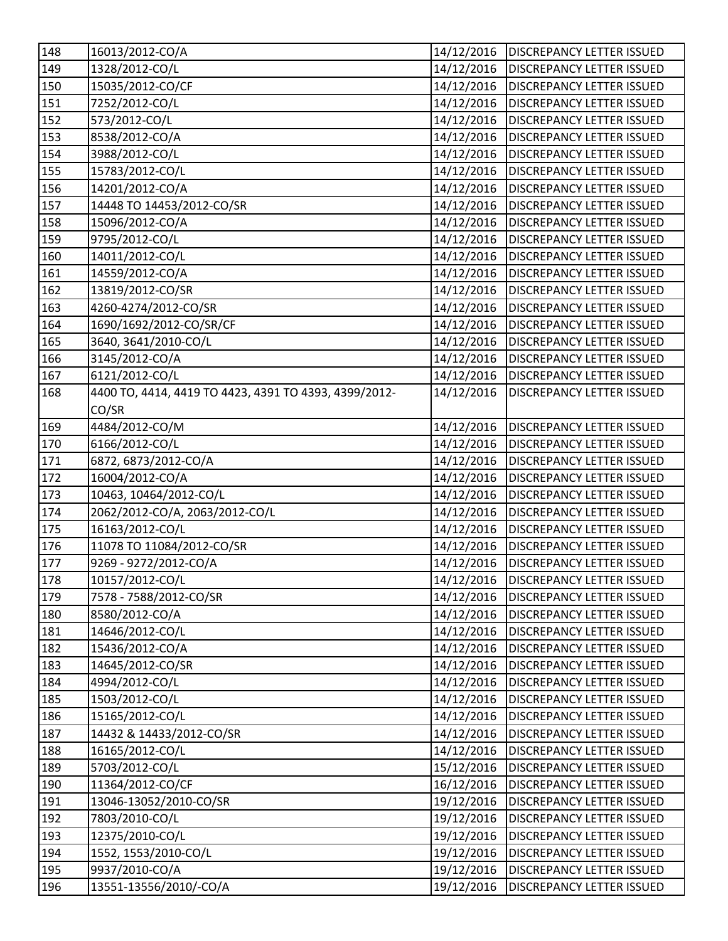| 148              | 16013/2012-CO/A                                       | 14/12/2016 | <b>DISCREPANCY LETTER ISSUED</b>       |
|------------------|-------------------------------------------------------|------------|----------------------------------------|
| 149              | 1328/2012-CO/L                                        | 14/12/2016 | <b>DISCREPANCY LETTER ISSUED</b>       |
| $\overline{150}$ | 15035/2012-CO/CF                                      | 14/12/2016 | <b>DISCREPANCY LETTER ISSUED</b>       |
| 151              | 7252/2012-CO/L                                        | 14/12/2016 | <b>DISCREPANCY LETTER ISSUED</b>       |
| 152              | 573/2012-CO/L                                         | 14/12/2016 | <b>DISCREPANCY LETTER ISSUED</b>       |
| 153              | 8538/2012-CO/A                                        | 14/12/2016 | DISCREPANCY LETTER ISSUED              |
| 154              | 3988/2012-CO/L                                        | 14/12/2016 | <b>DISCREPANCY LETTER ISSUED</b>       |
| 155              | 15783/2012-CO/L                                       | 14/12/2016 | <b>DISCREPANCY LETTER ISSUED</b>       |
| $\overline{156}$ | 14201/2012-CO/A                                       | 14/12/2016 | <b>DISCREPANCY LETTER ISSUED</b>       |
| 157              | 14448 TO 14453/2012-CO/SR                             | 14/12/2016 | <b>DISCREPANCY LETTER ISSUED</b>       |
| 158              | 15096/2012-CO/A                                       | 14/12/2016 | <b>DISCREPANCY LETTER ISSUED</b>       |
| 159              | 9795/2012-CO/L                                        | 14/12/2016 | <b>DISCREPANCY LETTER ISSUED</b>       |
| 160              | 14011/2012-CO/L                                       | 14/12/2016 | <b>DISCREPANCY LETTER ISSUED</b>       |
| $\overline{161}$ | 14559/2012-CO/A                                       | 14/12/2016 | <b>DISCREPANCY LETTER ISSUED</b>       |
| 162              | 13819/2012-CO/SR                                      | 14/12/2016 | <b>DISCREPANCY LETTER ISSUED</b>       |
| 163              | 4260-4274/2012-CO/SR                                  | 14/12/2016 | <b>DISCREPANCY LETTER ISSUED</b>       |
| 164              | 1690/1692/2012-CO/SR/CF                               | 14/12/2016 | <b>DISCREPANCY LETTER ISSUED</b>       |
| 165              | 3640, 3641/2010-CO/L                                  | 14/12/2016 | <b>DISCREPANCY LETTER ISSUED</b>       |
| 166              | 3145/2012-CO/A                                        | 14/12/2016 | DISCREPANCY LETTER ISSUED              |
| 167              | 6121/2012-CO/L                                        | 14/12/2016 | <b>DISCREPANCY LETTER ISSUED</b>       |
| 168              | 4400 TO, 4414, 4419 TO 4423, 4391 TO 4393, 4399/2012- | 14/12/2016 | DISCREPANCY LETTER ISSUED              |
|                  | CO/SR                                                 |            |                                        |
| 169              | 4484/2012-CO/M                                        | 14/12/2016 | <b>DISCREPANCY LETTER ISSUED</b>       |
| $\overline{170}$ | 6166/2012-CO/L                                        | 14/12/2016 | <b>DISCREPANCY LETTER ISSUED</b>       |
| 171              | 6872, 6873/2012-CO/A                                  | 14/12/2016 | <b>DISCREPANCY LETTER ISSUED</b>       |
| 172              | 16004/2012-CO/A                                       | 14/12/2016 | <b>DISCREPANCY LETTER ISSUED</b>       |
| 173              | 10463, 10464/2012-CO/L                                | 14/12/2016 | <b>DISCREPANCY LETTER ISSUED</b>       |
| 174              | 2062/2012-CO/A, 2063/2012-CO/L                        | 14/12/2016 | <b>DISCREPANCY LETTER ISSUED</b>       |
| $\overline{175}$ | 16163/2012-CO/L                                       | 14/12/2016 | <b>DISCREPANCY LETTER ISSUED</b>       |
| 176              | 11078 TO 11084/2012-CO/SR                             | 14/12/2016 | <b>DISCREPANCY LETTER ISSUED</b>       |
| 177              | 9269 - 9272/2012-CO/A                                 | 14/12/2016 | <b>DISCREPANCY LETTER ISSUED</b>       |
| 178              | 10157/2012-CO/L                                       |            | 14/12/2016   DISCREPANCY LETTER ISSUED |
| 179              | 7578 - 7588/2012-CO/SR                                | 14/12/2016 | <b>DISCREPANCY LETTER ISSUED</b>       |
| 180              | 8580/2012-CO/A                                        | 14/12/2016 | <b>DISCREPANCY LETTER ISSUED</b>       |
| 181              | 14646/2012-CO/L                                       | 14/12/2016 | DISCREPANCY LETTER ISSUED              |
| 182              | 15436/2012-CO/A                                       | 14/12/2016 | <b>DISCREPANCY LETTER ISSUED</b>       |
| 183              | 14645/2012-CO/SR                                      | 14/12/2016 | DISCREPANCY LETTER ISSUED              |
| 184              | 4994/2012-CO/L                                        | 14/12/2016 | DISCREPANCY LETTER ISSUED              |
| 185              | 1503/2012-CO/L                                        | 14/12/2016 | <b>DISCREPANCY LETTER ISSUED</b>       |
| 186              | 15165/2012-CO/L                                       | 14/12/2016 | DISCREPANCY LETTER ISSUED              |
| 187              | 14432 & 14433/2012-CO/SR                              | 14/12/2016 | <b>DISCREPANCY LETTER ISSUED</b>       |
| 188              | 16165/2012-CO/L                                       | 14/12/2016 | DISCREPANCY LETTER ISSUED              |
| 189              | 5703/2012-CO/L                                        | 15/12/2016 | DISCREPANCY LETTER ISSUED              |
| 190              | 11364/2012-CO/CF                                      | 16/12/2016 | DISCREPANCY LETTER ISSUED              |
| 191              | 13046-13052/2010-CO/SR                                | 19/12/2016 | DISCREPANCY LETTER ISSUED              |
| 192              | 7803/2010-CO/L                                        | 19/12/2016 | DISCREPANCY LETTER ISSUED              |
| 193              | 12375/2010-CO/L                                       | 19/12/2016 | DISCREPANCY LETTER ISSUED              |
| 194              | 1552, 1553/2010-CO/L                                  | 19/12/2016 | DISCREPANCY LETTER ISSUED              |
| 195              | 9937/2010-CO/A                                        | 19/12/2016 | DISCREPANCY LETTER ISSUED              |
| 196              | 13551-13556/2010/-CO/A                                | 19/12/2016 | DISCREPANCY LETTER ISSUED              |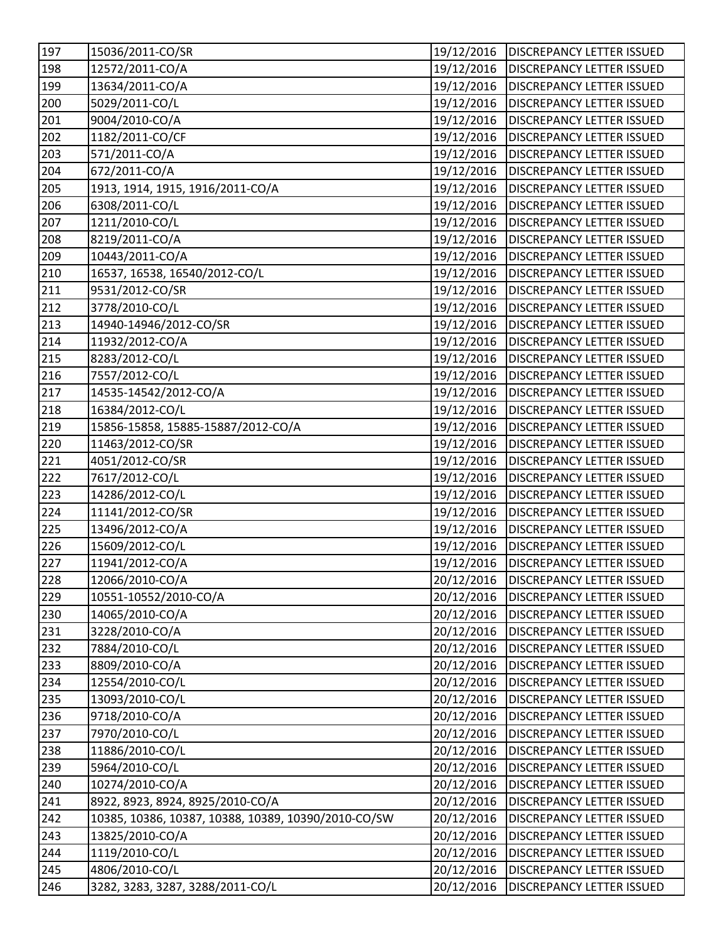| 197               | 15036/2011-CO/SR                                    | 19/12/2016 | <b>DISCREPANCY LETTER ISSUED</b>       |
|-------------------|-----------------------------------------------------|------------|----------------------------------------|
| 198               | 12572/2011-CO/A                                     | 19/12/2016 | <b>DISCREPANCY LETTER ISSUED</b>       |
| 199               | 13634/2011-CO/A                                     | 19/12/2016 | <b>DISCREPANCY LETTER ISSUED</b>       |
| 200               | 5029/2011-CO/L                                      | 19/12/2016 | <b>DISCREPANCY LETTER ISSUED</b>       |
| 201               | 9004/2010-CO/A                                      | 19/12/2016 | <b>DISCREPANCY LETTER ISSUED</b>       |
| 202               | 1182/2011-CO/CF                                     | 19/12/2016 | <b>DISCREPANCY LETTER ISSUED</b>       |
| 203               | 571/2011-CO/A                                       | 19/12/2016 | <b>DISCREPANCY LETTER ISSUED</b>       |
| 204               | 672/2011-CO/A                                       | 19/12/2016 | <b>DISCREPANCY LETTER ISSUED</b>       |
| 205               | 1913, 1914, 1915, 1916/2011-CO/A                    | 19/12/2016 | <b>DISCREPANCY LETTER ISSUED</b>       |
| 206               | 6308/2011-CO/L                                      | 19/12/2016 | <b>DISCREPANCY LETTER ISSUED</b>       |
| 207               | 1211/2010-CO/L                                      | 19/12/2016 | <b>DISCREPANCY LETTER ISSUED</b>       |
| 208               | 8219/2011-CO/A                                      | 19/12/2016 | <b>DISCREPANCY LETTER ISSUED</b>       |
| $\overline{2}09$  | 10443/2011-CO/A                                     | 19/12/2016 | <b>DISCREPANCY LETTER ISSUED</b>       |
| 210               | 16537, 16538, 16540/2012-CO/L                       | 19/12/2016 | <b>DISCREPANCY LETTER ISSUED</b>       |
| 211               | 9531/2012-CO/SR                                     | 19/12/2016 | <b>DISCREPANCY LETTER ISSUED</b>       |
| 212               | 3778/2010-CO/L                                      | 19/12/2016 | <b>DISCREPANCY LETTER ISSUED</b>       |
| 213               | 14940-14946/2012-CO/SR                              | 19/12/2016 | <b>DISCREPANCY LETTER ISSUED</b>       |
| 214               | 11932/2012-CO/A                                     | 19/12/2016 | <b>DISCREPANCY LETTER ISSUED</b>       |
| $\frac{215}{2}$   | 8283/2012-CO/L                                      | 19/12/2016 | <b>DISCREPANCY LETTER ISSUED</b>       |
| 216               | 7557/2012-CO/L                                      | 19/12/2016 | <b>DISCREPANCY LETTER ISSUED</b>       |
| 217               | 14535-14542/2012-CO/A                               | 19/12/2016 | <b>DISCREPANCY LETTER ISSUED</b>       |
| 218               | 16384/2012-CO/L                                     | 19/12/2016 | <b>DISCREPANCY LETTER ISSUED</b>       |
| 219               | 15856-15858, 15885-15887/2012-CO/A                  | 19/12/2016 | <b>DISCREPANCY LETTER ISSUED</b>       |
| 220               | 11463/2012-CO/SR                                    | 19/12/2016 | <b>DISCREPANCY LETTER ISSUED</b>       |
| 221               | 4051/2012-CO/SR                                     | 19/12/2016 | <b>DISCREPANCY LETTER ISSUED</b>       |
| $\overline{2}$ 22 | 7617/2012-CO/L                                      | 19/12/2016 | <b>DISCREPANCY LETTER ISSUED</b>       |
| $\overline{223}$  | 14286/2012-CO/L                                     | 19/12/2016 | <b>DISCREPANCY LETTER ISSUED</b>       |
| 224               | 11141/2012-CO/SR                                    | 19/12/2016 | <b>DISCREPANCY LETTER ISSUED</b>       |
| 225               | 13496/2012-CO/A                                     | 19/12/2016 | <b>DISCREPANCY LETTER ISSUED</b>       |
| 226               | 15609/2012-CO/L                                     | 19/12/2016 | <b>DISCREPANCY LETTER ISSUED</b>       |
| 227               | 11941/2012-CO/A                                     | 19/12/2016 | <b>DISCREPANCY LETTER ISSUED</b>       |
| 228               | 12066/2010-CO/A                                     |            | 20/12/2016   DISCREPANCY LETTER ISSUED |
| 229               | 10551-10552/2010-CO/A                               | 20/12/2016 | <b>DISCREPANCY LETTER ISSUED</b>       |
| 230               | 14065/2010-CO/A                                     | 20/12/2016 | <b>DISCREPANCY LETTER ISSUED</b>       |
| 231               | 3228/2010-CO/A                                      | 20/12/2016 | <b>DISCREPANCY LETTER ISSUED</b>       |
| 232               | 7884/2010-CO/L                                      | 20/12/2016 | <b>DISCREPANCY LETTER ISSUED</b>       |
| 233               | 8809/2010-CO/A                                      | 20/12/2016 | <b>DISCREPANCY LETTER ISSUED</b>       |
| 234               | 12554/2010-CO/L                                     | 20/12/2016 | <b>DISCREPANCY LETTER ISSUED</b>       |
| 235               | 13093/2010-CO/L                                     | 20/12/2016 | <b>DISCREPANCY LETTER ISSUED</b>       |
| 236               | 9718/2010-CO/A                                      | 20/12/2016 | <b>DISCREPANCY LETTER ISSUED</b>       |
| 237               | 7970/2010-CO/L                                      | 20/12/2016 | <b>DISCREPANCY LETTER ISSUED</b>       |
| 238               | 11886/2010-CO/L                                     | 20/12/2016 | <b>DISCREPANCY LETTER ISSUED</b>       |
| 239               | 5964/2010-CO/L                                      | 20/12/2016 | <b>DISCREPANCY LETTER ISSUED</b>       |
| 240               | 10274/2010-CO/A                                     | 20/12/2016 | DISCREPANCY LETTER ISSUED              |
| 241               | 8922, 8923, 8924, 8925/2010-CO/A                    | 20/12/2016 | DISCREPANCY LETTER ISSUED              |
| 242               | 10385, 10386, 10387, 10388, 10389, 10390/2010-CO/SW | 20/12/2016 | <b>DISCREPANCY LETTER ISSUED</b>       |
| 243               | 13825/2010-CO/A                                     | 20/12/2016 | DISCREPANCY LETTER ISSUED              |
| 244               | 1119/2010-CO/L                                      | 20/12/2016 | <b>DISCREPANCY LETTER ISSUED</b>       |
| 245               | 4806/2010-CO/L                                      | 20/12/2016 | DISCREPANCY LETTER ISSUED              |
| 246               | 3282, 3283, 3287, 3288/2011-CO/L                    | 20/12/2016 | DISCREPANCY LETTER ISSUED              |
|                   |                                                     |            |                                        |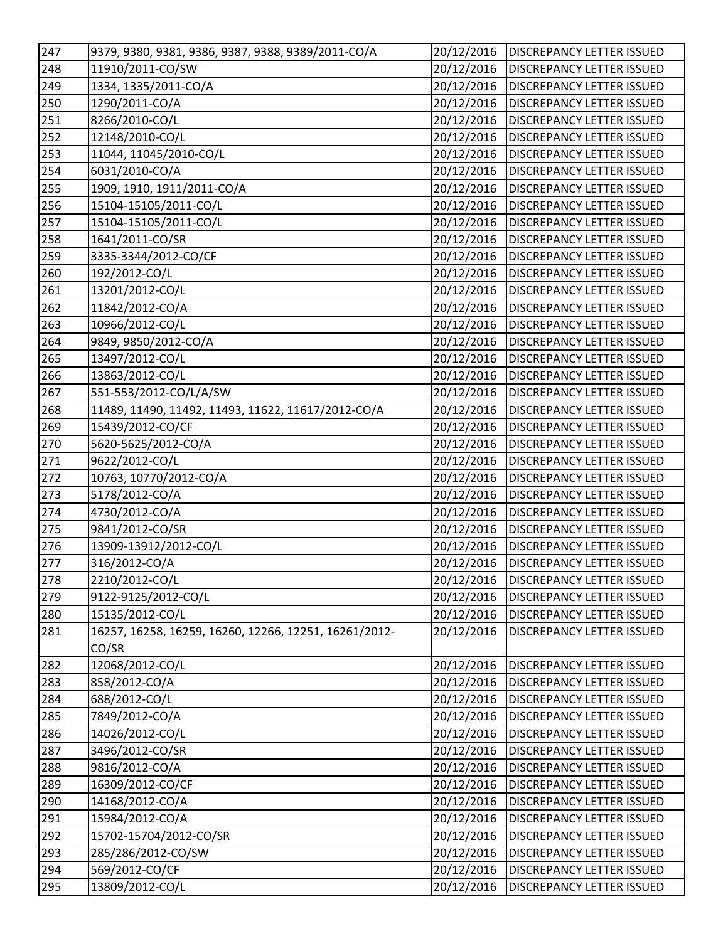| 247              | 9379, 9380, 9381, 9386, 9387, 9388, 9389/2011-CO/A    | 20/12/2016 | <b>DISCREPANCY LETTER ISSUED</b>       |
|------------------|-------------------------------------------------------|------------|----------------------------------------|
| 248              | 11910/2011-CO/SW                                      | 20/12/2016 | <b>DISCREPANCY LETTER ISSUED</b>       |
| 249              | 1334, 1335/2011-CO/A                                  | 20/12/2016 | <b>DISCREPANCY LETTER ISSUED</b>       |
| $\overline{250}$ | 1290/2011-CO/A                                        | 20/12/2016 | <b>DISCREPANCY LETTER ISSUED</b>       |
| 251              | 8266/2010-CO/L                                        | 20/12/2016 | <b>DISCREPANCY LETTER ISSUED</b>       |
| 252              | 12148/2010-CO/L                                       | 20/12/2016 | DISCREPANCY LETTER ISSUED              |
| 253              | 11044, 11045/2010-CO/L                                | 20/12/2016 | <b>DISCREPANCY LETTER ISSUED</b>       |
| 254              | 6031/2010-CO/A                                        | 20/12/2016 | <b>DISCREPANCY LETTER ISSUED</b>       |
| 255              | 1909, 1910, 1911/2011-CO/A                            | 20/12/2016 | <b>DISCREPANCY LETTER ISSUED</b>       |
| 256              | 15104-15105/2011-CO/L                                 | 20/12/2016 | <b>DISCREPANCY LETTER ISSUED</b>       |
| $\sqrt{257}$     | 15104-15105/2011-CO/L                                 | 20/12/2016 | <b>DISCREPANCY LETTER ISSUED</b>       |
| 258              | 1641/2011-CO/SR                                       | 20/12/2016 | <b>DISCREPANCY LETTER ISSUED</b>       |
| 259              | 3335-3344/2012-CO/CF                                  | 20/12/2016 | <b>DISCREPANCY LETTER ISSUED</b>       |
| 260              | 192/2012-CO/L                                         | 20/12/2016 | <b>DISCREPANCY LETTER ISSUED</b>       |
| 261              | 13201/2012-CO/L                                       | 20/12/2016 | <b>DISCREPANCY LETTER ISSUED</b>       |
| 262              | 11842/2012-CO/A                                       | 20/12/2016 | <b>DISCREPANCY LETTER ISSUED</b>       |
| 263              | 10966/2012-CO/L                                       | 20/12/2016 | <b>DISCREPANCY LETTER ISSUED</b>       |
| 264              | 9849, 9850/2012-CO/A                                  | 20/12/2016 | <b>DISCREPANCY LETTER ISSUED</b>       |
| 265              | 13497/2012-CO/L                                       | 20/12/2016 | <b>DISCREPANCY LETTER ISSUED</b>       |
| 266              | 13863/2012-CO/L                                       | 20/12/2016 | <b>DISCREPANCY LETTER ISSUED</b>       |
| 267              | 551-553/2012-CO/L/A/SW                                | 20/12/2016 | <b>DISCREPANCY LETTER ISSUED</b>       |
| 268              | 11489, 11490, 11492, 11493, 11622, 11617/2012-CO/A    | 20/12/2016 | <b>DISCREPANCY LETTER ISSUED</b>       |
| 269              | 15439/2012-CO/CF                                      | 20/12/2016 | <b>DISCREPANCY LETTER ISSUED</b>       |
| 270              | 5620-5625/2012-CO/A                                   | 20/12/2016 | <b>DISCREPANCY LETTER ISSUED</b>       |
| 271              | 9622/2012-CO/L                                        | 20/12/2016 | <b>DISCREPANCY LETTER ISSUED</b>       |
| $\overline{272}$ | 10763, 10770/2012-CO/A                                | 20/12/2016 | <b>DISCREPANCY LETTER ISSUED</b>       |
| $\overline{273}$ | 5178/2012-CO/A                                        | 20/12/2016 | <b>DISCREPANCY LETTER ISSUED</b>       |
| 274              | 4730/2012-CO/A                                        | 20/12/2016 | <b>DISCREPANCY LETTER ISSUED</b>       |
| 275              | 9841/2012-CO/SR                                       | 20/12/2016 | <b>DISCREPANCY LETTER ISSUED</b>       |
| 276              | 13909-13912/2012-CO/L                                 | 20/12/2016 | <b>DISCREPANCY LETTER ISSUED</b>       |
| 277              | 316/2012-CO/A                                         | 20/12/2016 | <b>DISCREPANCY LETTER ISSUED</b>       |
| 278              | 2210/2012-CO/L                                        |            | 20/12/2016   DISCREPANCY LETTER ISSUED |
| 279              | 9122-9125/2012-CO/L                                   | 20/12/2016 | <b>DISCREPANCY LETTER ISSUED</b>       |
| 280              | 15135/2012-CO/L                                       | 20/12/2016 | <b>DISCREPANCY LETTER ISSUED</b>       |
| 281              | 16257, 16258, 16259, 16260, 12266, 12251, 16261/2012- | 20/12/2016 | DISCREPANCY LETTER ISSUED              |
|                  | CO/SR                                                 |            |                                        |
| 282              | 12068/2012-CO/L                                       | 20/12/2016 | DISCREPANCY LETTER ISSUED              |
| 283              | 858/2012-CO/A                                         | 20/12/2016 | DISCREPANCY LETTER ISSUED              |
| 284              | 688/2012-CO/L                                         | 20/12/2016 | DISCREPANCY LETTER ISSUED              |
| 285              | 7849/2012-CO/A                                        | 20/12/2016 | DISCREPANCY LETTER ISSUED              |
| 286              | 14026/2012-CO/L                                       | 20/12/2016 | <b>DISCREPANCY LETTER ISSUED</b>       |
| 287              | 3496/2012-CO/SR                                       | 20/12/2016 | DISCREPANCY LETTER ISSUED              |
| 288              | 9816/2012-CO/A                                        | 20/12/2016 | DISCREPANCY LETTER ISSUED              |
| 289              | 16309/2012-CO/CF                                      | 20/12/2016 | DISCREPANCY LETTER ISSUED              |
| 290              | 14168/2012-CO/A                                       | 20/12/2016 | DISCREPANCY LETTER ISSUED              |
| 291              | 15984/2012-CO/A                                       | 20/12/2016 | DISCREPANCY LETTER ISSUED              |
| 292              | 15702-15704/2012-CO/SR                                | 20/12/2016 | DISCREPANCY LETTER ISSUED              |
| 293              | 285/286/2012-CO/SW                                    | 20/12/2016 | <b>DISCREPANCY LETTER ISSUED</b>       |
| 294              | 569/2012-CO/CF                                        | 20/12/2016 | DISCREPANCY LETTER ISSUED              |
| 295              | 13809/2012-CO/L                                       | 20/12/2016 | DISCREPANCY LETTER ISSUED              |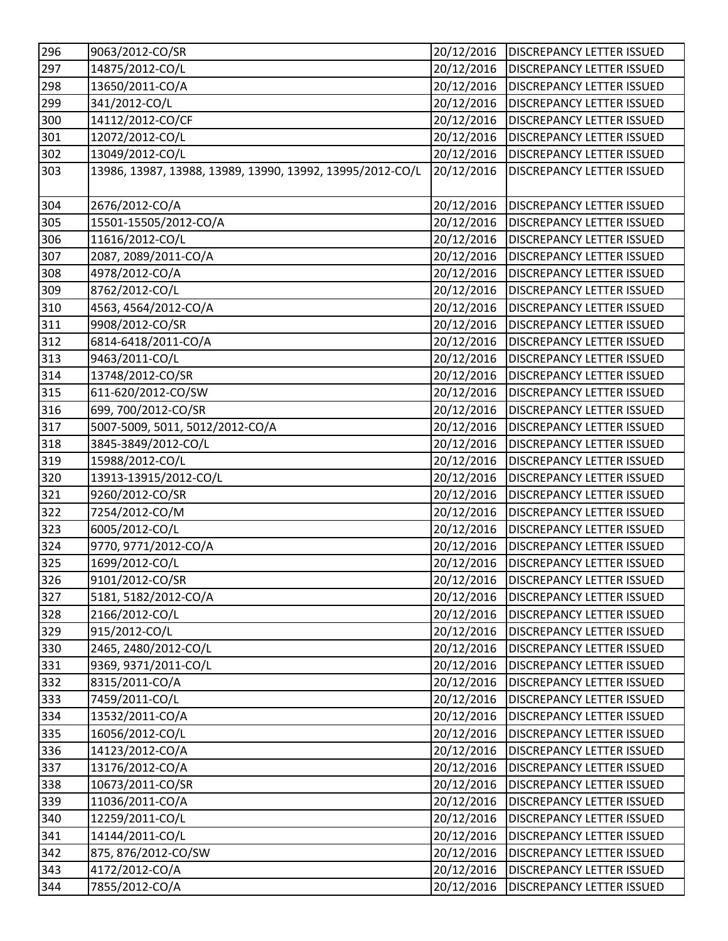| 296 | 9063/2012-CO/SR                                           | 20/12/2016           | <b>DISCREPANCY LETTER ISSUED</b> |
|-----|-----------------------------------------------------------|----------------------|----------------------------------|
| 297 | 14875/2012-CO/L                                           | 20/12/2016           | <b>DISCREPANCY LETTER ISSUED</b> |
| 298 | 13650/2011-CO/A                                           | 20/12/2016           | <b>DISCREPANCY LETTER ISSUED</b> |
| 299 | 341/2012-CO/L                                             | 20/12/2016           | <b>DISCREPANCY LETTER ISSUED</b> |
| 300 | 14112/2012-CO/CF                                          | 20/12/2016           | <b>DISCREPANCY LETTER ISSUED</b> |
| 301 | 12072/2012-CO/L                                           | 20/12/2016           | <b>DISCREPANCY LETTER ISSUED</b> |
| 302 | 13049/2012-CO/L                                           | 20/12/2016           | <b>DISCREPANCY LETTER ISSUED</b> |
| 303 | 13986, 13987, 13988, 13989, 13990, 13992, 13995/2012-CO/L | 20/12/2016           | <b>DISCREPANCY LETTER ISSUED</b> |
|     |                                                           |                      |                                  |
| 304 | 2676/2012-CO/A                                            | 20/12/2016           | <b>DISCREPANCY LETTER ISSUED</b> |
| 305 | 15501-15505/2012-CO/A                                     | 20/12/2016           | <b>DISCREPANCY LETTER ISSUED</b> |
| 306 | 11616/2012-CO/L                                           | 20/12/2016           | <b>DISCREPANCY LETTER ISSUED</b> |
| 307 | 2087, 2089/2011-CO/A                                      | 20/12/2016           | <b>DISCREPANCY LETTER ISSUED</b> |
| 308 | 4978/2012-CO/A                                            | 20/12/2016           | <b>DISCREPANCY LETTER ISSUED</b> |
| 309 | 8762/2012-CO/L                                            | 20/12/2016           | <b>DISCREPANCY LETTER ISSUED</b> |
| 310 | 4563, 4564/2012-CO/A                                      | 20/12/2016           | <b>DISCREPANCY LETTER ISSUED</b> |
| 311 | 9908/2012-CO/SR                                           | 20/12/2016           | <b>DISCREPANCY LETTER ISSUED</b> |
| 312 | 6814-6418/2011-CO/A                                       | 20/12/2016           | <b>DISCREPANCY LETTER ISSUED</b> |
| 313 | 9463/2011-CO/L                                            | 20/12/2016           | <b>DISCREPANCY LETTER ISSUED</b> |
| 314 | 13748/2012-CO/SR                                          | 20/12/2016           | <b>DISCREPANCY LETTER ISSUED</b> |
| 315 | 611-620/2012-CO/SW                                        | 20/12/2016           | <b>DISCREPANCY LETTER ISSUED</b> |
| 316 | 699, 700/2012-CO/SR                                       | 20/12/2016           | <b>DISCREPANCY LETTER ISSUED</b> |
| 317 | 5007-5009, 5011, 5012/2012-CO/A                           | 20/12/2016           | <b>DISCREPANCY LETTER ISSUED</b> |
| 318 | 3845-3849/2012-CO/L                                       | 20/12/2016           | <b>DISCREPANCY LETTER ISSUED</b> |
| 319 | 15988/2012-CO/L                                           | 20/12/2016           | <b>DISCREPANCY LETTER ISSUED</b> |
| 320 | 13913-13915/2012-CO/L                                     | 20/12/2016           | <b>DISCREPANCY LETTER ISSUED</b> |
| 321 | 9260/2012-CO/SR                                           | 20/12/2016           | <b>DISCREPANCY LETTER ISSUED</b> |
| 322 | 7254/2012-CO/M                                            | 20/12/2016           | <b>DISCREPANCY LETTER ISSUED</b> |
| 323 | 6005/2012-CO/L                                            | 20/12/2016           | <b>DISCREPANCY LETTER ISSUED</b> |
| 324 | 9770, 9771/2012-CO/A                                      | 20/12/2016           | <b>DISCREPANCY LETTER ISSUED</b> |
| 325 | 1699/2012-CO/L                                            | 20/12/2016           | <b>DISCREPANCY LETTER ISSUED</b> |
| 326 | 9101/2012-CO/SR                                           | $\frac{20}{12}/2016$ | <b>DISCREPANCY LETTER ISSUED</b> |
| 327 | 5181, 5182/2012-CO/A                                      | 20/12/2016           | <b>DISCREPANCY LETTER ISSUED</b> |
| 328 | 2166/2012-CO/L                                            | 20/12/2016           | <b>DISCREPANCY LETTER ISSUED</b> |
| 329 | 915/2012-CO/L                                             | 20/12/2016           | <b>DISCREPANCY LETTER ISSUED</b> |
| 330 | 2465, 2480/2012-CO/L                                      | 20/12/2016           | <b>DISCREPANCY LETTER ISSUED</b> |
| 331 | 9369, 9371/2011-CO/L                                      | 20/12/2016           | DISCREPANCY LETTER ISSUED        |
| 332 | 8315/2011-CO/A                                            | 20/12/2016           | <b>DISCREPANCY LETTER ISSUED</b> |
| 333 | 7459/2011-CO/L                                            | 20/12/2016           | DISCREPANCY LETTER ISSUED        |
| 334 | 13532/2011-CO/A                                           | 20/12/2016           | <b>DISCREPANCY LETTER ISSUED</b> |
| 335 | 16056/2012-CO/L                                           | 20/12/2016           | <b>DISCREPANCY LETTER ISSUED</b> |
| 336 | 14123/2012-CO/A                                           | 20/12/2016           | DISCREPANCY LETTER ISSUED        |
| 337 | 13176/2012-CO/A                                           | 20/12/2016           | DISCREPANCY LETTER ISSUED        |
| 338 | 10673/2011-CO/SR                                          | 20/12/2016           | DISCREPANCY LETTER ISSUED        |
| 339 | 11036/2011-CO/A                                           | 20/12/2016           | DISCREPANCY LETTER ISSUED        |
| 340 | 12259/2011-CO/L                                           | 20/12/2016           | <b>DISCREPANCY LETTER ISSUED</b> |
| 341 | 14144/2011-CO/L                                           | 20/12/2016           | DISCREPANCY LETTER ISSUED        |
| 342 | 875, 876/2012-CO/SW                                       | 20/12/2016           | DISCREPANCY LETTER ISSUED        |
| 343 | 4172/2012-CO/A                                            | 20/12/2016           | DISCREPANCY LETTER ISSUED        |
| 344 | 7855/2012-CO/A                                            | 20/12/2016           | DISCREPANCY LETTER ISSUED        |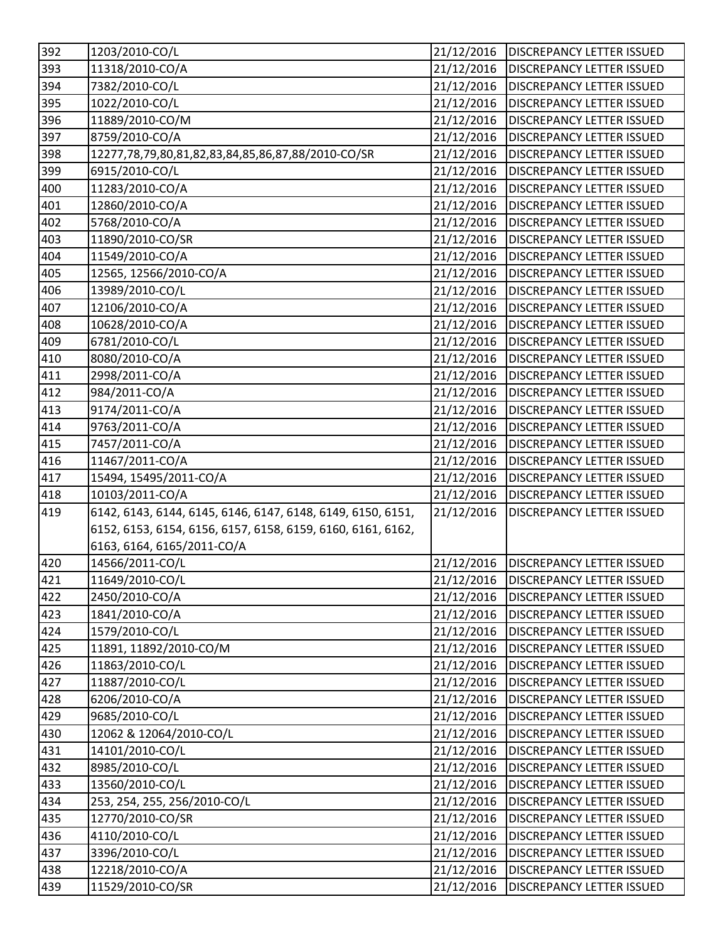| 392 | 1203/2010-CO/L                                              | 21/12/2016 | <b>DISCREPANCY LETTER ISSUED</b>       |
|-----|-------------------------------------------------------------|------------|----------------------------------------|
| 393 | 11318/2010-CO/A                                             | 21/12/2016 | <b>DISCREPANCY LETTER ISSUED</b>       |
| 394 | 7382/2010-CO/L                                              | 21/12/2016 | <b>DISCREPANCY LETTER ISSUED</b>       |
| 395 | 1022/2010-CO/L                                              | 21/12/2016 | <b>DISCREPANCY LETTER ISSUED</b>       |
| 396 | 11889/2010-CO/M                                             | 21/12/2016 | <b>DISCREPANCY LETTER ISSUED</b>       |
| 397 | 8759/2010-CO/A                                              | 21/12/2016 | <b>DISCREPANCY LETTER ISSUED</b>       |
| 398 | 12277,78,79,80,81,82,83,84,85,86,87,88/2010-CO/SR           | 21/12/2016 | <b>DISCREPANCY LETTER ISSUED</b>       |
| 399 | 6915/2010-CO/L                                              | 21/12/2016 | <b>DISCREPANCY LETTER ISSUED</b>       |
| 400 | 11283/2010-CO/A                                             | 21/12/2016 | <b>DISCREPANCY LETTER ISSUED</b>       |
| 401 | 12860/2010-CO/A                                             | 21/12/2016 | <b>DISCREPANCY LETTER ISSUED</b>       |
| 402 | 5768/2010-CO/A                                              | 21/12/2016 | <b>DISCREPANCY LETTER ISSUED</b>       |
| 403 | 11890/2010-CO/SR                                            | 21/12/2016 | <b>DISCREPANCY LETTER ISSUED</b>       |
| 404 | 11549/2010-CO/A                                             | 21/12/2016 | <b>DISCREPANCY LETTER ISSUED</b>       |
| 405 | 12565, 12566/2010-CO/A                                      | 21/12/2016 | <b>DISCREPANCY LETTER ISSUED</b>       |
| 406 | 13989/2010-CO/L                                             | 21/12/2016 | <b>DISCREPANCY LETTER ISSUED</b>       |
| 407 | 12106/2010-CO/A                                             | 21/12/2016 | <b>DISCREPANCY LETTER ISSUED</b>       |
| 408 | 10628/2010-CO/A                                             | 21/12/2016 | <b>DISCREPANCY LETTER ISSUED</b>       |
| 409 | 6781/2010-CO/L                                              | 21/12/2016 | <b>DISCREPANCY LETTER ISSUED</b>       |
| 410 | 8080/2010-CO/A                                              | 21/12/2016 | <b>DISCREPANCY LETTER ISSUED</b>       |
| 411 | 2998/2011-CO/A                                              | 21/12/2016 | <b>DISCREPANCY LETTER ISSUED</b>       |
| 412 | 984/2011-CO/A                                               | 21/12/2016 | <b>DISCREPANCY LETTER ISSUED</b>       |
| 413 | 9174/2011-CO/A                                              | 21/12/2016 | <b>DISCREPANCY LETTER ISSUED</b>       |
| 414 | 9763/2011-CO/A                                              | 21/12/2016 | <b>DISCREPANCY LETTER ISSUED</b>       |
| 415 | 7457/2011-CO/A                                              | 21/12/2016 | <b>DISCREPANCY LETTER ISSUED</b>       |
| 416 | 11467/2011-CO/A                                             | 21/12/2016 | <b>DISCREPANCY LETTER ISSUED</b>       |
| 417 | 15494, 15495/2011-CO/A                                      | 21/12/2016 | <b>DISCREPANCY LETTER ISSUED</b>       |
| 418 | 10103/2011-CO/A                                             | 21/12/2016 | <b>DISCREPANCY LETTER ISSUED</b>       |
| 419 | 6142, 6143, 6144, 6145, 6146, 6147, 6148, 6149, 6150, 6151, | 21/12/2016 | <b>DISCREPANCY LETTER ISSUED</b>       |
|     | 6152, 6153, 6154, 6156, 6157, 6158, 6159, 6160, 6161, 6162, |            |                                        |
|     | 6163, 6164, 6165/2011-CO/A                                  |            |                                        |
| 420 | 14566/2011-CO/L                                             | 21/12/2016 | <b>DISCREPANCY LETTER ISSUED</b>       |
| 421 | 11649/2010-CO/L                                             |            | 21/12/2016   DISCREPANCY LETTER ISSUED |
| 422 | 2450/2010-CO/A                                              | 21/12/2016 | <b>DISCREPANCY LETTER ISSUED</b>       |
| 423 | 1841/2010-CO/A                                              | 21/12/2016 | <b>DISCREPANCY LETTER ISSUED</b>       |
| 424 | 1579/2010-CO/L                                              | 21/12/2016 | <b>DISCREPANCY LETTER ISSUED</b>       |
| 425 | 11891, 11892/2010-CO/M                                      | 21/12/2016 | <b>DISCREPANCY LETTER ISSUED</b>       |
| 426 | 11863/2010-CO/L                                             | 21/12/2016 | <b>DISCREPANCY LETTER ISSUED</b>       |
| 427 | 11887/2010-CO/L                                             | 21/12/2016 | <b>DISCREPANCY LETTER ISSUED</b>       |
| 428 | 6206/2010-CO/A                                              | 21/12/2016 | DISCREPANCY LETTER ISSUED              |
| 429 | 9685/2010-CO/L                                              | 21/12/2016 | <b>DISCREPANCY LETTER ISSUED</b>       |
| 430 | 12062 & 12064/2010-CO/L                                     | 21/12/2016 | <b>DISCREPANCY LETTER ISSUED</b>       |
| 431 | 14101/2010-CO/L                                             | 21/12/2016 | <b>DISCREPANCY LETTER ISSUED</b>       |
| 432 | 8985/2010-CO/L                                              | 21/12/2016 | <b>DISCREPANCY LETTER ISSUED</b>       |
| 433 | 13560/2010-CO/L                                             | 21/12/2016 | <b>DISCREPANCY LETTER ISSUED</b>       |
| 434 | 253, 254, 255, 256/2010-CO/L                                | 21/12/2016 | <b>DISCREPANCY LETTER ISSUED</b>       |
| 435 | 12770/2010-CO/SR                                            | 21/12/2016 | <b>DISCREPANCY LETTER ISSUED</b>       |
| 436 | 4110/2010-CO/L                                              | 21/12/2016 | DISCREPANCY LETTER ISSUED              |
| 437 | 3396/2010-CO/L                                              | 21/12/2016 | <b>DISCREPANCY LETTER ISSUED</b>       |
| 438 | 12218/2010-CO/A                                             | 21/12/2016 | <b>DISCREPANCY LETTER ISSUED</b>       |
| 439 | 11529/2010-CO/SR                                            | 21/12/2016 | DISCREPANCY LETTER ISSUED              |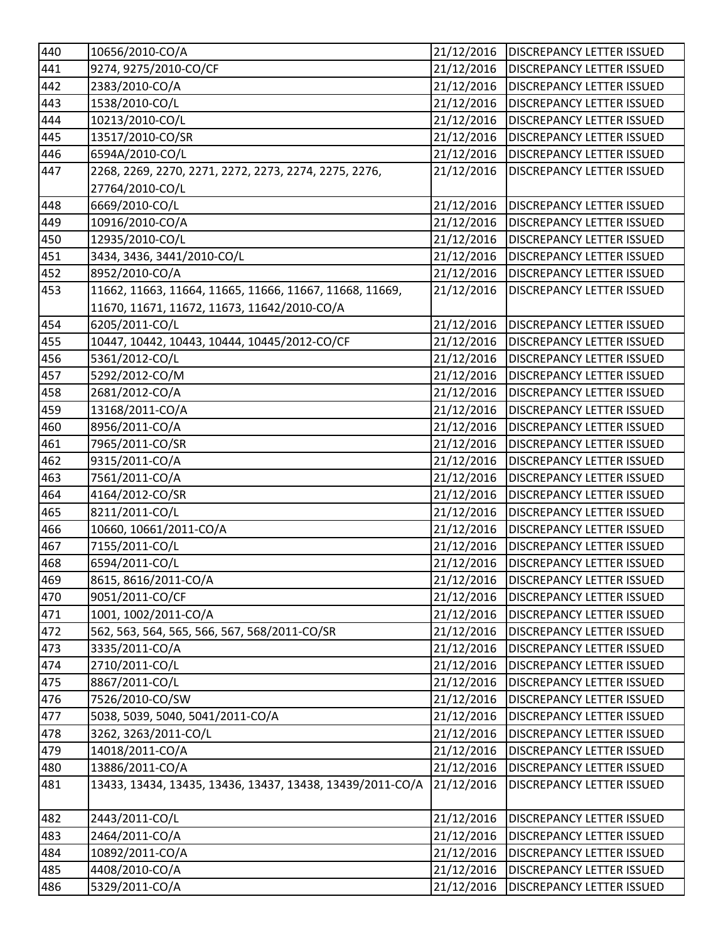| 440 | 10656/2010-CO/A                                           | 21/12/2016 | <b>DISCREPANCY LETTER ISSUED</b>       |
|-----|-----------------------------------------------------------|------------|----------------------------------------|
| 441 | 9274, 9275/2010-CO/CF                                     | 21/12/2016 | <b>DISCREPANCY LETTER ISSUED</b>       |
| 442 | 2383/2010-CO/A                                            | 21/12/2016 | <b>DISCREPANCY LETTER ISSUED</b>       |
| 443 | 1538/2010-CO/L                                            | 21/12/2016 | <b>DISCREPANCY LETTER ISSUED</b>       |
| 444 | 10213/2010-CO/L                                           | 21/12/2016 | <b>DISCREPANCY LETTER ISSUED</b>       |
| 445 | 13517/2010-CO/SR                                          | 21/12/2016 | <b>DISCREPANCY LETTER ISSUED</b>       |
| 446 | 6594A/2010-CO/L                                           | 21/12/2016 | <b>DISCREPANCY LETTER ISSUED</b>       |
| 447 | 2268, 2269, 2270, 2271, 2272, 2273, 2274, 2275, 2276,     | 21/12/2016 | <b>DISCREPANCY LETTER ISSUED</b>       |
|     | 27764/2010-CO/L                                           |            |                                        |
| 448 | 6669/2010-CO/L                                            | 21/12/2016 | <b>DISCREPANCY LETTER ISSUED</b>       |
| 449 | 10916/2010-CO/A                                           | 21/12/2016 | <b>DISCREPANCY LETTER ISSUED</b>       |
| 450 | 12935/2010-CO/L                                           | 21/12/2016 | <b>DISCREPANCY LETTER ISSUED</b>       |
| 451 | 3434, 3436, 3441/2010-CO/L                                | 21/12/2016 | <b>DISCREPANCY LETTER ISSUED</b>       |
| 452 | 8952/2010-CO/A                                            | 21/12/2016 | <b>DISCREPANCY LETTER ISSUED</b>       |
| 453 | 11662, 11663, 11664, 11665, 11666, 11667, 11668, 11669,   | 21/12/2016 | <b>DISCREPANCY LETTER ISSUED</b>       |
|     | 11670, 11671, 11672, 11673, 11642/2010-CO/A               |            |                                        |
| 454 | 6205/2011-CO/L                                            | 21/12/2016 | <b>DISCREPANCY LETTER ISSUED</b>       |
| 455 | 10447, 10442, 10443, 10444, 10445/2012-CO/CF              | 21/12/2016 | <b>DISCREPANCY LETTER ISSUED</b>       |
| 456 | 5361/2012-CO/L                                            | 21/12/2016 | <b>DISCREPANCY LETTER ISSUED</b>       |
| 457 | 5292/2012-CO/M                                            | 21/12/2016 | <b>DISCREPANCY LETTER ISSUED</b>       |
| 458 | 2681/2012-CO/A                                            | 21/12/2016 | <b>DISCREPANCY LETTER ISSUED</b>       |
| 459 | 13168/2011-CO/A                                           | 21/12/2016 | <b>DISCREPANCY LETTER ISSUED</b>       |
| 460 | 8956/2011-CO/A                                            | 21/12/2016 | <b>DISCREPANCY LETTER ISSUED</b>       |
| 461 | 7965/2011-CO/SR                                           | 21/12/2016 | <b>DISCREPANCY LETTER ISSUED</b>       |
| 462 | 9315/2011-CO/A                                            | 21/12/2016 | <b>DISCREPANCY LETTER ISSUED</b>       |
| 463 | 7561/2011-CO/A                                            | 21/12/2016 | <b>DISCREPANCY LETTER ISSUED</b>       |
| 464 | 4164/2012-CO/SR                                           | 21/12/2016 | <b>DISCREPANCY LETTER ISSUED</b>       |
| 465 | 8211/2011-CO/L                                            | 21/12/2016 | <b>DISCREPANCY LETTER ISSUED</b>       |
| 466 | 10660, 10661/2011-CO/A                                    | 21/12/2016 | <b>DISCREPANCY LETTER ISSUED</b>       |
| 467 | 7155/2011-CO/L                                            | 21/12/2016 | <b>DISCREPANCY LETTER ISSUED</b>       |
| 468 | 6594/2011-CO/L                                            | 21/12/2016 | <b>DISCREPANCY LETTER ISSUED</b>       |
| 469 | 8615, 8616/2011-CO/A                                      |            | 21/12/2016   DISCREPANCY LETTER ISSUED |
| 470 | 9051/2011-CO/CF                                           | 21/12/2016 | <b>DISCREPANCY LETTER ISSUED</b>       |
| 471 | 1001, 1002/2011-CO/A                                      | 21/12/2016 | <b>DISCREPANCY LETTER ISSUED</b>       |
| 472 | 562, 563, 564, 565, 566, 567, 568/2011-CO/SR              | 21/12/2016 | <b>DISCREPANCY LETTER ISSUED</b>       |
| 473 | 3335/2011-CO/A                                            | 21/12/2016 | <b>DISCREPANCY LETTER ISSUED</b>       |
| 474 | 2710/2011-CO/L                                            | 21/12/2016 | <b>DISCREPANCY LETTER ISSUED</b>       |
| 475 | 8867/2011-CO/L                                            | 21/12/2016 | <b>DISCREPANCY LETTER ISSUED</b>       |
| 476 | 7526/2010-CO/SW                                           | 21/12/2016 | <b>DISCREPANCY LETTER ISSUED</b>       |
| 477 | 5038, 5039, 5040, 5041/2011-CO/A                          | 21/12/2016 | <b>DISCREPANCY LETTER ISSUED</b>       |
| 478 | 3262, 3263/2011-CO/L                                      | 21/12/2016 | <b>DISCREPANCY LETTER ISSUED</b>       |
| 479 | 14018/2011-CO/A                                           | 21/12/2016 | <b>DISCREPANCY LETTER ISSUED</b>       |
| 480 | 13886/2011-CO/A                                           | 21/12/2016 | <b>DISCREPANCY LETTER ISSUED</b>       |
| 481 | 13433, 13434, 13435, 13436, 13437, 13438, 13439/2011-CO/A | 21/12/2016 | <b>DISCREPANCY LETTER ISSUED</b>       |
| 482 | 2443/2011-CO/L                                            | 21/12/2016 | <b>DISCREPANCY LETTER ISSUED</b>       |
| 483 | 2464/2011-CO/A                                            | 21/12/2016 | <b>DISCREPANCY LETTER ISSUED</b>       |
| 484 | 10892/2011-CO/A                                           | 21/12/2016 | <b>DISCREPANCY LETTER ISSUED</b>       |
| 485 | 4408/2010-CO/A                                            | 21/12/2016 | <b>DISCREPANCY LETTER ISSUED</b>       |
| 486 | 5329/2011-CO/A                                            | 21/12/2016 | <b>DISCREPANCY LETTER ISSUED</b>       |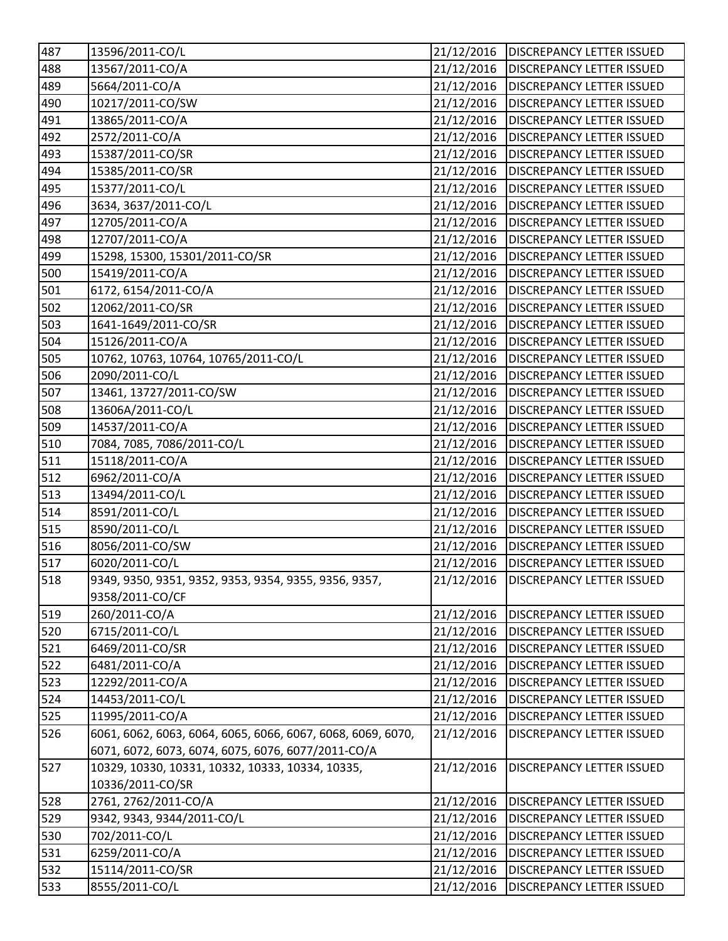| 487 | 13596/2011-CO/L                                             | 21/12/2016 | <b>DISCREPANCY LETTER ISSUED</b> |
|-----|-------------------------------------------------------------|------------|----------------------------------|
| 488 | 13567/2011-CO/A                                             | 21/12/2016 | <b>DISCREPANCY LETTER ISSUED</b> |
| 489 | 5664/2011-CO/A                                              | 21/12/2016 | <b>DISCREPANCY LETTER ISSUED</b> |
| 490 | 10217/2011-CO/SW                                            | 21/12/2016 | <b>DISCREPANCY LETTER ISSUED</b> |
| 491 | 13865/2011-CO/A                                             | 21/12/2016 | <b>DISCREPANCY LETTER ISSUED</b> |
| 492 | 2572/2011-CO/A                                              | 21/12/2016 | <b>DISCREPANCY LETTER ISSUED</b> |
| 493 | 15387/2011-CO/SR                                            | 21/12/2016 | <b>DISCREPANCY LETTER ISSUED</b> |
| 494 | 15385/2011-CO/SR                                            | 21/12/2016 | <b>DISCREPANCY LETTER ISSUED</b> |
| 495 | 15377/2011-CO/L                                             | 21/12/2016 | <b>DISCREPANCY LETTER ISSUED</b> |
| 496 | 3634, 3637/2011-CO/L                                        | 21/12/2016 | <b>DISCREPANCY LETTER ISSUED</b> |
| 497 | 12705/2011-CO/A                                             | 21/12/2016 | <b>DISCREPANCY LETTER ISSUED</b> |
| 498 | 12707/2011-CO/A                                             | 21/12/2016 | <b>DISCREPANCY LETTER ISSUED</b> |
| 499 | 15298, 15300, 15301/2011-CO/SR                              | 21/12/2016 | <b>DISCREPANCY LETTER ISSUED</b> |
| 500 | 15419/2011-CO/A                                             | 21/12/2016 | <b>DISCREPANCY LETTER ISSUED</b> |
| 501 | 6172, 6154/2011-CO/A                                        | 21/12/2016 | <b>DISCREPANCY LETTER ISSUED</b> |
| 502 | 12062/2011-CO/SR                                            | 21/12/2016 | <b>DISCREPANCY LETTER ISSUED</b> |
| 503 | 1641-1649/2011-CO/SR                                        | 21/12/2016 | <b>DISCREPANCY LETTER ISSUED</b> |
| 504 | 15126/2011-CO/A                                             | 21/12/2016 | <b>DISCREPANCY LETTER ISSUED</b> |
| 505 | 10762, 10763, 10764, 10765/2011-CO/L                        | 21/12/2016 | <b>DISCREPANCY LETTER ISSUED</b> |
| 506 | 2090/2011-CO/L                                              | 21/12/2016 | <b>DISCREPANCY LETTER ISSUED</b> |
| 507 | 13461, 13727/2011-CO/SW                                     | 21/12/2016 | <b>DISCREPANCY LETTER ISSUED</b> |
| 508 | 13606A/2011-CO/L                                            | 21/12/2016 | <b>DISCREPANCY LETTER ISSUED</b> |
| 509 | 14537/2011-CO/A                                             | 21/12/2016 | <b>DISCREPANCY LETTER ISSUED</b> |
| 510 | 7084, 7085, 7086/2011-CO/L                                  | 21/12/2016 | <b>DISCREPANCY LETTER ISSUED</b> |
| 511 | 15118/2011-CO/A                                             | 21/12/2016 | <b>DISCREPANCY LETTER ISSUED</b> |
| 512 | 6962/2011-CO/A                                              | 21/12/2016 | <b>DISCREPANCY LETTER ISSUED</b> |
| 513 | 13494/2011-CO/L                                             | 21/12/2016 | <b>DISCREPANCY LETTER ISSUED</b> |
| 514 | 8591/2011-CO/L                                              | 21/12/2016 | <b>DISCREPANCY LETTER ISSUED</b> |
| 515 | 8590/2011-CO/L                                              | 21/12/2016 | <b>DISCREPANCY LETTER ISSUED</b> |
| 516 | 8056/2011-CO/SW                                             | 21/12/2016 | <b>DISCREPANCY LETTER ISSUED</b> |
| 517 | 6020/2011-CO/L                                              | 21/12/2016 | <b>DISCREPANCY LETTER ISSUED</b> |
| 518 | 9349, 9350, 9351, 9352, 9353, 9354, 9355, 9356, 9357,       | 21/12/2016 | <b>DISCREPANCY LETTER ISSUED</b> |
|     | 9358/2011-CO/CF                                             |            |                                  |
| 519 | 260/2011-CO/A                                               | 21/12/2016 | <b>DISCREPANCY LETTER ISSUED</b> |
| 520 | 6715/2011-CO/L                                              | 21/12/2016 | <b>DISCREPANCY LETTER ISSUED</b> |
| 521 | 6469/2011-CO/SR                                             | 21/12/2016 | <b>DISCREPANCY LETTER ISSUED</b> |
| 522 | 6481/2011-CO/A                                              | 21/12/2016 | <b>DISCREPANCY LETTER ISSUED</b> |
| 523 | 12292/2011-CO/A                                             | 21/12/2016 | <b>DISCREPANCY LETTER ISSUED</b> |
| 524 | 14453/2011-CO/L                                             | 21/12/2016 | <b>DISCREPANCY LETTER ISSUED</b> |
| 525 | 11995/2011-CO/A                                             | 21/12/2016 | <b>DISCREPANCY LETTER ISSUED</b> |
| 526 | 6061, 6062, 6063, 6064, 6065, 6066, 6067, 6068, 6069, 6070, | 21/12/2016 | <b>DISCREPANCY LETTER ISSUED</b> |
|     | 6071, 6072, 6073, 6074, 6075, 6076, 6077/2011-CO/A          |            |                                  |
| 527 | 10329, 10330, 10331, 10332, 10333, 10334, 10335,            | 21/12/2016 | <b>DISCREPANCY LETTER ISSUED</b> |
|     | 10336/2011-CO/SR                                            |            |                                  |
| 528 | 2761, 2762/2011-CO/A                                        | 21/12/2016 | <b>DISCREPANCY LETTER ISSUED</b> |
| 529 | 9342, 9343, 9344/2011-CO/L                                  | 21/12/2016 | <b>DISCREPANCY LETTER ISSUED</b> |
| 530 | 702/2011-CO/L                                               | 21/12/2016 | <b>DISCREPANCY LETTER ISSUED</b> |
| 531 | 6259/2011-CO/A                                              | 21/12/2016 | <b>DISCREPANCY LETTER ISSUED</b> |
| 532 | 15114/2011-CO/SR                                            | 21/12/2016 | <b>DISCREPANCY LETTER ISSUED</b> |
| 533 | 8555/2011-CO/L                                              | 21/12/2016 | DISCREPANCY LETTER ISSUED        |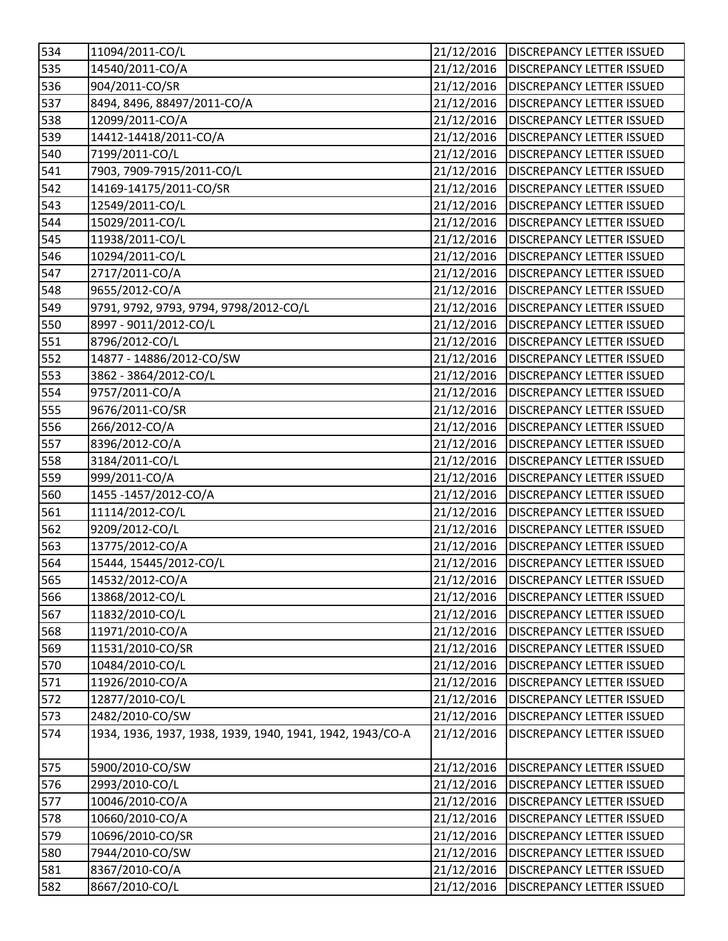| 534              | 11094/2011-CO/L                                           | 21/12/2016 | <b>DISCREPANCY LETTER ISSUED</b> |
|------------------|-----------------------------------------------------------|------------|----------------------------------|
| 535              | 14540/2011-CO/A                                           | 21/12/2016 | <b>DISCREPANCY LETTER ISSUED</b> |
| 536              | 904/2011-CO/SR                                            | 21/12/2016 | <b>DISCREPANCY LETTER ISSUED</b> |
| 537              | 8494, 8496, 88497/2011-CO/A                               | 21/12/2016 | <b>DISCREPANCY LETTER ISSUED</b> |
| 538              | 12099/2011-CO/A                                           | 21/12/2016 | <b>DISCREPANCY LETTER ISSUED</b> |
| 539              | 14412-14418/2011-CO/A                                     | 21/12/2016 | <b>DISCREPANCY LETTER ISSUED</b> |
| 540              | 7199/2011-CO/L                                            | 21/12/2016 | <b>DISCREPANCY LETTER ISSUED</b> |
| 541              | 7903, 7909-7915/2011-CO/L                                 | 21/12/2016 | <b>DISCREPANCY LETTER ISSUED</b> |
| 542              | 14169-14175/2011-CO/SR                                    | 21/12/2016 | <b>DISCREPANCY LETTER ISSUED</b> |
| 543              | 12549/2011-CO/L                                           | 21/12/2016 | <b>DISCREPANCY LETTER ISSUED</b> |
| 544              | 15029/2011-CO/L                                           | 21/12/2016 | <b>DISCREPANCY LETTER ISSUED</b> |
| 545              | 11938/2011-CO/L                                           | 21/12/2016 | <b>DISCREPANCY LETTER ISSUED</b> |
| 546              | 10294/2011-CO/L                                           | 21/12/2016 | <b>DISCREPANCY LETTER ISSUED</b> |
| 547              | 2717/2011-CO/A                                            | 21/12/2016 | <b>DISCREPANCY LETTER ISSUED</b> |
| 548              | 9655/2012-CO/A                                            | 21/12/2016 | <b>DISCREPANCY LETTER ISSUED</b> |
| 549              | 9791, 9792, 9793, 9794, 9798/2012-CO/L                    | 21/12/2016 | <b>DISCREPANCY LETTER ISSUED</b> |
| 550              | 8997 - 9011/2012-CO/L                                     | 21/12/2016 | <b>DISCREPANCY LETTER ISSUED</b> |
| 551              | 8796/2012-CO/L                                            | 21/12/2016 | <b>DISCREPANCY LETTER ISSUED</b> |
| 552              | 14877 - 14886/2012-CO/SW                                  | 21/12/2016 | <b>DISCREPANCY LETTER ISSUED</b> |
| 553              | 3862 - 3864/2012-CO/L                                     | 21/12/2016 | <b>DISCREPANCY LETTER ISSUED</b> |
| 554              | 9757/2011-CO/A                                            | 21/12/2016 | <b>DISCREPANCY LETTER ISSUED</b> |
| 555              | 9676/2011-CO/SR                                           | 21/12/2016 | <b>DISCREPANCY LETTER ISSUED</b> |
| 556              | 266/2012-CO/A                                             | 21/12/2016 | <b>DISCREPANCY LETTER ISSUED</b> |
| $\overline{5}57$ | 8396/2012-CO/A                                            | 21/12/2016 | <b>DISCREPANCY LETTER ISSUED</b> |
| 558              | 3184/2011-CO/L                                            | 21/12/2016 | <b>DISCREPANCY LETTER ISSUED</b> |
| 559              | 999/2011-CO/A                                             | 21/12/2016 | <b>DISCREPANCY LETTER ISSUED</b> |
| 560              | 1455-1457/2012-CO/A                                       | 21/12/2016 | <b>DISCREPANCY LETTER ISSUED</b> |
| 561              | 11114/2012-CO/L                                           | 21/12/2016 | <b>DISCREPANCY LETTER ISSUED</b> |
| 562              | 9209/2012-CO/L                                            | 21/12/2016 | <b>DISCREPANCY LETTER ISSUED</b> |
| 563              | 13775/2012-CO/A                                           | 21/12/2016 | <b>DISCREPANCY LETTER ISSUED</b> |
| 564              | 15444, 15445/2012-CO/L                                    | 21/12/2016 | <b>DISCREPANCY LETTER ISSUED</b> |
| 565              | 14532/2012-CO/A                                           | 21/12/2016 | <b>DISCREPANCY LETTER ISSUED</b> |
| 566              | 13868/2012-CO/L                                           | 21/12/2016 | <b>DISCREPANCY LETTER ISSUED</b> |
| 567              | 11832/2010-CO/L                                           | 21/12/2016 | <b>DISCREPANCY LETTER ISSUED</b> |
| 568              | 11971/2010-CO/A                                           | 21/12/2016 | <b>DISCREPANCY LETTER ISSUED</b> |
| 569              | 11531/2010-CO/SR                                          | 21/12/2016 | <b>DISCREPANCY LETTER ISSUED</b> |
| 570              | 10484/2010-CO/L                                           | 21/12/2016 | <b>DISCREPANCY LETTER ISSUED</b> |
| 571              | 11926/2010-CO/A                                           | 21/12/2016 | <b>DISCREPANCY LETTER ISSUED</b> |
| 572              | 12877/2010-CO/L                                           | 21/12/2016 | DISCREPANCY LETTER ISSUED        |
| 573              | 2482/2010-CO/SW                                           | 21/12/2016 | <b>DISCREPANCY LETTER ISSUED</b> |
| 574              | 1934, 1936, 1937, 1938, 1939, 1940, 1941, 1942, 1943/CO-A | 21/12/2016 | <b>DISCREPANCY LETTER ISSUED</b> |
| 575              | 5900/2010-CO/SW                                           | 21/12/2016 | <b>DISCREPANCY LETTER ISSUED</b> |
| 576              | 2993/2010-CO/L                                            | 21/12/2016 | DISCREPANCY LETTER ISSUED        |
| 577              | 10046/2010-CO/A                                           | 21/12/2016 | DISCREPANCY LETTER ISSUED        |
| 578              | 10660/2010-CO/A                                           | 21/12/2016 | <b>DISCREPANCY LETTER ISSUED</b> |
| 579              | 10696/2010-CO/SR                                          | 21/12/2016 | DISCREPANCY LETTER ISSUED        |
| 580              | 7944/2010-CO/SW                                           | 21/12/2016 | <b>DISCREPANCY LETTER ISSUED</b> |
| 581              | 8367/2010-CO/A                                            | 21/12/2016 | DISCREPANCY LETTER ISSUED        |
| 582              | 8667/2010-CO/L                                            | 21/12/2016 | DISCREPANCY LETTER ISSUED        |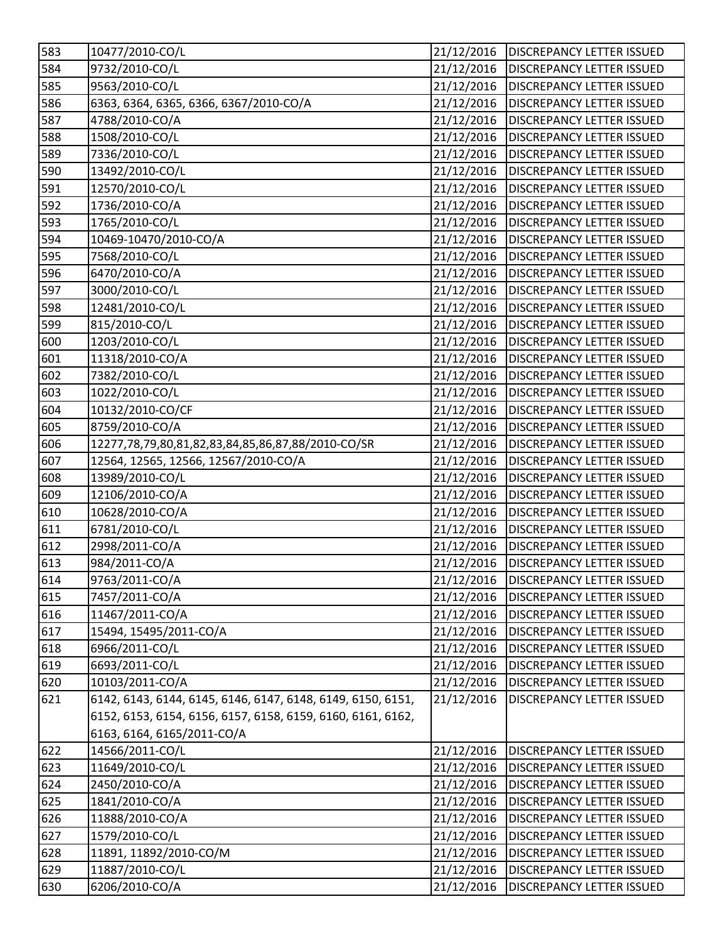| 583              | 10477/2010-CO/L                                             | 21/12/2016 | <b>DISCREPANCY LETTER ISSUED</b> |
|------------------|-------------------------------------------------------------|------------|----------------------------------|
| 584              | 9732/2010-CO/L                                              | 21/12/2016 | <b>DISCREPANCY LETTER ISSUED</b> |
| 585              | 9563/2010-CO/L                                              | 21/12/2016 | <b>DISCREPANCY LETTER ISSUED</b> |
| 586              | 6363, 6364, 6365, 6366, 6367/2010-CO/A                      | 21/12/2016 | <b>DISCREPANCY LETTER ISSUED</b> |
| 587              | 4788/2010-CO/A                                              | 21/12/2016 | <b>DISCREPANCY LETTER ISSUED</b> |
| 588              | 1508/2010-CO/L                                              | 21/12/2016 | <b>DISCREPANCY LETTER ISSUED</b> |
| 589              | 7336/2010-CO/L                                              | 21/12/2016 | <b>DISCREPANCY LETTER ISSUED</b> |
| 590              | 13492/2010-CO/L                                             | 21/12/2016 | <b>DISCREPANCY LETTER ISSUED</b> |
| 591              | 12570/2010-CO/L                                             | 21/12/2016 | <b>DISCREPANCY LETTER ISSUED</b> |
| $\overline{5}92$ | 1736/2010-CO/A                                              | 21/12/2016 | <b>DISCREPANCY LETTER ISSUED</b> |
| 593              | 1765/2010-CO/L                                              | 21/12/2016 | <b>DISCREPANCY LETTER ISSUED</b> |
| 594              | 10469-10470/2010-CO/A                                       | 21/12/2016 | <b>DISCREPANCY LETTER ISSUED</b> |
| 595              | 7568/2010-CO/L                                              | 21/12/2016 | <b>DISCREPANCY LETTER ISSUED</b> |
| 596              | 6470/2010-CO/A                                              | 21/12/2016 | <b>DISCREPANCY LETTER ISSUED</b> |
| 597              | 3000/2010-CO/L                                              | 21/12/2016 | <b>DISCREPANCY LETTER ISSUED</b> |
| 598              | 12481/2010-CO/L                                             | 21/12/2016 | <b>DISCREPANCY LETTER ISSUED</b> |
| 599              | 815/2010-CO/L                                               | 21/12/2016 | <b>DISCREPANCY LETTER ISSUED</b> |
| 600              | 1203/2010-CO/L                                              | 21/12/2016 | <b>DISCREPANCY LETTER ISSUED</b> |
| 601              | 11318/2010-CO/A                                             | 21/12/2016 | <b>DISCREPANCY LETTER ISSUED</b> |
| 602              | 7382/2010-CO/L                                              | 21/12/2016 | <b>DISCREPANCY LETTER ISSUED</b> |
| 603              | 1022/2010-CO/L                                              | 21/12/2016 | <b>DISCREPANCY LETTER ISSUED</b> |
| 604              | 10132/2010-CO/CF                                            | 21/12/2016 | <b>DISCREPANCY LETTER ISSUED</b> |
| 605              | 8759/2010-CO/A                                              | 21/12/2016 | <b>DISCREPANCY LETTER ISSUED</b> |
| 606              | 12277,78,79,80,81,82,83,84,85,86,87,88/2010-CO/SR           | 21/12/2016 | <b>DISCREPANCY LETTER ISSUED</b> |
| 607              | 12564, 12565, 12566, 12567/2010-CO/A                        | 21/12/2016 | <b>DISCREPANCY LETTER ISSUED</b> |
| 608              | 13989/2010-CO/L                                             | 21/12/2016 | <b>DISCREPANCY LETTER ISSUED</b> |
| 609              | 12106/2010-CO/A                                             | 21/12/2016 | <b>DISCREPANCY LETTER ISSUED</b> |
| 610              | 10628/2010-CO/A                                             | 21/12/2016 | <b>DISCREPANCY LETTER ISSUED</b> |
| 611              | 6781/2010-CO/L                                              | 21/12/2016 | <b>DISCREPANCY LETTER ISSUED</b> |
| 612              | 2998/2011-CO/A                                              | 21/12/2016 | <b>DISCREPANCY LETTER ISSUED</b> |
| 613              | 984/2011-CO/A                                               | 21/12/2016 | <b>DISCREPANCY LETTER ISSUED</b> |
| 614              | 9763/2011-CO/A                                              | 21/12/2016 | <b>DISCREPANCY LETTER ISSUED</b> |
| 615              | 7457/2011-CO/A                                              | 21/12/2016 | <b>DISCREPANCY LETTER ISSUED</b> |
| 616              | 11467/2011-CO/A                                             | 21/12/2016 | <b>DISCREPANCY LETTER ISSUED</b> |
| 617              | 15494, 15495/2011-CO/A                                      | 21/12/2016 | <b>DISCREPANCY LETTER ISSUED</b> |
| 618              | 6966/2011-CO/L                                              | 21/12/2016 | <b>DISCREPANCY LETTER ISSUED</b> |
| 619              | 6693/2011-CO/L                                              | 21/12/2016 | DISCREPANCY LETTER ISSUED        |
| 620              | 10103/2011-CO/A                                             | 21/12/2016 | <b>DISCREPANCY LETTER ISSUED</b> |
| 621              | 6142, 6143, 6144, 6145, 6146, 6147, 6148, 6149, 6150, 6151, | 21/12/2016 | <b>DISCREPANCY LETTER ISSUED</b> |
|                  | 6152, 6153, 6154, 6156, 6157, 6158, 6159, 6160, 6161, 6162, |            |                                  |
|                  | 6163, 6164, 6165/2011-CO/A                                  |            |                                  |
| 622              | 14566/2011-CO/L                                             | 21/12/2016 | <b>DISCREPANCY LETTER ISSUED</b> |
| 623              | 11649/2010-CO/L                                             | 21/12/2016 | <b>DISCREPANCY LETTER ISSUED</b> |
| 624              | 2450/2010-CO/A                                              | 21/12/2016 | <b>DISCREPANCY LETTER ISSUED</b> |
| 625              | 1841/2010-CO/A                                              | 21/12/2016 | <b>DISCREPANCY LETTER ISSUED</b> |
| 626              | 11888/2010-CO/A                                             | 21/12/2016 | <b>DISCREPANCY LETTER ISSUED</b> |
| 627              | 1579/2010-CO/L                                              | 21/12/2016 | DISCREPANCY LETTER ISSUED        |
| 628              | 11891, 11892/2010-CO/M                                      | 21/12/2016 | DISCREPANCY LETTER ISSUED        |
| 629              | 11887/2010-CO/L                                             | 21/12/2016 | DISCREPANCY LETTER ISSUED        |
| 630              | 6206/2010-CO/A                                              | 21/12/2016 | DISCREPANCY LETTER ISSUED        |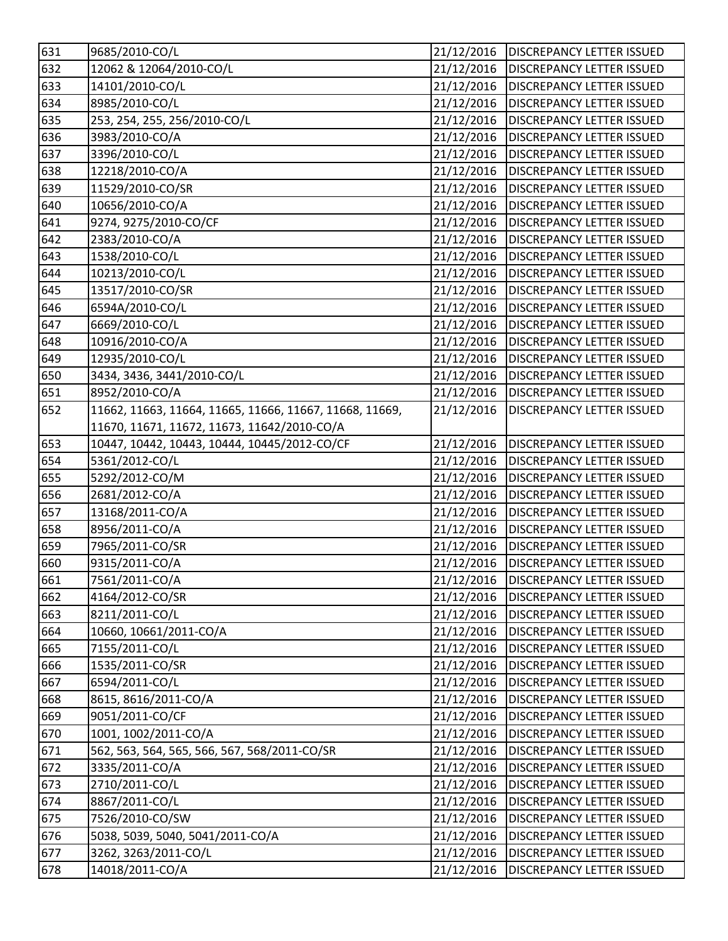| 631 | 9685/2010-CO/L                                          | 21/12/2016 | <b>DISCREPANCY LETTER ISSUED</b>       |
|-----|---------------------------------------------------------|------------|----------------------------------------|
| 632 | 12062 & 12064/2010-CO/L                                 | 21/12/2016 | <b>DISCREPANCY LETTER ISSUED</b>       |
| 633 | 14101/2010-CO/L                                         | 21/12/2016 | <b>DISCREPANCY LETTER ISSUED</b>       |
| 634 | 8985/2010-CO/L                                          | 21/12/2016 | <b>DISCREPANCY LETTER ISSUED</b>       |
| 635 | 253, 254, 255, 256/2010-CO/L                            | 21/12/2016 | <b>DISCREPANCY LETTER ISSUED</b>       |
| 636 | 3983/2010-CO/A                                          | 21/12/2016 | <b>DISCREPANCY LETTER ISSUED</b>       |
| 637 | 3396/2010-CO/L                                          | 21/12/2016 | <b>DISCREPANCY LETTER ISSUED</b>       |
| 638 | 12218/2010-CO/A                                         | 21/12/2016 | <b>DISCREPANCY LETTER ISSUED</b>       |
| 639 | 11529/2010-CO/SR                                        | 21/12/2016 | <b>DISCREPANCY LETTER ISSUED</b>       |
| 640 | 10656/2010-CO/A                                         | 21/12/2016 | <b>DISCREPANCY LETTER ISSUED</b>       |
| 641 | 9274, 9275/2010-CO/CF                                   | 21/12/2016 | <b>DISCREPANCY LETTER ISSUED</b>       |
| 642 | 2383/2010-CO/A                                          | 21/12/2016 | <b>DISCREPANCY LETTER ISSUED</b>       |
| 643 | 1538/2010-CO/L                                          | 21/12/2016 | <b>DISCREPANCY LETTER ISSUED</b>       |
| 644 | 10213/2010-CO/L                                         | 21/12/2016 | <b>DISCREPANCY LETTER ISSUED</b>       |
| 645 | 13517/2010-CO/SR                                        | 21/12/2016 | <b>DISCREPANCY LETTER ISSUED</b>       |
| 646 | 6594A/2010-CO/L                                         | 21/12/2016 | <b>DISCREPANCY LETTER ISSUED</b>       |
| 647 | 6669/2010-CO/L                                          | 21/12/2016 | <b>DISCREPANCY LETTER ISSUED</b>       |
| 648 | 10916/2010-CO/A                                         | 21/12/2016 | <b>DISCREPANCY LETTER ISSUED</b>       |
| 649 | 12935/2010-CO/L                                         | 21/12/2016 | <b>DISCREPANCY LETTER ISSUED</b>       |
| 650 | 3434, 3436, 3441/2010-CO/L                              | 21/12/2016 | <b>DISCREPANCY LETTER ISSUED</b>       |
| 651 | 8952/2010-CO/A                                          | 21/12/2016 | <b>DISCREPANCY LETTER ISSUED</b>       |
| 652 | 11662, 11663, 11664, 11665, 11666, 11667, 11668, 11669, | 21/12/2016 | <b>DISCREPANCY LETTER ISSUED</b>       |
|     | 11670, 11671, 11672, 11673, 11642/2010-CO/A             |            |                                        |
| 653 | 10447, 10442, 10443, 10444, 10445/2012-CO/CF            | 21/12/2016 | <b>DISCREPANCY LETTER ISSUED</b>       |
| 654 | 5361/2012-CO/L                                          | 21/12/2016 | <b>DISCREPANCY LETTER ISSUED</b>       |
| 655 | 5292/2012-CO/M                                          | 21/12/2016 | <b>DISCREPANCY LETTER ISSUED</b>       |
| 656 | 2681/2012-CO/A                                          | 21/12/2016 | <b>DISCREPANCY LETTER ISSUED</b>       |
| 657 | 13168/2011-CO/A                                         | 21/12/2016 | <b>DISCREPANCY LETTER ISSUED</b>       |
| 658 | 8956/2011-CO/A                                          | 21/12/2016 | <b>DISCREPANCY LETTER ISSUED</b>       |
| 659 | 7965/2011-CO/SR                                         | 21/12/2016 | <b>DISCREPANCY LETTER ISSUED</b>       |
| 660 | 9315/2011-CO/A                                          | 21/12/2016 | <b>DISCREPANCY LETTER ISSUED</b>       |
| 661 | 7561/2011-CO/A                                          |            | 21/12/2016   DISCREPANCY LETTER ISSUED |
| 662 | 4164/2012-CO/SR                                         | 21/12/2016 | <b>DISCREPANCY LETTER ISSUED</b>       |
| 663 | 8211/2011-CO/L                                          | 21/12/2016 | <b>DISCREPANCY LETTER ISSUED</b>       |
| 664 | 10660, 10661/2011-CO/A                                  | 21/12/2016 | <b>DISCREPANCY LETTER ISSUED</b>       |
| 665 | 7155/2011-CO/L                                          | 21/12/2016 | <b>DISCREPANCY LETTER ISSUED</b>       |
| 666 | 1535/2011-CO/SR                                         | 21/12/2016 | <b>DISCREPANCY LETTER ISSUED</b>       |
| 667 | 6594/2011-CO/L                                          | 21/12/2016 | DISCREPANCY LETTER ISSUED              |
| 668 | 8615, 8616/2011-CO/A                                    | 21/12/2016 | <b>DISCREPANCY LETTER ISSUED</b>       |
| 669 | 9051/2011-CO/CF                                         | 21/12/2016 | DISCREPANCY LETTER ISSUED              |
| 670 | 1001, 1002/2011-CO/A                                    | 21/12/2016 | <b>DISCREPANCY LETTER ISSUED</b>       |
| 671 | 562, 563, 564, 565, 566, 567, 568/2011-CO/SR            | 21/12/2016 | DISCREPANCY LETTER ISSUED              |
| 672 | 3335/2011-CO/A                                          | 21/12/2016 | DISCREPANCY LETTER ISSUED              |
| 673 | 2710/2011-CO/L                                          | 21/12/2016 | DISCREPANCY LETTER ISSUED              |
| 674 | 8867/2011-CO/L                                          | 21/12/2016 | DISCREPANCY LETTER ISSUED              |
| 675 | 7526/2010-CO/SW                                         | 21/12/2016 | <b>DISCREPANCY LETTER ISSUED</b>       |
| 676 | 5038, 5039, 5040, 5041/2011-CO/A                        | 21/12/2016 | DISCREPANCY LETTER ISSUED              |
| 677 | 3262, 3263/2011-CO/L                                    | 21/12/2016 | <b>DISCREPANCY LETTER ISSUED</b>       |
| 678 | 14018/2011-CO/A                                         | 21/12/2016 | DISCREPANCY LETTER ISSUED              |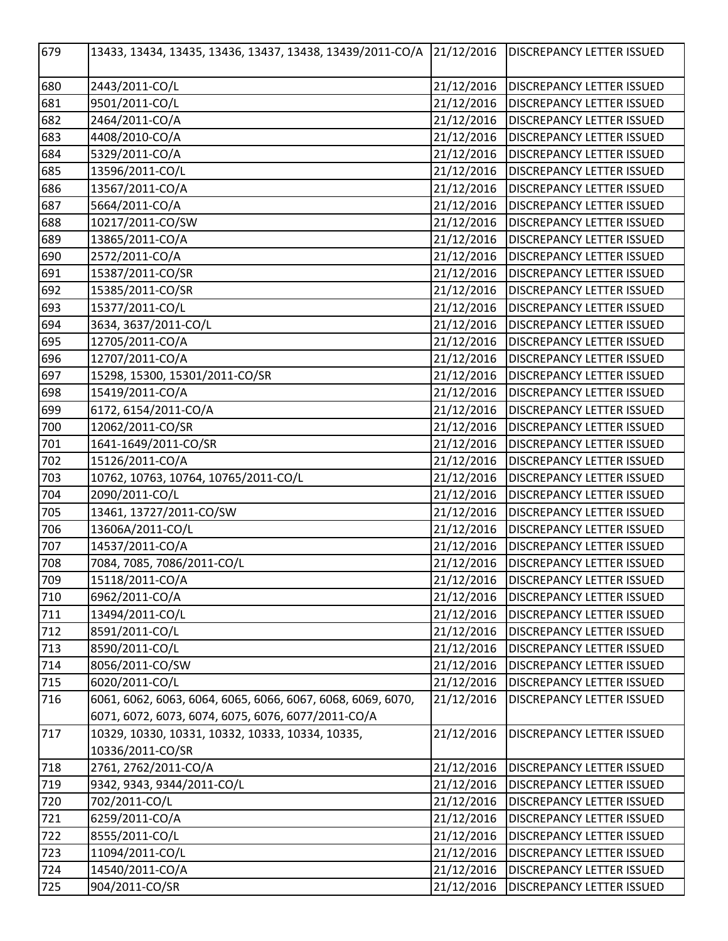| 679 | 13433, 13434, 13435, 13436, 13437, 13438, 13439/2011-CO/A   | 21/12/2016 | <b>DISCREPANCY LETTER ISSUED</b> |
|-----|-------------------------------------------------------------|------------|----------------------------------|
| 680 | 2443/2011-CO/L                                              | 21/12/2016 | <b>DISCREPANCY LETTER ISSUED</b> |
| 681 | 9501/2011-CO/L                                              | 21/12/2016 | <b>DISCREPANCY LETTER ISSUED</b> |
| 682 | 2464/2011-CO/A                                              | 21/12/2016 | <b>DISCREPANCY LETTER ISSUED</b> |
| 683 | 4408/2010-CO/A                                              | 21/12/2016 | <b>DISCREPANCY LETTER ISSUED</b> |
| 684 | 5329/2011-CO/A                                              | 21/12/2016 | <b>DISCREPANCY LETTER ISSUED</b> |
| 685 | 13596/2011-CO/L                                             | 21/12/2016 | <b>DISCREPANCY LETTER ISSUED</b> |
| 686 | 13567/2011-CO/A                                             | 21/12/2016 | <b>DISCREPANCY LETTER ISSUED</b> |
| 687 | 5664/2011-CO/A                                              | 21/12/2016 | <b>DISCREPANCY LETTER ISSUED</b> |
| 688 | 10217/2011-CO/SW                                            | 21/12/2016 | <b>DISCREPANCY LETTER ISSUED</b> |
| 689 | 13865/2011-CO/A                                             | 21/12/2016 | <b>DISCREPANCY LETTER ISSUED</b> |
| 690 | 2572/2011-CO/A                                              | 21/12/2016 | <b>DISCREPANCY LETTER ISSUED</b> |
| 691 | 15387/2011-CO/SR                                            | 21/12/2016 | <b>DISCREPANCY LETTER ISSUED</b> |
| 692 | 15385/2011-CO/SR                                            | 21/12/2016 | <b>DISCREPANCY LETTER ISSUED</b> |
| 693 | 15377/2011-CO/L                                             | 21/12/2016 | <b>DISCREPANCY LETTER ISSUED</b> |
| 694 | 3634, 3637/2011-CO/L                                        | 21/12/2016 | <b>DISCREPANCY LETTER ISSUED</b> |
| 695 | 12705/2011-CO/A                                             | 21/12/2016 | <b>DISCREPANCY LETTER ISSUED</b> |
| 696 | 12707/2011-CO/A                                             | 21/12/2016 | <b>DISCREPANCY LETTER ISSUED</b> |
| 697 | 15298, 15300, 15301/2011-CO/SR                              | 21/12/2016 | <b>DISCREPANCY LETTER ISSUED</b> |
| 698 | 15419/2011-CO/A                                             | 21/12/2016 | <b>DISCREPANCY LETTER ISSUED</b> |
| 699 | 6172, 6154/2011-CO/A                                        | 21/12/2016 | <b>DISCREPANCY LETTER ISSUED</b> |
| 700 | 12062/2011-CO/SR                                            | 21/12/2016 | <b>DISCREPANCY LETTER ISSUED</b> |
| 701 | 1641-1649/2011-CO/SR                                        | 21/12/2016 | <b>DISCREPANCY LETTER ISSUED</b> |
| 702 | 15126/2011-CO/A                                             | 21/12/2016 | <b>DISCREPANCY LETTER ISSUED</b> |
| 703 | 10762, 10763, 10764, 10765/2011-CO/L                        | 21/12/2016 | <b>DISCREPANCY LETTER ISSUED</b> |
| 704 | 2090/2011-CO/L                                              | 21/12/2016 | <b>DISCREPANCY LETTER ISSUED</b> |
| 705 | 13461, 13727/2011-CO/SW                                     | 21/12/2016 | <b>DISCREPANCY LETTER ISSUED</b> |
| 706 | 13606A/2011-CO/L                                            | 21/12/2016 | <b>DISCREPANCY LETTER ISSUED</b> |
| 707 | 14537/2011-CO/A                                             | 21/12/2016 | <b>DISCREPANCY LETTER ISSUED</b> |
| 708 | 7084, 7085, 7086/2011-CO/L                                  | 21/12/2016 | DISCREPANCY LETTER ISSUED        |
| 709 | 15118/2011-CO/A                                             | 21/12/2016 | <b>DISCREPANCY LETTER ISSUED</b> |
| 710 | 6962/2011-CO/A                                              | 21/12/2016 | <b>DISCREPANCY LETTER ISSUED</b> |
| 711 | 13494/2011-CO/L                                             | 21/12/2016 | <b>DISCREPANCY LETTER ISSUED</b> |
| 712 | 8591/2011-CO/L                                              | 21/12/2016 | <b>DISCREPANCY LETTER ISSUED</b> |
| 713 | 8590/2011-CO/L                                              | 21/12/2016 | <b>DISCREPANCY LETTER ISSUED</b> |
| 714 | 8056/2011-CO/SW                                             | 21/12/2016 | <b>DISCREPANCY LETTER ISSUED</b> |
| 715 | 6020/2011-CO/L                                              | 21/12/2016 | <b>DISCREPANCY LETTER ISSUED</b> |
| 716 | 6061, 6062, 6063, 6064, 6065, 6066, 6067, 6068, 6069, 6070, | 21/12/2016 | <b>DISCREPANCY LETTER ISSUED</b> |
|     | 6071, 6072, 6073, 6074, 6075, 6076, 6077/2011-CO/A          |            |                                  |
| 717 | 10329, 10330, 10331, 10332, 10333, 10334, 10335,            | 21/12/2016 | <b>DISCREPANCY LETTER ISSUED</b> |
|     | 10336/2011-CO/SR                                            |            |                                  |
| 718 | 2761, 2762/2011-CO/A                                        | 21/12/2016 | <b>DISCREPANCY LETTER ISSUED</b> |
| 719 | 9342, 9343, 9344/2011-CO/L                                  | 21/12/2016 | <b>DISCREPANCY LETTER ISSUED</b> |
| 720 | 702/2011-CO/L                                               | 21/12/2016 | <b>DISCREPANCY LETTER ISSUED</b> |
| 721 | 6259/2011-CO/A                                              | 21/12/2016 | <b>DISCREPANCY LETTER ISSUED</b> |
| 722 | 8555/2011-CO/L                                              | 21/12/2016 | <b>DISCREPANCY LETTER ISSUED</b> |
| 723 | 11094/2011-CO/L                                             | 21/12/2016 | <b>DISCREPANCY LETTER ISSUED</b> |
| 724 | 14540/2011-CO/A                                             | 21/12/2016 | <b>DISCREPANCY LETTER ISSUED</b> |
| 725 | 904/2011-CO/SR                                              | 21/12/2016 | <b>DISCREPANCY LETTER ISSUED</b> |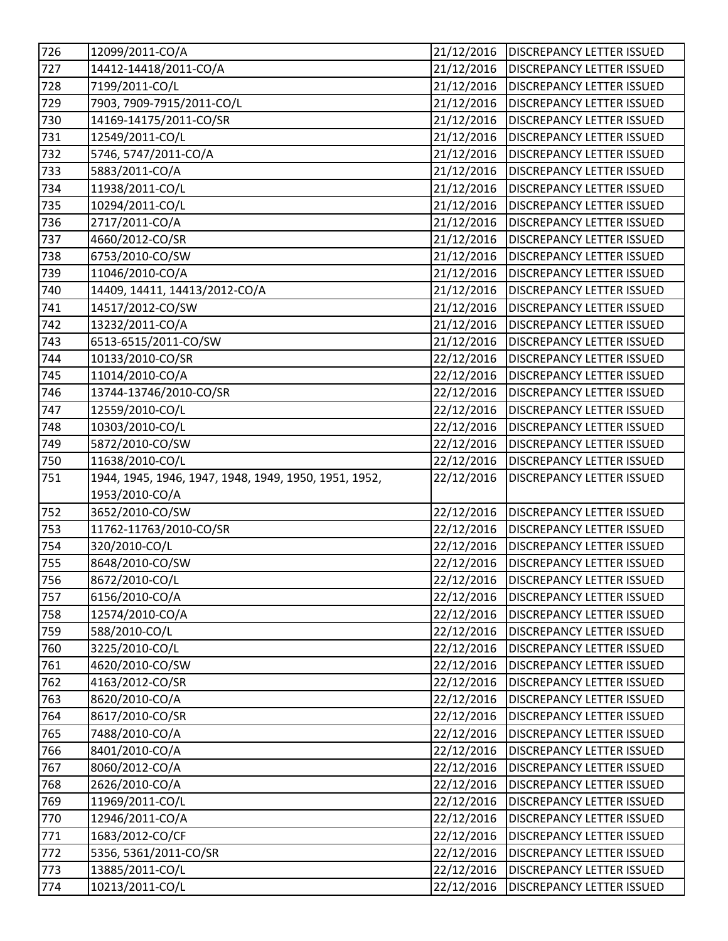| 726               | 12099/2011-CO/A                                       | 21/12/2016           | <b>DISCREPANCY LETTER ISSUED</b> |
|-------------------|-------------------------------------------------------|----------------------|----------------------------------|
| 727               | 14412-14418/2011-CO/A                                 | 21/12/2016           | <b>DISCREPANCY LETTER ISSUED</b> |
| 728               | 7199/2011-CO/L                                        | 21/12/2016           | <b>DISCREPANCY LETTER ISSUED</b> |
| 729               | 7903, 7909-7915/2011-CO/L                             | 21/12/2016           | <b>DISCREPANCY LETTER ISSUED</b> |
| $\overline{730}$  | 14169-14175/2011-CO/SR                                | 21/12/2016           | <b>DISCREPANCY LETTER ISSUED</b> |
| 731               | 12549/2011-CO/L                                       | 21/12/2016           | <b>DISCREPANCY LETTER ISSUED</b> |
| 732               | 5746, 5747/2011-CO/A                                  | 21/12/2016           | <b>DISCREPANCY LETTER ISSUED</b> |
| 733               | 5883/2011-CO/A                                        | 21/12/2016           | <b>DISCREPANCY LETTER ISSUED</b> |
| 734               | 11938/2011-CO/L                                       | 21/12/2016           | <b>DISCREPANCY LETTER ISSUED</b> |
| 735               | 10294/2011-CO/L                                       | 21/12/2016           | <b>DISCREPANCY LETTER ISSUED</b> |
| 736               | 2717/2011-CO/A                                        | 21/12/2016           | <b>DISCREPANCY LETTER ISSUED</b> |
| 737               | 4660/2012-CO/SR                                       | 21/12/2016           | <b>DISCREPANCY LETTER ISSUED</b> |
| 738               | 6753/2010-CO/SW                                       | 21/12/2016           | <b>DISCREPANCY LETTER ISSUED</b> |
| $\overline{739}$  | 11046/2010-CO/A                                       | 21/12/2016           | <b>DISCREPANCY LETTER ISSUED</b> |
| 740               | 14409, 14411, 14413/2012-CO/A                         | 21/12/2016           | <b>DISCREPANCY LETTER ISSUED</b> |
| 741               | 14517/2012-CO/SW                                      | 21/12/2016           | <b>DISCREPANCY LETTER ISSUED</b> |
| 742               | 13232/2011-CO/A                                       | 21/12/2016           | <b>DISCREPANCY LETTER ISSUED</b> |
| 743               | 6513-6515/2011-CO/SW                                  | 21/12/2016           | <b>DISCREPANCY LETTER ISSUED</b> |
| 744               | 10133/2010-CO/SR                                      | 22/12/2016           | <b>DISCREPANCY LETTER ISSUED</b> |
| 745               | 11014/2010-CO/A                                       | 22/12/2016           | <b>DISCREPANCY LETTER ISSUED</b> |
| $\overline{746}$  | 13744-13746/2010-CO/SR                                | 22/12/2016           | <b>DISCREPANCY LETTER ISSUED</b> |
| 747               | 12559/2010-CO/L                                       | 22/12/2016           | <b>DISCREPANCY LETTER ISSUED</b> |
| 748               | 10303/2010-CO/L                                       | 22/12/2016           | <b>DISCREPANCY LETTER ISSUED</b> |
| $\overline{7}$ 49 | 5872/2010-CO/SW                                       | 22/12/2016           | <b>DISCREPANCY LETTER ISSUED</b> |
| 750               | 11638/2010-CO/L                                       | 22/12/2016           | <b>DISCREPANCY LETTER ISSUED</b> |
|                   |                                                       |                      |                                  |
| 751               | 1944, 1945, 1946, 1947, 1948, 1949, 1950, 1951, 1952, | 22/12/2016           | <b>DISCREPANCY LETTER ISSUED</b> |
|                   | 1953/2010-CO/A                                        |                      |                                  |
|                   | 3652/2010-CO/SW                                       | 22/12/2016           | <b>DISCREPANCY LETTER ISSUED</b> |
| 752<br>753        | 11762-11763/2010-CO/SR                                | 22/12/2016           | <b>DISCREPANCY LETTER ISSUED</b> |
| 754               | 320/2010-CO/L                                         | 22/12/2016           | <b>DISCREPANCY LETTER ISSUED</b> |
|                   | 8648/2010-CO/SW                                       | 22/12/2016           | <b>DISCREPANCY LETTER ISSUED</b> |
| 755<br>756        | 8672/2010-CO/L                                        | $\frac{22}{12}/2016$ | <b>DISCREPANCY LETTER ISSUED</b> |
| 757               | 6156/2010-CO/A                                        | 22/12/2016           | <b>DISCREPANCY LETTER ISSUED</b> |
| 758               | 12574/2010-CO/A                                       | 22/12/2016           | <b>DISCREPANCY LETTER ISSUED</b> |
| 759               | 588/2010-CO/L                                         | 22/12/2016           | <b>DISCREPANCY LETTER ISSUED</b> |
| 760               | 3225/2010-CO/L                                        | 22/12/2016           | <b>DISCREPANCY LETTER ISSUED</b> |
| 761               | 4620/2010-CO/SW                                       | 22/12/2016           | <b>DISCREPANCY LETTER ISSUED</b> |
| 762               | 4163/2012-CO/SR                                       | 22/12/2016           | <b>DISCREPANCY LETTER ISSUED</b> |
| 763               | 8620/2010-CO/A                                        | 22/12/2016           | <b>DISCREPANCY LETTER ISSUED</b> |
| 764               | 8617/2010-CO/SR                                       | 22/12/2016           | <b>DISCREPANCY LETTER ISSUED</b> |
| 765               | 7488/2010-CO/A                                        | 22/12/2016           | <b>DISCREPANCY LETTER ISSUED</b> |
| 766               | 8401/2010-CO/A                                        | 22/12/2016           | <b>DISCREPANCY LETTER ISSUED</b> |
| 767               | 8060/2012-CO/A                                        | 22/12/2016           | <b>DISCREPANCY LETTER ISSUED</b> |
| 768               | 2626/2010-CO/A                                        | 22/12/2016           | <b>DISCREPANCY LETTER ISSUED</b> |
| 769               | 11969/2011-CO/L                                       | 22/12/2016           | <b>DISCREPANCY LETTER ISSUED</b> |
| 770               | 12946/2011-CO/A                                       | 22/12/2016           | <b>DISCREPANCY LETTER ISSUED</b> |
| 771               | 1683/2012-CO/CF                                       | 22/12/2016           | <b>DISCREPANCY LETTER ISSUED</b> |
| 772               | 5356, 5361/2011-CO/SR                                 | 22/12/2016           | <b>DISCREPANCY LETTER ISSUED</b> |
| 773               | 13885/2011-CO/L                                       | 22/12/2016           | DISCREPANCY LETTER ISSUED        |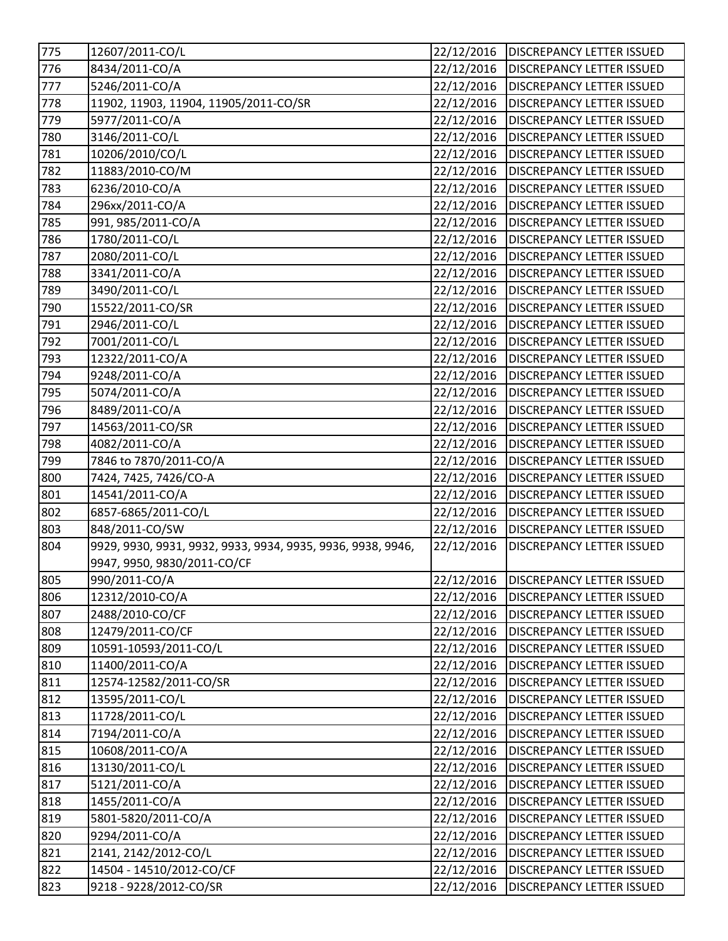| 775        | 12607/2011-CO/L                                                                            | 22/12/2016 | <b>DISCREPANCY LETTER ISSUED</b> |
|------------|--------------------------------------------------------------------------------------------|------------|----------------------------------|
| 776        | 8434/2011-CO/A                                                                             | 22/12/2016 | <b>DISCREPANCY LETTER ISSUED</b> |
| 772        | 5246/2011-CO/A                                                                             | 22/12/2016 | <b>DISCREPANCY LETTER ISSUED</b> |
| 778        | 11902, 11903, 11904, 11905/2011-CO/SR                                                      | 22/12/2016 | <b>DISCREPANCY LETTER ISSUED</b> |
| 779        | 5977/2011-CO/A                                                                             | 22/12/2016 | <b>DISCREPANCY LETTER ISSUED</b> |
| 780        | 3146/2011-CO/L                                                                             | 22/12/2016 | <b>DISCREPANCY LETTER ISSUED</b> |
| 781        | 10206/2010/CO/L                                                                            | 22/12/2016 | <b>DISCREPANCY LETTER ISSUED</b> |
| 782        | 11883/2010-CO/M                                                                            | 22/12/2016 | <b>DISCREPANCY LETTER ISSUED</b> |
| 783        | 6236/2010-CO/A                                                                             | 22/12/2016 | <b>DISCREPANCY LETTER ISSUED</b> |
| 784        | 296xx/2011-CO/A                                                                            | 22/12/2016 | <b>DISCREPANCY LETTER ISSUED</b> |
| 785        | 991, 985/2011-CO/A                                                                         | 22/12/2016 | <b>DISCREPANCY LETTER ISSUED</b> |
| 786        | 1780/2011-CO/L                                                                             | 22/12/2016 | <b>DISCREPANCY LETTER ISSUED</b> |
| 787        | 2080/2011-CO/L                                                                             | 22/12/2016 | <b>DISCREPANCY LETTER ISSUED</b> |
| 788        | 3341/2011-CO/A                                                                             | 22/12/2016 | <b>DISCREPANCY LETTER ISSUED</b> |
| 789        | 3490/2011-CO/L                                                                             | 22/12/2016 | <b>DISCREPANCY LETTER ISSUED</b> |
| 790        | 15522/2011-CO/SR                                                                           | 22/12/2016 | <b>DISCREPANCY LETTER ISSUED</b> |
| 791        | 2946/2011-CO/L                                                                             | 22/12/2016 | <b>DISCREPANCY LETTER ISSUED</b> |
| 792        | 7001/2011-CO/L                                                                             | 22/12/2016 | <b>DISCREPANCY LETTER ISSUED</b> |
| 793        | 12322/2011-CO/A                                                                            | 22/12/2016 | <b>DISCREPANCY LETTER ISSUED</b> |
| 794        | 9248/2011-CO/A                                                                             | 22/12/2016 | <b>DISCREPANCY LETTER ISSUED</b> |
| 795        | 5074/2011-CO/A                                                                             | 22/12/2016 | <b>DISCREPANCY LETTER ISSUED</b> |
| 796        | 8489/2011-CO/A                                                                             | 22/12/2016 | <b>DISCREPANCY LETTER ISSUED</b> |
| 797        | 14563/2011-CO/SR                                                                           | 22/12/2016 | <b>DISCREPANCY LETTER ISSUED</b> |
| 798        | 4082/2011-CO/A                                                                             | 22/12/2016 | <b>DISCREPANCY LETTER ISSUED</b> |
| 799        | 7846 to 7870/2011-CO/A                                                                     | 22/12/2016 | <b>DISCREPANCY LETTER ISSUED</b> |
| 800        | 7424, 7425, 7426/CO-A                                                                      | 22/12/2016 |                                  |
|            |                                                                                            |            | <b>DISCREPANCY LETTER ISSUED</b> |
| 801<br>802 | 14541/2011-CO/A                                                                            | 22/12/2016 | <b>DISCREPANCY LETTER ISSUED</b> |
|            | 6857-6865/2011-CO/L                                                                        | 22/12/2016 | <b>DISCREPANCY LETTER ISSUED</b> |
| 803        | 848/2011-CO/SW                                                                             | 22/12/2016 | <b>DISCREPANCY LETTER ISSUED</b> |
| 804        | 9929, 9930, 9931, 9932, 9933, 9934, 9935, 9936, 9938, 9946,<br>9947, 9950, 9830/2011-CO/CF | 22/12/2016 | <b>DISCREPANCY LETTER ISSUED</b> |
| 805        | 990/2011-CO/A                                                                              | 22/12/2016 | <b>DISCREPANCY LETTER ISSUED</b> |
| 806        | 12312/2010-CO/A                                                                            | 22/12/2016 | <b>DISCREPANCY LETTER ISSUED</b> |
| 807        | 2488/2010-CO/CF                                                                            | 22/12/2016 | <b>DISCREPANCY LETTER ISSUED</b> |
| 808        | 12479/2011-CO/CF                                                                           | 22/12/2016 | <b>DISCREPANCY LETTER ISSUED</b> |
| 809        | 10591-10593/2011-CO/L                                                                      | 22/12/2016 | <b>DISCREPANCY LETTER ISSUED</b> |
| 810        | 11400/2011-CO/A                                                                            | 22/12/2016 | <b>DISCREPANCY LETTER ISSUED</b> |
| 811        | 12574-12582/2011-CO/SR                                                                     | 22/12/2016 | <b>DISCREPANCY LETTER ISSUED</b> |
| 812        | 13595/2011-CO/L                                                                            | 22/12/2016 | <b>DISCREPANCY LETTER ISSUED</b> |
| 813        | 11728/2011-CO/L                                                                            | 22/12/2016 | <b>DISCREPANCY LETTER ISSUED</b> |
| 814        | 7194/2011-CO/A                                                                             | 22/12/2016 | <b>DISCREPANCY LETTER ISSUED</b> |
| 815        | 10608/2011-CO/A                                                                            | 22/12/2016 | <b>DISCREPANCY LETTER ISSUED</b> |
| 816        | 13130/2011-CO/L                                                                            | 22/12/2016 | <b>DISCREPANCY LETTER ISSUED</b> |
| 817        | 5121/2011-CO/A                                                                             | 22/12/2016 | <b>DISCREPANCY LETTER ISSUED</b> |
| 818        | 1455/2011-CO/A                                                                             | 22/12/2016 | <b>DISCREPANCY LETTER ISSUED</b> |
| 819        | 5801-5820/2011-CO/A                                                                        | 22/12/2016 | <b>DISCREPANCY LETTER ISSUED</b> |
| 820        | 9294/2011-CO/A                                                                             | 22/12/2016 | DISCREPANCY LETTER ISSUED        |
| 821        | 2141, 2142/2012-CO/L                                                                       | 22/12/2016 | <b>DISCREPANCY LETTER ISSUED</b> |
| 822        | 14504 - 14510/2012-CO/CF                                                                   | 22/12/2016 | <b>DISCREPANCY LETTER ISSUED</b> |
| 823        | 9218 - 9228/2012-CO/SR                                                                     | 22/12/2016 |                                  |
|            |                                                                                            |            | DISCREPANCY LETTER ISSUED        |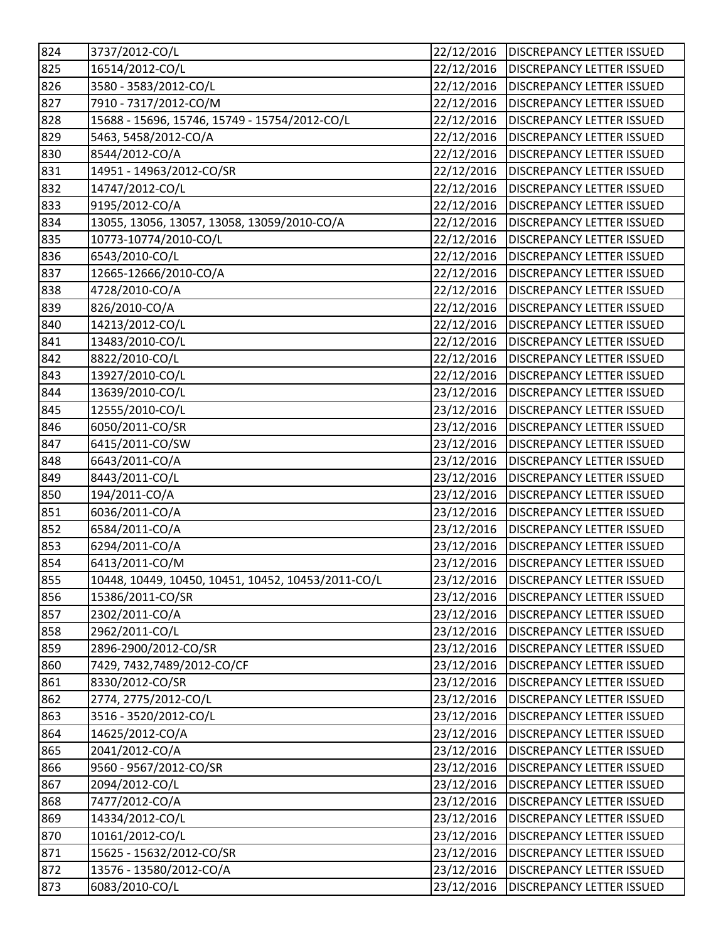| 824              | 3737/2012-CO/L                                     | 22/12/2016 | <b>DISCREPANCY LETTER ISSUED</b> |
|------------------|----------------------------------------------------|------------|----------------------------------|
| 825              | 16514/2012-CO/L                                    | 22/12/2016 | <b>DISCREPANCY LETTER ISSUED</b> |
| 826              | 3580 - 3583/2012-CO/L                              | 22/12/2016 | <b>DISCREPANCY LETTER ISSUED</b> |
| 827              | 7910 - 7317/2012-CO/M                              | 22/12/2016 | <b>DISCREPANCY LETTER ISSUED</b> |
| 828              | 15688 - 15696, 15746, 15749 - 15754/2012-CO/L      | 22/12/2016 | <b>DISCREPANCY LETTER ISSUED</b> |
| 829              | 5463, 5458/2012-CO/A                               | 22/12/2016 | <b>DISCREPANCY LETTER ISSUED</b> |
| 830              | 8544/2012-CO/A                                     | 22/12/2016 | <b>DISCREPANCY LETTER ISSUED</b> |
| 831              | 14951 - 14963/2012-CO/SR                           | 22/12/2016 | <b>DISCREPANCY LETTER ISSUED</b> |
| 832              | 14747/2012-CO/L                                    | 22/12/2016 | <b>DISCREPANCY LETTER ISSUED</b> |
| 833              | 9195/2012-CO/A                                     | 22/12/2016 | <b>DISCREPANCY LETTER ISSUED</b> |
| 834              | 13055, 13056, 13057, 13058, 13059/2010-CO/A        | 22/12/2016 | <b>DISCREPANCY LETTER ISSUED</b> |
| 835              | 10773-10774/2010-CO/L                              | 22/12/2016 | <b>DISCREPANCY LETTER ISSUED</b> |
| $\overline{836}$ | 6543/2010-CO/L                                     | 22/12/2016 | <b>DISCREPANCY LETTER ISSUED</b> |
| 837              | 12665-12666/2010-CO/A                              | 22/12/2016 | <b>DISCREPANCY LETTER ISSUED</b> |
| 838              | 4728/2010-CO/A                                     | 22/12/2016 | <b>DISCREPANCY LETTER ISSUED</b> |
| 839              | 826/2010-CO/A                                      | 22/12/2016 | <b>DISCREPANCY LETTER ISSUED</b> |
| 840              | 14213/2012-CO/L                                    | 22/12/2016 | <b>DISCREPANCY LETTER ISSUED</b> |
| 841              | 13483/2010-CO/L                                    | 22/12/2016 | <b>DISCREPANCY LETTER ISSUED</b> |
| 842              | 8822/2010-CO/L                                     | 22/12/2016 | <b>DISCREPANCY LETTER ISSUED</b> |
| 843              | 13927/2010-CO/L                                    | 22/12/2016 | <b>DISCREPANCY LETTER ISSUED</b> |
| 844              | 13639/2010-CO/L                                    | 23/12/2016 | <b>DISCREPANCY LETTER ISSUED</b> |
| 845              | 12555/2010-CO/L                                    | 23/12/2016 | <b>DISCREPANCY LETTER ISSUED</b> |
| 846              | 6050/2011-CO/SR                                    | 23/12/2016 | <b>DISCREPANCY LETTER ISSUED</b> |
| 847              | 6415/2011-CO/SW                                    | 23/12/2016 | <b>DISCREPANCY LETTER ISSUED</b> |
| 848              | 6643/2011-CO/A                                     | 23/12/2016 | <b>DISCREPANCY LETTER ISSUED</b> |
| 849              | 8443/2011-CO/L                                     | 23/12/2016 | <b>DISCREPANCY LETTER ISSUED</b> |
| 850              | 194/2011-CO/A                                      | 23/12/2016 | <b>DISCREPANCY LETTER ISSUED</b> |
| 851              | 6036/2011-CO/A                                     | 23/12/2016 | <b>DISCREPANCY LETTER ISSUED</b> |
| 852              | 6584/2011-CO/A                                     | 23/12/2016 | <b>DISCREPANCY LETTER ISSUED</b> |
| 853              | 6294/2011-CO/A                                     | 23/12/2016 | <b>DISCREPANCY LETTER ISSUED</b> |
| 854              | 6413/2011-CO/M                                     | 23/12/2016 | <b>DISCREPANCY LETTER ISSUED</b> |
| 855              | 10448, 10449, 10450, 10451, 10452, 10453/2011-CO/L | 23/12/2016 | <b>DISCREPANCY LETTER ISSUED</b> |
| 856              | 15386/2011-CO/SR                                   | 23/12/2016 | <b>DISCREPANCY LETTER ISSUED</b> |
| 857              | 2302/2011-CO/A                                     | 23/12/2016 | <b>DISCREPANCY LETTER ISSUED</b> |
| 858              | 2962/2011-CO/L                                     | 23/12/2016 | <b>DISCREPANCY LETTER ISSUED</b> |
| 859              | 2896-2900/2012-CO/SR                               | 23/12/2016 | <b>DISCREPANCY LETTER ISSUED</b> |
| 860              | 7429, 7432, 7489/2012-CO/CF                        | 23/12/2016 | <b>DISCREPANCY LETTER ISSUED</b> |
| 861              | 8330/2012-CO/SR                                    | 23/12/2016 | <b>DISCREPANCY LETTER ISSUED</b> |
| 862              | 2774, 2775/2012-CO/L                               | 23/12/2016 | <b>DISCREPANCY LETTER ISSUED</b> |
| 863              | 3516 - 3520/2012-CO/L                              | 23/12/2016 | <b>DISCREPANCY LETTER ISSUED</b> |
| 864              | 14625/2012-CO/A                                    | 23/12/2016 | <b>DISCREPANCY LETTER ISSUED</b> |
| 865              | 2041/2012-CO/A                                     | 23/12/2016 | <b>DISCREPANCY LETTER ISSUED</b> |
| 866              | 9560 - 9567/2012-CO/SR                             | 23/12/2016 | DISCREPANCY LETTER ISSUED        |
| 867              | 2094/2012-CO/L                                     | 23/12/2016 | <b>DISCREPANCY LETTER ISSUED</b> |
| 868              | 7477/2012-CO/A                                     | 23/12/2016 | <b>DISCREPANCY LETTER ISSUED</b> |
| 869              | 14334/2012-CO/L                                    | 23/12/2016 | <b>DISCREPANCY LETTER ISSUED</b> |
| 870              | 10161/2012-CO/L                                    | 23/12/2016 | <b>DISCREPANCY LETTER ISSUED</b> |
| 871              | 15625 - 15632/2012-CO/SR                           | 23/12/2016 | <b>DISCREPANCY LETTER ISSUED</b> |
| 872              | 13576 - 13580/2012-CO/A                            | 23/12/2016 | <b>DISCREPANCY LETTER ISSUED</b> |
| 873              | 6083/2010-CO/L                                     | 23/12/2016 | DISCREPANCY LETTER ISSUED        |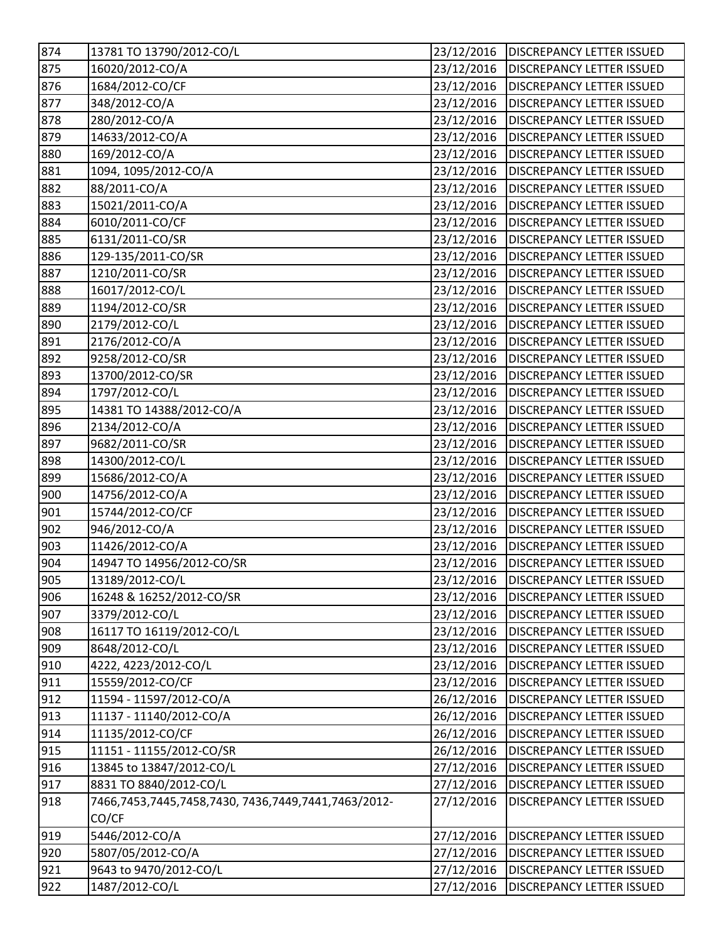| 874 | 13781 TO 13790/2012-CO/L                            | 23/12/2016 | <b>DISCREPANCY LETTER ISSUED</b>       |
|-----|-----------------------------------------------------|------------|----------------------------------------|
| 875 | 16020/2012-CO/A                                     | 23/12/2016 | <b>DISCREPANCY LETTER ISSUED</b>       |
| 876 | 1684/2012-CO/CF                                     | 23/12/2016 | <b>DISCREPANCY LETTER ISSUED</b>       |
| 877 | 348/2012-CO/A                                       | 23/12/2016 | <b>DISCREPANCY LETTER ISSUED</b>       |
| 878 | 280/2012-CO/A                                       | 23/12/2016 | <b>DISCREPANCY LETTER ISSUED</b>       |
| 879 | 14633/2012-CO/A                                     | 23/12/2016 | <b>DISCREPANCY LETTER ISSUED</b>       |
| 880 | 169/2012-CO/A                                       | 23/12/2016 | <b>DISCREPANCY LETTER ISSUED</b>       |
| 881 | 1094, 1095/2012-CO/A                                | 23/12/2016 | <b>DISCREPANCY LETTER ISSUED</b>       |
| 882 | 88/2011-CO/A                                        | 23/12/2016 | <b>DISCREPANCY LETTER ISSUED</b>       |
| 883 | 15021/2011-CO/A                                     | 23/12/2016 | <b>DISCREPANCY LETTER ISSUED</b>       |
| 884 | 6010/2011-CO/CF                                     | 23/12/2016 | <b>DISCREPANCY LETTER ISSUED</b>       |
| 885 | 6131/2011-CO/SR                                     | 23/12/2016 | <b>DISCREPANCY LETTER ISSUED</b>       |
| 886 | 129-135/2011-CO/SR                                  | 23/12/2016 | <b>DISCREPANCY LETTER ISSUED</b>       |
| 887 | 1210/2011-CO/SR                                     | 23/12/2016 | <b>DISCREPANCY LETTER ISSUED</b>       |
| 888 | 16017/2012-CO/L                                     | 23/12/2016 | <b>DISCREPANCY LETTER ISSUED</b>       |
| 889 | 1194/2012-CO/SR                                     | 23/12/2016 | <b>DISCREPANCY LETTER ISSUED</b>       |
| 890 | 2179/2012-CO/L                                      | 23/12/2016 | <b>DISCREPANCY LETTER ISSUED</b>       |
| 891 | 2176/2012-CO/A                                      | 23/12/2016 | <b>DISCREPANCY LETTER ISSUED</b>       |
| 892 | 9258/2012-CO/SR                                     | 23/12/2016 | <b>DISCREPANCY LETTER ISSUED</b>       |
| 893 | 13700/2012-CO/SR                                    | 23/12/2016 | <b>DISCREPANCY LETTER ISSUED</b>       |
| 894 | 1797/2012-CO/L                                      | 23/12/2016 | <b>DISCREPANCY LETTER ISSUED</b>       |
| 895 | 14381 TO 14388/2012-CO/A                            | 23/12/2016 | <b>DISCREPANCY LETTER ISSUED</b>       |
| 896 | 2134/2012-CO/A                                      | 23/12/2016 | <b>DISCREPANCY LETTER ISSUED</b>       |
| 897 | 9682/2011-CO/SR                                     | 23/12/2016 | <b>DISCREPANCY LETTER ISSUED</b>       |
| 898 | 14300/2012-CO/L                                     | 23/12/2016 | <b>DISCREPANCY LETTER ISSUED</b>       |
| 899 | 15686/2012-CO/A                                     | 23/12/2016 | <b>DISCREPANCY LETTER ISSUED</b>       |
| 900 | 14756/2012-CO/A                                     | 23/12/2016 | <b>DISCREPANCY LETTER ISSUED</b>       |
| 901 | 15744/2012-CO/CF                                    | 23/12/2016 | <b>DISCREPANCY LETTER ISSUED</b>       |
| 902 | 946/2012-CO/A                                       | 23/12/2016 | <b>DISCREPANCY LETTER ISSUED</b>       |
| 903 | 11426/2012-CO/A                                     | 23/12/2016 | <b>DISCREPANCY LETTER ISSUED</b>       |
| 904 | 14947 TO 14956/2012-CO/SR                           | 23/12/2016 | <b>DISCREPANCY LETTER ISSUED</b>       |
| 905 | 13189/2012-CO/L                                     |            | 23/12/2016   DISCREPANCY LETTER ISSUED |
| 906 | 16248 & 16252/2012-CO/SR                            | 23/12/2016 | <b>DISCREPANCY LETTER ISSUED</b>       |
| 907 | 3379/2012-CO/L                                      | 23/12/2016 | <b>DISCREPANCY LETTER ISSUED</b>       |
| 908 | 16117 TO 16119/2012-CO/L                            | 23/12/2016 | <b>DISCREPANCY LETTER ISSUED</b>       |
| 909 | 8648/2012-CO/L                                      | 23/12/2016 | <b>DISCREPANCY LETTER ISSUED</b>       |
| 910 | 4222, 4223/2012-CO/L                                | 23/12/2016 | <b>DISCREPANCY LETTER ISSUED</b>       |
| 911 | 15559/2012-CO/CF                                    | 23/12/2016 | <b>DISCREPANCY LETTER ISSUED</b>       |
| 912 | 11594 - 11597/2012-CO/A                             | 26/12/2016 | DISCREPANCY LETTER ISSUED              |
| 913 | 11137 - 11140/2012-CO/A                             | 26/12/2016 | <b>DISCREPANCY LETTER ISSUED</b>       |
| 914 | 11135/2012-CO/CF                                    | 26/12/2016 | <b>DISCREPANCY LETTER ISSUED</b>       |
| 915 | 11151 - 11155/2012-CO/SR                            | 26/12/2016 | <b>DISCREPANCY LETTER ISSUED</b>       |
| 916 | 13845 to 13847/2012-CO/L                            | 27/12/2016 | <b>DISCREPANCY LETTER ISSUED</b>       |
| 917 | 8831 TO 8840/2012-CO/L                              | 27/12/2016 | <b>DISCREPANCY LETTER ISSUED</b>       |
| 918 | 7466,7453,7445,7458,7430, 7436,7449,7441,7463/2012- | 27/12/2016 | <b>DISCREPANCY LETTER ISSUED</b>       |
|     | CO/CF                                               |            |                                        |
| 919 | 5446/2012-CO/A                                      | 27/12/2016 | <b>DISCREPANCY LETTER ISSUED</b>       |
| 920 | 5807/05/2012-CO/A                                   | 27/12/2016 | <b>DISCREPANCY LETTER ISSUED</b>       |
| 921 | 9643 to 9470/2012-CO/L                              | 27/12/2016 | <b>DISCREPANCY LETTER ISSUED</b>       |
| 922 | 1487/2012-CO/L                                      | 27/12/2016 | DISCREPANCY LETTER ISSUED              |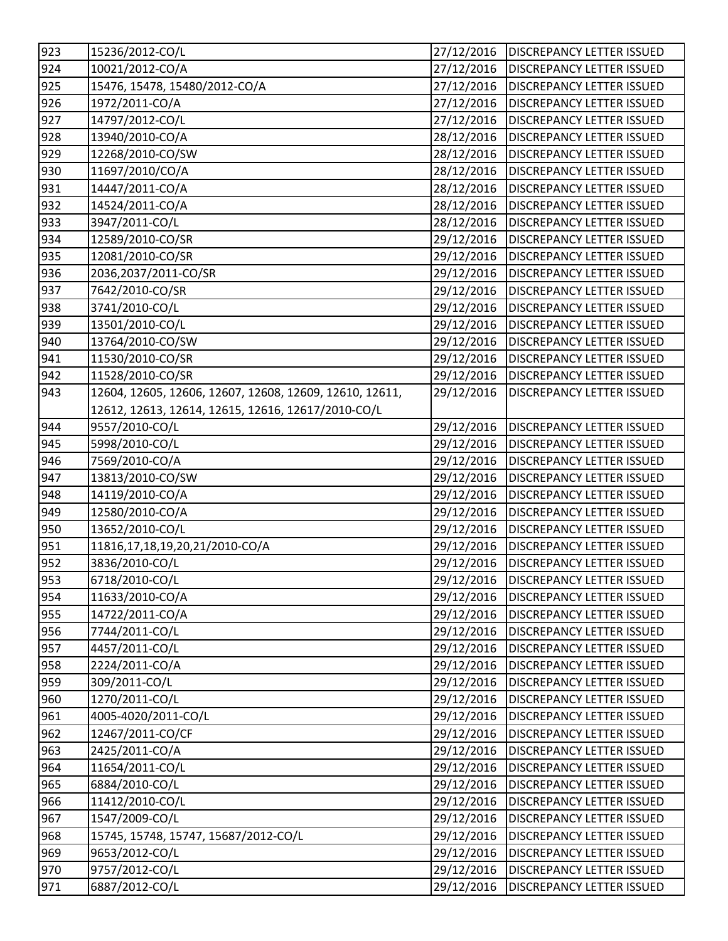| 923 | 15236/2012-CO/L                                         | 27/12/2016 | <b>DISCREPANCY LETTER ISSUED</b> |
|-----|---------------------------------------------------------|------------|----------------------------------|
| 924 | 10021/2012-CO/A                                         | 27/12/2016 | <b>DISCREPANCY LETTER ISSUED</b> |
| 925 | 15476, 15478, 15480/2012-CO/A                           | 27/12/2016 | <b>DISCREPANCY LETTER ISSUED</b> |
| 926 | 1972/2011-CO/A                                          | 27/12/2016 | <b>DISCREPANCY LETTER ISSUED</b> |
| 927 | 14797/2012-CO/L                                         | 27/12/2016 | <b>DISCREPANCY LETTER ISSUED</b> |
| 928 | 13940/2010-CO/A                                         | 28/12/2016 | <b>DISCREPANCY LETTER ISSUED</b> |
| 929 | 12268/2010-CO/SW                                        | 28/12/2016 | <b>DISCREPANCY LETTER ISSUED</b> |
| 930 | 11697/2010/CO/A                                         | 28/12/2016 | <b>DISCREPANCY LETTER ISSUED</b> |
| 931 | 14447/2011-CO/A                                         | 28/12/2016 | <b>DISCREPANCY LETTER ISSUED</b> |
| 932 | 14524/2011-CO/A                                         | 28/12/2016 | <b>DISCREPANCY LETTER ISSUED</b> |
| 933 | 3947/2011-CO/L                                          | 28/12/2016 | <b>DISCREPANCY LETTER ISSUED</b> |
| 934 | 12589/2010-CO/SR                                        | 29/12/2016 | <b>DISCREPANCY LETTER ISSUED</b> |
| 935 | 12081/2010-CO/SR                                        | 29/12/2016 | <b>DISCREPANCY LETTER ISSUED</b> |
| 936 | 2036,2037/2011-CO/SR                                    | 29/12/2016 | <b>DISCREPANCY LETTER ISSUED</b> |
| 937 | 7642/2010-CO/SR                                         | 29/12/2016 | <b>DISCREPANCY LETTER ISSUED</b> |
| 938 | 3741/2010-CO/L                                          | 29/12/2016 | <b>DISCREPANCY LETTER ISSUED</b> |
| 939 | 13501/2010-CO/L                                         | 29/12/2016 | <b>DISCREPANCY LETTER ISSUED</b> |
| 940 | 13764/2010-CO/SW                                        | 29/12/2016 | <b>DISCREPANCY LETTER ISSUED</b> |
| 941 | 11530/2010-CO/SR                                        | 29/12/2016 | <b>DISCREPANCY LETTER ISSUED</b> |
| 942 | 11528/2010-CO/SR                                        | 29/12/2016 | <b>DISCREPANCY LETTER ISSUED</b> |
| 943 | 12604, 12605, 12606, 12607, 12608, 12609, 12610, 12611, | 29/12/2016 | <b>DISCREPANCY LETTER ISSUED</b> |
|     | 12612, 12613, 12614, 12615, 12616, 12617/2010-CO/L      |            |                                  |
| 944 | 9557/2010-CO/L                                          | 29/12/2016 | <b>DISCREPANCY LETTER ISSUED</b> |
| 945 | 5998/2010-CO/L                                          | 29/12/2016 | <b>DISCREPANCY LETTER ISSUED</b> |
| 946 | 7569/2010-CO/A                                          | 29/12/2016 | <b>DISCREPANCY LETTER ISSUED</b> |
| 947 | 13813/2010-CO/SW                                        | 29/12/2016 | <b>DISCREPANCY LETTER ISSUED</b> |
| 948 | 14119/2010-CO/A                                         | 29/12/2016 | <b>DISCREPANCY LETTER ISSUED</b> |
| 949 | 12580/2010-CO/A                                         | 29/12/2016 | <b>DISCREPANCY LETTER ISSUED</b> |
| 950 | 13652/2010-CO/L                                         | 29/12/2016 | <b>DISCREPANCY LETTER ISSUED</b> |
| 951 | 11816,17,18,19,20,21/2010-CO/A                          | 29/12/2016 | <b>DISCREPANCY LETTER ISSUED</b> |
| 952 | 3836/2010-CO/L                                          | 29/12/2016 | <b>DISCREPANCY LETTER ISSUED</b> |
| 953 | 6718/2010-CO/L                                          | 29/12/2016 | <b>DISCREPANCY LETTER ISSUED</b> |
| 954 | 11633/2010-CO/A                                         | 29/12/2016 | <b>DISCREPANCY LETTER ISSUED</b> |
| 955 | 14722/2011-CO/A                                         | 29/12/2016 | <b>DISCREPANCY LETTER ISSUED</b> |
| 956 | 7744/2011-CO/L                                          | 29/12/2016 | <b>DISCREPANCY LETTER ISSUED</b> |
| 957 | 4457/2011-CO/L                                          | 29/12/2016 | <b>DISCREPANCY LETTER ISSUED</b> |
| 958 | 2224/2011-CO/A                                          | 29/12/2016 | <b>DISCREPANCY LETTER ISSUED</b> |
| 959 | 309/2011-CO/L                                           | 29/12/2016 | <b>DISCREPANCY LETTER ISSUED</b> |
| 960 | 1270/2011-CO/L                                          | 29/12/2016 | <b>DISCREPANCY LETTER ISSUED</b> |
| 961 | 4005-4020/2011-CO/L                                     | 29/12/2016 | <b>DISCREPANCY LETTER ISSUED</b> |
| 962 | 12467/2011-CO/CF                                        | 29/12/2016 | <b>DISCREPANCY LETTER ISSUED</b> |
| 963 | 2425/2011-CO/A                                          | 29/12/2016 | <b>DISCREPANCY LETTER ISSUED</b> |
| 964 | 11654/2011-CO/L                                         | 29/12/2016 | <b>DISCREPANCY LETTER ISSUED</b> |
| 965 | 6884/2010-CO/L                                          | 29/12/2016 | <b>DISCREPANCY LETTER ISSUED</b> |
| 966 | 11412/2010-CO/L                                         | 29/12/2016 | <b>DISCREPANCY LETTER ISSUED</b> |
| 967 | 1547/2009-CO/L                                          | 29/12/2016 | <b>DISCREPANCY LETTER ISSUED</b> |
| 968 | 15745, 15748, 15747, 15687/2012-CO/L                    | 29/12/2016 | <b>DISCREPANCY LETTER ISSUED</b> |
| 969 | 9653/2012-CO/L                                          | 29/12/2016 | <b>DISCREPANCY LETTER ISSUED</b> |
| 970 | 9757/2012-CO/L                                          | 29/12/2016 | DISCREPANCY LETTER ISSUED        |
| 971 | 6887/2012-CO/L                                          | 29/12/2016 | DISCREPANCY LETTER ISSUED        |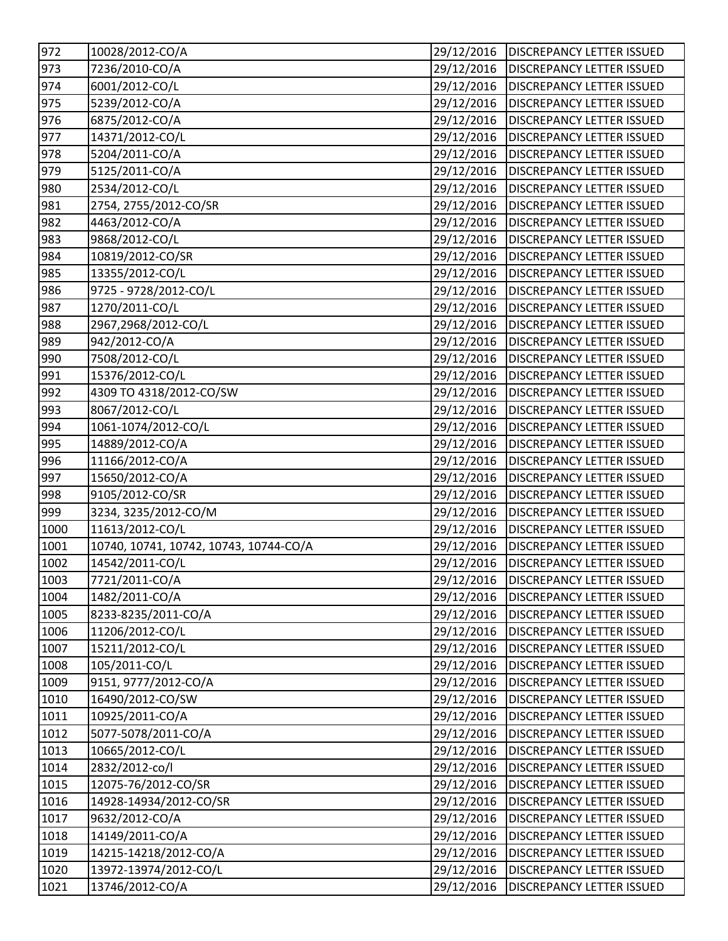| 972  | 10028/2012-CO/A                        | 29/12/2016 | <b>DISCREPANCY LETTER ISSUED</b>       |
|------|----------------------------------------|------------|----------------------------------------|
| 973  | 7236/2010-CO/A                         | 29/12/2016 | <b>DISCREPANCY LETTER ISSUED</b>       |
| 974  | 6001/2012-CO/L                         | 29/12/2016 | <b>DISCREPANCY LETTER ISSUED</b>       |
| 975  | 5239/2012-CO/A                         | 29/12/2016 | <b>DISCREPANCY LETTER ISSUED</b>       |
| 976  | 6875/2012-CO/A                         | 29/12/2016 | <b>DISCREPANCY LETTER ISSUED</b>       |
| 977  | 14371/2012-CO/L                        | 29/12/2016 | <b>DISCREPANCY LETTER ISSUED</b>       |
| 978  | 5204/2011-CO/A                         | 29/12/2016 | <b>DISCREPANCY LETTER ISSUED</b>       |
| 979  | 5125/2011-CO/A                         | 29/12/2016 | <b>DISCREPANCY LETTER ISSUED</b>       |
| 980  | 2534/2012-CO/L                         | 29/12/2016 | <b>DISCREPANCY LETTER ISSUED</b>       |
| 981  | 2754, 2755/2012-CO/SR                  | 29/12/2016 | <b>DISCREPANCY LETTER ISSUED</b>       |
| 982  | 4463/2012-CO/A                         | 29/12/2016 | <b>DISCREPANCY LETTER ISSUED</b>       |
| 983  | 9868/2012-CO/L                         | 29/12/2016 | <b>DISCREPANCY LETTER ISSUED</b>       |
| 984  | 10819/2012-CO/SR                       | 29/12/2016 | <b>DISCREPANCY LETTER ISSUED</b>       |
| 985  | 13355/2012-CO/L                        | 29/12/2016 | <b>DISCREPANCY LETTER ISSUED</b>       |
| 986  | 9725 - 9728/2012-CO/L                  | 29/12/2016 | <b>DISCREPANCY LETTER ISSUED</b>       |
| 987  | 1270/2011-CO/L                         | 29/12/2016 | <b>DISCREPANCY LETTER ISSUED</b>       |
| 988  | 2967,2968/2012-CO/L                    | 29/12/2016 | <b>DISCREPANCY LETTER ISSUED</b>       |
| 989  | 942/2012-CO/A                          | 29/12/2016 | <b>DISCREPANCY LETTER ISSUED</b>       |
| 990  | 7508/2012-CO/L                         | 29/12/2016 | <b>DISCREPANCY LETTER ISSUED</b>       |
| 991  | 15376/2012-CO/L                        | 29/12/2016 | <b>DISCREPANCY LETTER ISSUED</b>       |
| 992  | 4309 TO 4318/2012-CO/SW                | 29/12/2016 | <b>DISCREPANCY LETTER ISSUED</b>       |
| 993  | 8067/2012-CO/L                         | 29/12/2016 | <b>DISCREPANCY LETTER ISSUED</b>       |
| 994  | 1061-1074/2012-CO/L                    | 29/12/2016 | <b>DISCREPANCY LETTER ISSUED</b>       |
| 995  | 14889/2012-CO/A                        | 29/12/2016 | <b>DISCREPANCY LETTER ISSUED</b>       |
| 996  | 11166/2012-CO/A                        | 29/12/2016 | <b>DISCREPANCY LETTER ISSUED</b>       |
| 997  | 15650/2012-CO/A                        | 29/12/2016 | <b>DISCREPANCY LETTER ISSUED</b>       |
| 998  | 9105/2012-CO/SR                        | 29/12/2016 | <b>DISCREPANCY LETTER ISSUED</b>       |
| 999  | 3234, 3235/2012-CO/M                   | 29/12/2016 | <b>DISCREPANCY LETTER ISSUED</b>       |
| 1000 | 11613/2012-CO/L                        | 29/12/2016 | <b>DISCREPANCY LETTER ISSUED</b>       |
| 1001 | 10740, 10741, 10742, 10743, 10744-CO/A | 29/12/2016 | <b>DISCREPANCY LETTER ISSUED</b>       |
| 1002 | 14542/2011-CO/L                        | 29/12/2016 | <b>DISCREPANCY LETTER ISSUED</b>       |
| 1003 | 7721/2011-CO/A                         |            | 29/12/2016   DISCREPANCY LETTER ISSUED |
| 1004 | 1482/2011-CO/A                         | 29/12/2016 | <b>DISCREPANCY LETTER ISSUED</b>       |
| 1005 | 8233-8235/2011-CO/A                    | 29/12/2016 | <b>DISCREPANCY LETTER ISSUED</b>       |
| 1006 | 11206/2012-CO/L                        | 29/12/2016 | <b>DISCREPANCY LETTER ISSUED</b>       |
| 1007 | 15211/2012-CO/L                        | 29/12/2016 | <b>DISCREPANCY LETTER ISSUED</b>       |
| 1008 | 105/2011-CO/L                          | 29/12/2016 | <b>DISCREPANCY LETTER ISSUED</b>       |
| 1009 | 9151, 9777/2012-CO/A                   | 29/12/2016 | <b>DISCREPANCY LETTER ISSUED</b>       |
| 1010 | 16490/2012-CO/SW                       | 29/12/2016 | DISCREPANCY LETTER ISSUED              |
| 1011 | 10925/2011-CO/A                        | 29/12/2016 | <b>DISCREPANCY LETTER ISSUED</b>       |
| 1012 | 5077-5078/2011-CO/A                    | 29/12/2016 | <b>DISCREPANCY LETTER ISSUED</b>       |
| 1013 | 10665/2012-CO/L                        | 29/12/2016 | DISCREPANCY LETTER ISSUED              |
| 1014 | 2832/2012-co/l                         | 29/12/2016 | <b>DISCREPANCY LETTER ISSUED</b>       |
| 1015 | 12075-76/2012-CO/SR                    | 29/12/2016 | DISCREPANCY LETTER ISSUED              |
| 1016 | 14928-14934/2012-CO/SR                 | 29/12/2016 | DISCREPANCY LETTER ISSUED              |
| 1017 | 9632/2012-CO/A                         | 29/12/2016 | <b>DISCREPANCY LETTER ISSUED</b>       |
| 1018 | 14149/2011-CO/A                        | 29/12/2016 | DISCREPANCY LETTER ISSUED              |
| 1019 | 14215-14218/2012-CO/A                  | 29/12/2016 | <b>DISCREPANCY LETTER ISSUED</b>       |
| 1020 | 13972-13974/2012-CO/L                  | 29/12/2016 | DISCREPANCY LETTER ISSUED              |
| 1021 | 13746/2012-CO/A                        | 29/12/2016 | DISCREPANCY LETTER ISSUED              |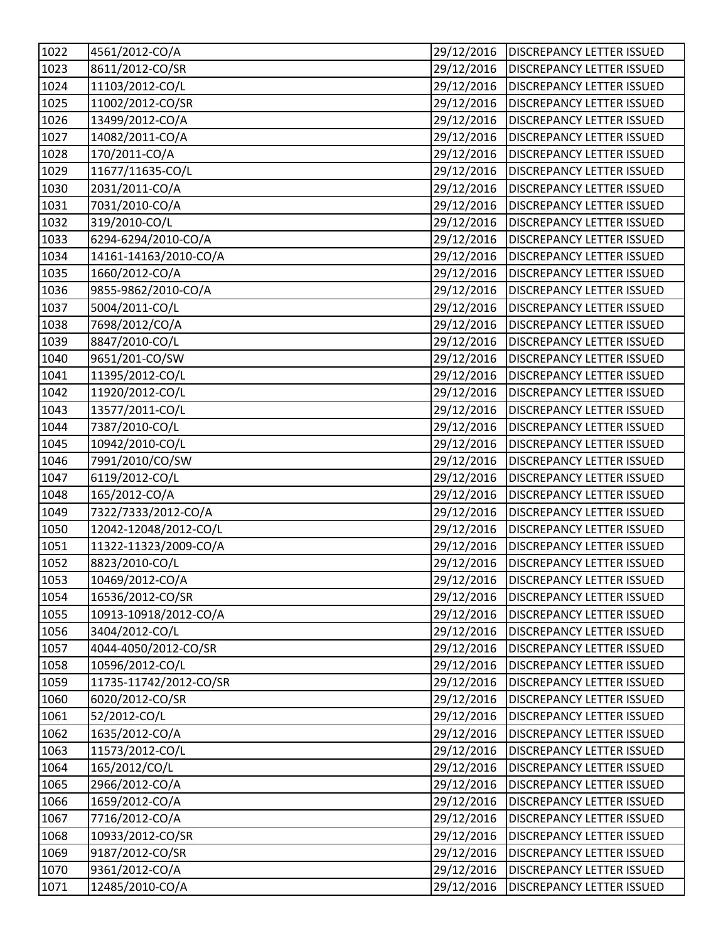| 1022         | 4561/2012-CO/A         | 29/12/2016 | <b>DISCREPANCY LETTER ISSUED</b> |
|--------------|------------------------|------------|----------------------------------|
| 1023         | 8611/2012-CO/SR        | 29/12/2016 | <b>DISCREPANCY LETTER ISSUED</b> |
| 1024         | 11103/2012-CO/L        | 29/12/2016 | <b>DISCREPANCY LETTER ISSUED</b> |
| 1025         | 11002/2012-CO/SR       | 29/12/2016 | <b>DISCREPANCY LETTER ISSUED</b> |
| 1026         | 13499/2012-CO/A        | 29/12/2016 | <b>DISCREPANCY LETTER ISSUED</b> |
| 1027         | 14082/2011-CO/A        | 29/12/2016 | <b>DISCREPANCY LETTER ISSUED</b> |
| 1028         | 170/2011-CO/A          | 29/12/2016 | <b>DISCREPANCY LETTER ISSUED</b> |
| 1029         | 11677/11635-CO/L       | 29/12/2016 | <b>DISCREPANCY LETTER ISSUED</b> |
| 1030         | 2031/2011-CO/A         | 29/12/2016 | <b>DISCREPANCY LETTER ISSUED</b> |
| 1031         | 7031/2010-CO/A         | 29/12/2016 | <b>DISCREPANCY LETTER ISSUED</b> |
| 1032         | 319/2010-CO/L          | 29/12/2016 | <b>DISCREPANCY LETTER ISSUED</b> |
| 1033         | 6294-6294/2010-CO/A    | 29/12/2016 | <b>DISCREPANCY LETTER ISSUED</b> |
| 1034         | 14161-14163/2010-CO/A  | 29/12/2016 | <b>DISCREPANCY LETTER ISSUED</b> |
| 1035         | 1660/2012-CO/A         | 29/12/2016 | <b>DISCREPANCY LETTER ISSUED</b> |
| 1036         | 9855-9862/2010-CO/A    | 29/12/2016 | <b>DISCREPANCY LETTER ISSUED</b> |
| 1037         | 5004/2011-CO/L         | 29/12/2016 | <b>DISCREPANCY LETTER ISSUED</b> |
| 1038         | 7698/2012/CO/A         | 29/12/2016 | <b>DISCREPANCY LETTER ISSUED</b> |
| 1039         | 8847/2010-CO/L         | 29/12/2016 | <b>DISCREPANCY LETTER ISSUED</b> |
| 1040         | 9651/201-CO/SW         | 29/12/2016 | <b>DISCREPANCY LETTER ISSUED</b> |
| 1041         | 11395/2012-CO/L        | 29/12/2016 | <b>DISCREPANCY LETTER ISSUED</b> |
| 1042         | 11920/2012-CO/L        | 29/12/2016 | <b>DISCREPANCY LETTER ISSUED</b> |
| 1043         | 13577/2011-CO/L        | 29/12/2016 | <b>DISCREPANCY LETTER ISSUED</b> |
| 1044         | 7387/2010-CO/L         | 29/12/2016 | <b>DISCREPANCY LETTER ISSUED</b> |
| 1045         | 10942/2010-CO/L        | 29/12/2016 | <b>DISCREPANCY LETTER ISSUED</b> |
| 1046         | 7991/2010/CO/SW        | 29/12/2016 | <b>DISCREPANCY LETTER ISSUED</b> |
| 1047         | 6119/2012-CO/L         | 29/12/2016 | <b>DISCREPANCY LETTER ISSUED</b> |
| 1048         | 165/2012-CO/A          | 29/12/2016 | <b>DISCREPANCY LETTER ISSUED</b> |
| 1049         | 7322/7333/2012-CO/A    | 29/12/2016 | <b>DISCREPANCY LETTER ISSUED</b> |
| 1050         | 12042-12048/2012-CO/L  | 29/12/2016 | <b>DISCREPANCY LETTER ISSUED</b> |
| 1051         | 11322-11323/2009-CO/A  | 29/12/2016 | <b>DISCREPANCY LETTER ISSUED</b> |
| 1052         | 8823/2010-CO/L         | 29/12/2016 | <b>DISCREPANCY LETTER ISSUED</b> |
| 1053         | 10469/2012-CO/A        | 29/12/2016 | <b>DISCREPANCY LETTER ISSUED</b> |
| 1054         | 16536/2012-CO/SR       | 29/12/2016 | <b>DISCREPANCY LETTER ISSUED</b> |
| 1055         | 10913-10918/2012-CO/A  | 29/12/2016 | <b>DISCREPANCY LETTER ISSUED</b> |
| 1056         | 3404/2012-CO/L         | 29/12/2016 | <b>DISCREPANCY LETTER ISSUED</b> |
| 1057         | 4044-4050/2012-CO/SR   | 29/12/2016 | <b>DISCREPANCY LETTER ISSUED</b> |
| 1058         | 10596/2012-CO/L        | 29/12/2016 | <b>DISCREPANCY LETTER ISSUED</b> |
| 1059         | 11735-11742/2012-CO/SR | 29/12/2016 | <b>DISCREPANCY LETTER ISSUED</b> |
| 1060         | 6020/2012-CO/SR        | 29/12/2016 | <b>DISCREPANCY LETTER ISSUED</b> |
| 1061         | 52/2012-CO/L           | 29/12/2016 | <b>DISCREPANCY LETTER ISSUED</b> |
| 1062         | 1635/2012-CO/A         | 29/12/2016 | <b>DISCREPANCY LETTER ISSUED</b> |
| 1063         | 11573/2012-CO/L        | 29/12/2016 | <b>DISCREPANCY LETTER ISSUED</b> |
| 1064         | 165/2012/CO/L          | 29/12/2016 | <b>DISCREPANCY LETTER ISSUED</b> |
| 1065         | 2966/2012-CO/A         | 29/12/2016 | <b>DISCREPANCY LETTER ISSUED</b> |
|              |                        |            |                                  |
| 1066         | 1659/2012-CO/A         | 29/12/2016 | <b>DISCREPANCY LETTER ISSUED</b> |
|              | 7716/2012-CO/A         | 29/12/2016 | <b>DISCREPANCY LETTER ISSUED</b> |
| 1067<br>1068 | 10933/2012-CO/SR       | 29/12/2016 | <b>DISCREPANCY LETTER ISSUED</b> |
| 1069         | 9187/2012-CO/SR        | 29/12/2016 | <b>DISCREPANCY LETTER ISSUED</b> |
| 1070         | 9361/2012-CO/A         | 29/12/2016 | <b>DISCREPANCY LETTER ISSUED</b> |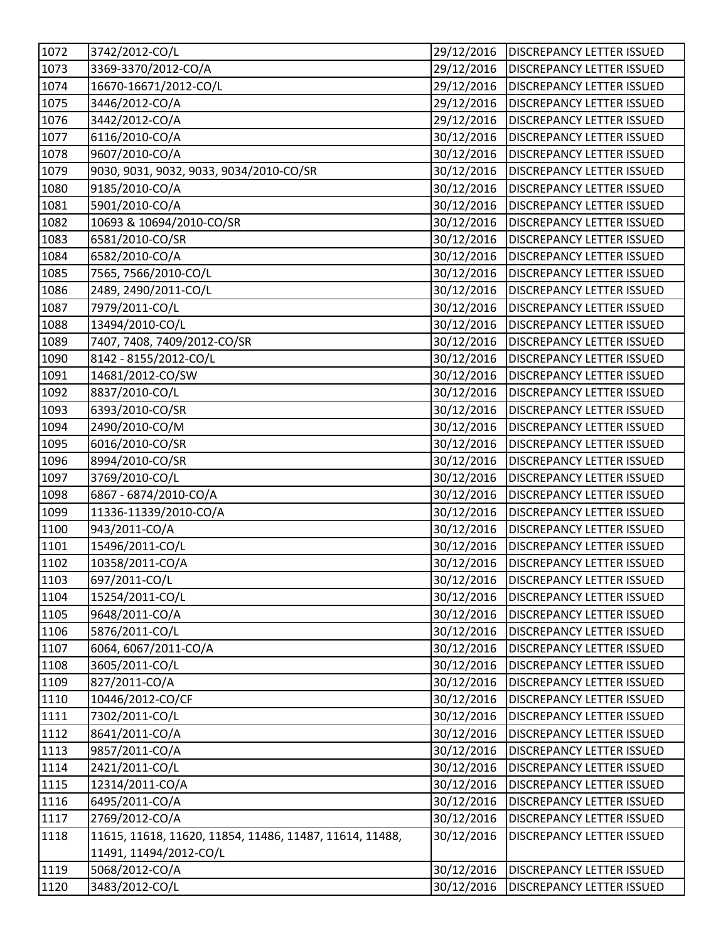| 1072 | 3742/2012-CO/L                                          | 29/12/2016 | <b>DISCREPANCY LETTER ISSUED</b>       |
|------|---------------------------------------------------------|------------|----------------------------------------|
| 1073 | 3369-3370/2012-CO/A                                     | 29/12/2016 | <b>DISCREPANCY LETTER ISSUED</b>       |
| 1074 | 16670-16671/2012-CO/L                                   | 29/12/2016 | <b>DISCREPANCY LETTER ISSUED</b>       |
| 1075 | 3446/2012-CO/A                                          | 29/12/2016 | <b>DISCREPANCY LETTER ISSUED</b>       |
| 1076 | 3442/2012-CO/A                                          | 29/12/2016 | <b>DISCREPANCY LETTER ISSUED</b>       |
| 1077 | 6116/2010-CO/A                                          | 30/12/2016 | <b>DISCREPANCY LETTER ISSUED</b>       |
| 1078 | 9607/2010-CO/A                                          | 30/12/2016 | <b>DISCREPANCY LETTER ISSUED</b>       |
| 1079 | 9030, 9031, 9032, 9033, 9034/2010-CO/SR                 | 30/12/2016 | <b>DISCREPANCY LETTER ISSUED</b>       |
| 1080 | 9185/2010-CO/A                                          | 30/12/2016 | <b>DISCREPANCY LETTER ISSUED</b>       |
| 1081 | 5901/2010-CO/A                                          | 30/12/2016 | <b>DISCREPANCY LETTER ISSUED</b>       |
| 1082 | 10693 & 10694/2010-CO/SR                                | 30/12/2016 | <b>DISCREPANCY LETTER ISSUED</b>       |
| 1083 | 6581/2010-CO/SR                                         | 30/12/2016 | <b>DISCREPANCY LETTER ISSUED</b>       |
| 1084 | 6582/2010-CO/A                                          | 30/12/2016 | <b>DISCREPANCY LETTER ISSUED</b>       |
| 1085 | 7565, 7566/2010-CO/L                                    | 30/12/2016 | <b>DISCREPANCY LETTER ISSUED</b>       |
| 1086 | 2489, 2490/2011-CO/L                                    | 30/12/2016 | <b>DISCREPANCY LETTER ISSUED</b>       |
| 1087 | 7979/2011-CO/L                                          | 30/12/2016 | <b>DISCREPANCY LETTER ISSUED</b>       |
| 1088 | 13494/2010-CO/L                                         | 30/12/2016 | <b>DISCREPANCY LETTER ISSUED</b>       |
| 1089 | 7407, 7408, 7409/2012-CO/SR                             | 30/12/2016 | <b>DISCREPANCY LETTER ISSUED</b>       |
| 1090 | 8142 - 8155/2012-CO/L                                   | 30/12/2016 | <b>DISCREPANCY LETTER ISSUED</b>       |
| 1091 | 14681/2012-CO/SW                                        | 30/12/2016 | <b>DISCREPANCY LETTER ISSUED</b>       |
| 1092 | 8837/2010-CO/L                                          | 30/12/2016 | <b>DISCREPANCY LETTER ISSUED</b>       |
| 1093 | 6393/2010-CO/SR                                         | 30/12/2016 | <b>DISCREPANCY LETTER ISSUED</b>       |
| 1094 | 2490/2010-CO/M                                          | 30/12/2016 | <b>DISCREPANCY LETTER ISSUED</b>       |
| 1095 | 6016/2010-CO/SR                                         | 30/12/2016 | <b>DISCREPANCY LETTER ISSUED</b>       |
| 1096 | 8994/2010-CO/SR                                         | 30/12/2016 | <b>DISCREPANCY LETTER ISSUED</b>       |
| 1097 | 3769/2010-CO/L                                          | 30/12/2016 | <b>DISCREPANCY LETTER ISSUED</b>       |
| 1098 | 6867 - 6874/2010-CO/A                                   | 30/12/2016 | <b>DISCREPANCY LETTER ISSUED</b>       |
| 1099 | 11336-11339/2010-CO/A                                   | 30/12/2016 | <b>DISCREPANCY LETTER ISSUED</b>       |
| 1100 | 943/2011-CO/A                                           | 30/12/2016 | <b>DISCREPANCY LETTER ISSUED</b>       |
| 1101 | 15496/2011-CO/L                                         | 30/12/2016 | <b>DISCREPANCY LETTER ISSUED</b>       |
| 1102 | 10358/2011-CO/A                                         | 30/12/2016 | <b>DISCREPANCY LETTER ISSUED</b>       |
| 1103 | 697/2011-CO/L                                           |            | 30/12/2016   DISCREPANCY LETTER ISSUED |
| 1104 | 15254/2011-CO/L                                         | 30/12/2016 | <b>DISCREPANCY LETTER ISSUED</b>       |
| 1105 | 9648/2011-CO/A                                          | 30/12/2016 | <b>DISCREPANCY LETTER ISSUED</b>       |
| 1106 | 5876/2011-CO/L                                          | 30/12/2016 | <b>DISCREPANCY LETTER ISSUED</b>       |
| 1107 | 6064, 6067/2011-CO/A                                    | 30/12/2016 | <b>DISCREPANCY LETTER ISSUED</b>       |
| 1108 | 3605/2011-CO/L                                          | 30/12/2016 | <b>DISCREPANCY LETTER ISSUED</b>       |
| 1109 | 827/2011-CO/A                                           | 30/12/2016 | <b>DISCREPANCY LETTER ISSUED</b>       |
| 1110 | 10446/2012-CO/CF                                        | 30/12/2016 | <b>DISCREPANCY LETTER ISSUED</b>       |
| 1111 | 7302/2011-CO/L                                          | 30/12/2016 | <b>DISCREPANCY LETTER ISSUED</b>       |
| 1112 | 8641/2011-CO/A                                          | 30/12/2016 | <b>DISCREPANCY LETTER ISSUED</b>       |
| 1113 | 9857/2011-CO/A                                          | 30/12/2016 | <b>DISCREPANCY LETTER ISSUED</b>       |
| 1114 | 2421/2011-CO/L                                          | 30/12/2016 | <b>DISCREPANCY LETTER ISSUED</b>       |
| 1115 | 12314/2011-CO/A                                         | 30/12/2016 | <b>DISCREPANCY LETTER ISSUED</b>       |
| 1116 | 6495/2011-CO/A                                          | 30/12/2016 | <b>DISCREPANCY LETTER ISSUED</b>       |
| 1117 | 2769/2012-CO/A                                          | 30/12/2016 | <b>DISCREPANCY LETTER ISSUED</b>       |
| 1118 | 11615, 11618, 11620, 11854, 11486, 11487, 11614, 11488, | 30/12/2016 | <b>DISCREPANCY LETTER ISSUED</b>       |
|      | 11491, 11494/2012-CO/L                                  |            |                                        |
| 1119 | 5068/2012-CO/A                                          | 30/12/2016 | <b>DISCREPANCY LETTER ISSUED</b>       |
| 1120 | 3483/2012-CO/L                                          | 30/12/2016 | <b>DISCREPANCY LETTER ISSUED</b>       |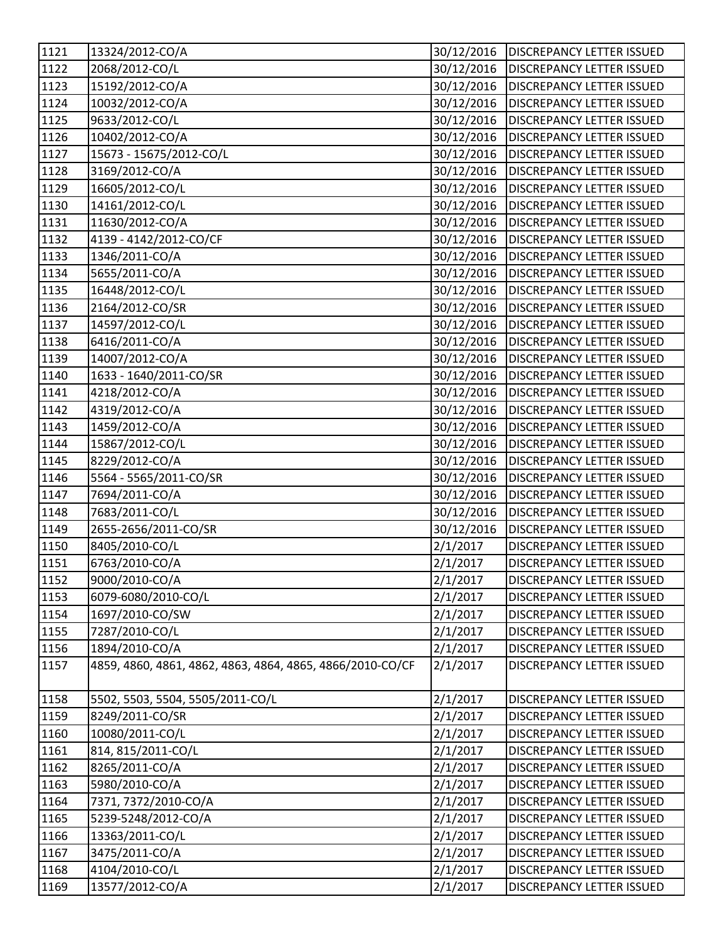| 1121             | 13324/2012-CO/A                                           | 30/12/2016 | <b>DISCREPANCY LETTER ISSUED</b> |
|------------------|-----------------------------------------------------------|------------|----------------------------------|
| 1122             | 2068/2012-CO/L                                            | 30/12/2016 | <b>DISCREPANCY LETTER ISSUED</b> |
| 1123             | 15192/2012-CO/A                                           | 30/12/2016 | <b>DISCREPANCY LETTER ISSUED</b> |
| 1124             | 10032/2012-CO/A                                           | 30/12/2016 | <b>DISCREPANCY LETTER ISSUED</b> |
| 1125             | 9633/2012-CO/L                                            | 30/12/2016 | <b>DISCREPANCY LETTER ISSUED</b> |
| 1126             | 10402/2012-CO/A                                           | 30/12/2016 | DISCREPANCY LETTER ISSUED        |
| 1127             | 15673 - 15675/2012-CO/L                                   | 30/12/2016 | <b>DISCREPANCY LETTER ISSUED</b> |
| 1128             | 3169/2012-CO/A                                            | 30/12/2016 | <b>DISCREPANCY LETTER ISSUED</b> |
| $\frac{1}{1129}$ | 16605/2012-CO/L                                           | 30/12/2016 | DISCREPANCY LETTER ISSUED        |
| 1130             | 14161/2012-CO/L                                           | 30/12/2016 | <b>DISCREPANCY LETTER ISSUED</b> |
| 1131             | 11630/2012-CO/A                                           | 30/12/2016 | <b>DISCREPANCY LETTER ISSUED</b> |
| 1132             | 4139 - 4142/2012-CO/CF                                    | 30/12/2016 | <b>DISCREPANCY LETTER ISSUED</b> |
| 1133             | 1346/2011-CO/A                                            | 30/12/2016 | <b>DISCREPANCY LETTER ISSUED</b> |
| 1134             | 5655/2011-CO/A                                            | 30/12/2016 | DISCREPANCY LETTER ISSUED        |
| 1135             | 16448/2012-CO/L                                           | 30/12/2016 | <b>DISCREPANCY LETTER ISSUED</b> |
| 1136             | 2164/2012-CO/SR                                           | 30/12/2016 | <b>DISCREPANCY LETTER ISSUED</b> |
| 1137             | 14597/2012-CO/L                                           | 30/12/2016 | <b>DISCREPANCY LETTER ISSUED</b> |
| 1138             | 6416/2011-CO/A                                            | 30/12/2016 | <b>DISCREPANCY LETTER ISSUED</b> |
| 1139             | 14007/2012-CO/A                                           | 30/12/2016 | DISCREPANCY LETTER ISSUED        |
| 1140             | 1633 - 1640/2011-CO/SR                                    | 30/12/2016 | <b>DISCREPANCY LETTER ISSUED</b> |
| 1141             | 4218/2012-CO/A                                            | 30/12/2016 | <b>DISCREPANCY LETTER ISSUED</b> |
| 1142             | 4319/2012-CO/A                                            | 30/12/2016 | <b>DISCREPANCY LETTER ISSUED</b> |
| 1143             | 1459/2012-CO/A                                            | 30/12/2016 | <b>DISCREPANCY LETTER ISSUED</b> |
| 1144             | 15867/2012-CO/L                                           | 30/12/2016 | DISCREPANCY LETTER ISSUED        |
| 1145             | 8229/2012-CO/A                                            | 30/12/2016 | DISCREPANCY LETTER ISSUED        |
| 1146             | 5564 - 5565/2011-CO/SR                                    | 30/12/2016 | <b>DISCREPANCY LETTER ISSUED</b> |
| 1147             | 7694/2011-CO/A                                            | 30/12/2016 | <b>DISCREPANCY LETTER ISSUED</b> |
| 1148             | 7683/2011-CO/L                                            | 30/12/2016 | <b>DISCREPANCY LETTER ISSUED</b> |
| 1149             | 2655-2656/2011-CO/SR                                      | 30/12/2016 | DISCREPANCY LETTER ISSUED        |
| 1150             | 8405/2010-CO/L                                            | 2/1/2017   | <b>DISCREPANCY LETTER ISSUED</b> |
| 1151             | 6763/2010-CO/A                                            | 2/1/2017   | <b>DISCREPANCY LETTER ISSUED</b> |
| 1152             | 9000/2010-CO/A                                            | 2/1/2017   | DISCREPANCY LETTER ISSUED        |
| 1153             | 6079-6080/2010-CO/L                                       | 2/1/2017   | <b>DISCREPANCY LETTER ISSUED</b> |
| 1154             | 1697/2010-CO/SW                                           | 2/1/2017   | DISCREPANCY LETTER ISSUED        |
| 1155             | 7287/2010-CO/L                                            | 2/1/2017   | DISCREPANCY LETTER ISSUED        |
| 1156             | 1894/2010-CO/A                                            | 2/1/2017   | DISCREPANCY LETTER ISSUED        |
| 1157             | 4859, 4860, 4861, 4862, 4863, 4864, 4865, 4866/2010-CO/CF | 2/1/2017   | <b>DISCREPANCY LETTER ISSUED</b> |
| 1158             | 5502, 5503, 5504, 5505/2011-CO/L                          | 2/1/2017   | DISCREPANCY LETTER ISSUED        |
| 1159             | 8249/2011-CO/SR                                           | 2/1/2017   | DISCREPANCY LETTER ISSUED        |
| 1160             | 10080/2011-CO/L                                           | 2/1/2017   | DISCREPANCY LETTER ISSUED        |
| 1161             | 814, 815/2011-CO/L                                        | 2/1/2017   | DISCREPANCY LETTER ISSUED        |
| 1162             | 8265/2011-CO/A                                            | 2/1/2017   | DISCREPANCY LETTER ISSUED        |
| 1163             | 5980/2010-CO/A                                            | 2/1/2017   | DISCREPANCY LETTER ISSUED        |
| 1164             | 7371, 7372/2010-CO/A                                      | 2/1/2017   | <b>DISCREPANCY LETTER ISSUED</b> |
| 1165             | 5239-5248/2012-CO/A                                       | 2/1/2017   | DISCREPANCY LETTER ISSUED        |
| 1166             | 13363/2011-CO/L                                           | 2/1/2017   | DISCREPANCY LETTER ISSUED        |
| 1167             | 3475/2011-CO/A                                            | 2/1/2017   | <b>DISCREPANCY LETTER ISSUED</b> |
| 1168             | 4104/2010-CO/L                                            | 2/1/2017   | DISCREPANCY LETTER ISSUED        |
| 1169             | 13577/2012-CO/A                                           | 2/1/2017   | DISCREPANCY LETTER ISSUED        |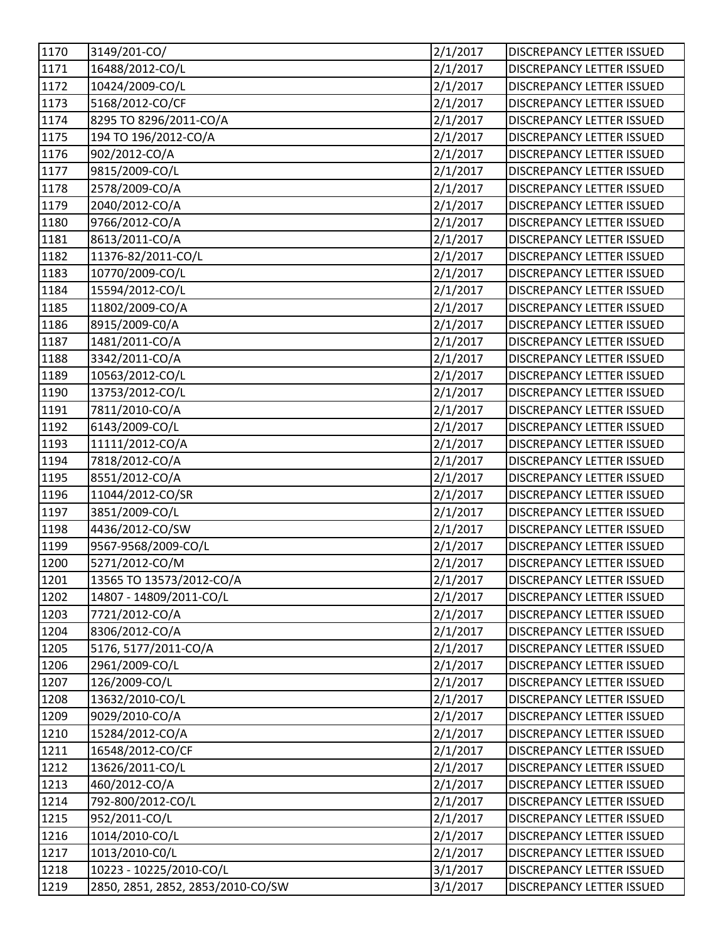| 1170 | 3149/201-CO/                      | 2/1/2017 | DISCREPANCY LETTER ISSUED        |
|------|-----------------------------------|----------|----------------------------------|
| 1171 | 16488/2012-CO/L                   | 2/1/2017 | DISCREPANCY LETTER ISSUED        |
| 1172 | 10424/2009-CO/L                   | 2/1/2017 | DISCREPANCY LETTER ISSUED        |
| 1173 | 5168/2012-CO/CF                   | 2/1/2017 | DISCREPANCY LETTER ISSUED        |
| 1174 | 8295 TO 8296/2011-CO/A            | 2/1/2017 | DISCREPANCY LETTER ISSUED        |
| 1175 | 194 TO 196/2012-CO/A              | 2/1/2017 | DISCREPANCY LETTER ISSUED        |
| 1176 | 902/2012-CO/A                     | 2/1/2017 | DISCREPANCY LETTER ISSUED        |
| 1177 | 9815/2009-CO/L                    | 2/1/2017 | DISCREPANCY LETTER ISSUED        |
| 1178 | 2578/2009-CO/A                    | 2/1/2017 | <b>DISCREPANCY LETTER ISSUED</b> |
| 1179 | 2040/2012-CO/A                    | 2/1/2017 | DISCREPANCY LETTER ISSUED        |
| 1180 | 9766/2012-CO/A                    | 2/1/2017 | DISCREPANCY LETTER ISSUED        |
| 1181 | 8613/2011-CO/A                    | 2/1/2017 | DISCREPANCY LETTER ISSUED        |
| 1182 | 11376-82/2011-CO/L                | 2/1/2017 | DISCREPANCY LETTER ISSUED        |
| 1183 | 10770/2009-CO/L                   | 2/1/2017 | DISCREPANCY LETTER ISSUED        |
| 1184 | 15594/2012-CO/L                   | 2/1/2017 | DISCREPANCY LETTER ISSUED        |
| 1185 | 11802/2009-CO/A                   | 2/1/2017 | <b>DISCREPANCY LETTER ISSUED</b> |
| 1186 | 8915/2009-C0/A                    | 2/1/2017 | DISCREPANCY LETTER ISSUED        |
| 1187 | 1481/2011-CO/A                    | 2/1/2017 | <b>DISCREPANCY LETTER ISSUED</b> |
| 1188 | 3342/2011-CO/A                    | 2/1/2017 | DISCREPANCY LETTER ISSUED        |
| 1189 | 10563/2012-CO/L                   | 2/1/2017 | DISCREPANCY LETTER ISSUED        |
| 1190 | 13753/2012-CO/L                   | 2/1/2017 | DISCREPANCY LETTER ISSUED        |
| 1191 | 7811/2010-CO/A                    | 2/1/2017 | DISCREPANCY LETTER ISSUED        |
| 1192 | 6143/2009-CO/L                    | 2/1/2017 | DISCREPANCY LETTER ISSUED        |
| 1193 | 11111/2012-CO/A                   | 2/1/2017 | DISCREPANCY LETTER ISSUED        |
| 1194 | 7818/2012-CO/A                    | 2/1/2017 | <b>DISCREPANCY LETTER ISSUED</b> |
| 1195 | 8551/2012-CO/A                    | 2/1/2017 | DISCREPANCY LETTER ISSUED        |
| 1196 | 11044/2012-CO/SR                  | 2/1/2017 | DISCREPANCY LETTER ISSUED        |
| 1197 | 3851/2009-CO/L                    | 2/1/2017 | DISCREPANCY LETTER ISSUED        |
| 1198 | 4436/2012-CO/SW                   | 2/1/2017 | DISCREPANCY LETTER ISSUED        |
| 1199 | 9567-9568/2009-CO/L               | 2/1/2017 | <b>DISCREPANCY LETTER ISSUED</b> |
| 1200 | 5271/2012-CO/M                    | 2/1/2017 | <b>DISCREPANCY LETTER ISSUED</b> |
| 1201 | 13565 TO 13573/2012-CO/A          | 2/1/2017 | DISCREPANCY LETTER ISSUED        |
| 1202 | 14807 - 14809/2011-CO/L           | 2/1/2017 | DISCREPANCY LETTER ISSUED        |
| 1203 | 7721/2012-CO/A                    | 2/1/2017 | DISCREPANCY LETTER ISSUED        |
| 1204 | 8306/2012-CO/A                    | 2/1/2017 | DISCREPANCY LETTER ISSUED        |
| 1205 | 5176, 5177/2011-CO/A              | 2/1/2017 | DISCREPANCY LETTER ISSUED        |
| 1206 | 2961/2009-CO/L                    | 2/1/2017 | DISCREPANCY LETTER ISSUED        |
| 1207 | 126/2009-CO/L                     | 2/1/2017 | DISCREPANCY LETTER ISSUED        |
| 1208 | 13632/2010-CO/L                   | 2/1/2017 | <b>DISCREPANCY LETTER ISSUED</b> |
| 1209 | 9029/2010-CO/A                    | 2/1/2017 | DISCREPANCY LETTER ISSUED        |
| 1210 | 15284/2012-CO/A                   | 2/1/2017 | DISCREPANCY LETTER ISSUED        |
| 1211 | 16548/2012-CO/CF                  | 2/1/2017 | DISCREPANCY LETTER ISSUED        |
| 1212 | 13626/2011-CO/L                   | 2/1/2017 | DISCREPANCY LETTER ISSUED        |
| 1213 | 460/2012-CO/A                     | 2/1/2017 | DISCREPANCY LETTER ISSUED        |
| 1214 | 792-800/2012-CO/L                 | 2/1/2017 | DISCREPANCY LETTER ISSUED        |
| 1215 | 952/2011-CO/L                     | 2/1/2017 | DISCREPANCY LETTER ISSUED        |
| 1216 | 1014/2010-CO/L                    | 2/1/2017 | DISCREPANCY LETTER ISSUED        |
| 1217 | 1013/2010-C0/L                    | 2/1/2017 | <b>DISCREPANCY LETTER ISSUED</b> |
| 1218 | 10223 - 10225/2010-CO/L           | 3/1/2017 | DISCREPANCY LETTER ISSUED        |
| 1219 | 2850, 2851, 2852, 2853/2010-CO/SW | 3/1/2017 | DISCREPANCY LETTER ISSUED        |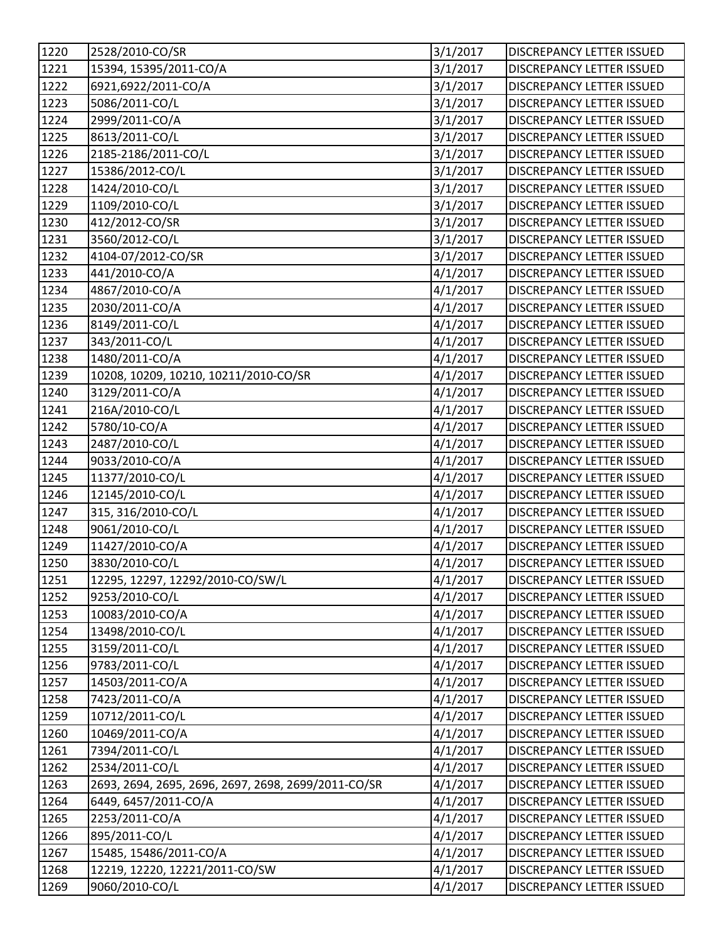| 1220 | 2528/2010-CO/SR                                     | 3/1/2017 | DISCREPANCY LETTER ISSUED        |
|------|-----------------------------------------------------|----------|----------------------------------|
| 1221 | 15394, 15395/2011-CO/A                              | 3/1/2017 | <b>DISCREPANCY LETTER ISSUED</b> |
| 1222 | 6921,6922/2011-CO/A                                 | 3/1/2017 | DISCREPANCY LETTER ISSUED        |
| 1223 | 5086/2011-CO/L                                      | 3/1/2017 | DISCREPANCY LETTER ISSUED        |
| 1224 | 2999/2011-CO/A                                      | 3/1/2017 | <b>DISCREPANCY LETTER ISSUED</b> |
| 1225 | 8613/2011-CO/L                                      | 3/1/2017 | <b>DISCREPANCY LETTER ISSUED</b> |
| 1226 | 2185-2186/2011-CO/L                                 | 3/1/2017 | <b>DISCREPANCY LETTER ISSUED</b> |
| 1227 | 15386/2012-CO/L                                     | 3/1/2017 | DISCREPANCY LETTER ISSUED        |
| 1228 | 1424/2010-CO/L                                      | 3/1/2017 | <b>DISCREPANCY LETTER ISSUED</b> |
| 1229 | 1109/2010-CO/L                                      | 3/1/2017 | <b>DISCREPANCY LETTER ISSUED</b> |
| 1230 | 412/2012-CO/SR                                      | 3/1/2017 | DISCREPANCY LETTER ISSUED        |
| 1231 | 3560/2012-CO/L                                      | 3/1/2017 | DISCREPANCY LETTER ISSUED        |
| 1232 | 4104-07/2012-CO/SR                                  | 3/1/2017 | DISCREPANCY LETTER ISSUED        |
| 1233 | 441/2010-CO/A                                       | 4/1/2017 | <b>DISCREPANCY LETTER ISSUED</b> |
| 1234 | 4867/2010-CO/A                                      | 4/1/2017 | <b>DISCREPANCY LETTER ISSUED</b> |
| 1235 | 2030/2011-CO/A                                      | 4/1/2017 | <b>DISCREPANCY LETTER ISSUED</b> |
| 1236 | 8149/2011-CO/L                                      | 4/1/2017 | DISCREPANCY LETTER ISSUED        |
| 1237 | 343/2011-CO/L                                       | 4/1/2017 | <b>DISCREPANCY LETTER ISSUED</b> |
| 1238 | 1480/2011-CO/A                                      | 4/1/2017 | DISCREPANCY LETTER ISSUED        |
| 1239 | 10208, 10209, 10210, 10211/2010-CO/SR               | 4/1/2017 | <b>DISCREPANCY LETTER ISSUED</b> |
| 1240 | 3129/2011-CO/A                                      | 4/1/2017 | DISCREPANCY LETTER ISSUED        |
| 1241 | 216A/2010-CO/L                                      | 4/1/2017 | DISCREPANCY LETTER ISSUED        |
| 1242 | 5780/10-CO/A                                        | 4/1/2017 | DISCREPANCY LETTER ISSUED        |
| 1243 | 2487/2010-CO/L                                      | 4/1/2017 | DISCREPANCY LETTER ISSUED        |
| 1244 | 9033/2010-CO/A                                      | 4/1/2017 | DISCREPANCY LETTER ISSUED        |
| 1245 | 11377/2010-CO/L                                     | 4/1/2017 | <b>DISCREPANCY LETTER ISSUED</b> |
| 1246 | 12145/2010-CO/L                                     | 4/1/2017 | <b>DISCREPANCY LETTER ISSUED</b> |
| 1247 | 315, 316/2010-CO/L                                  | 4/1/2017 | <b>DISCREPANCY LETTER ISSUED</b> |
| 1248 | 9061/2010-CO/L                                      | 4/1/2017 | <b>DISCREPANCY LETTER ISSUED</b> |
| 1249 | 11427/2010-CO/A                                     | 4/1/2017 | DISCREPANCY LETTER ISSUED        |
| 1250 | 3830/2010-CO/L                                      | 4/1/2017 | <b>DISCREPANCY LETTER ISSUED</b> |
| 1251 | 12295, 12297, 12292/2010-CO/SW/L                    | 4/1/2017 | <b>DISCREPANCY LETTER ISSUED</b> |
| 1252 | 9253/2010-CO/L                                      | 4/1/2017 | <b>DISCREPANCY LETTER ISSUED</b> |
| 1253 | 10083/2010-CO/A                                     | 4/1/2017 | <b>DISCREPANCY LETTER ISSUED</b> |
| 1254 | 13498/2010-CO/L                                     | 4/1/2017 | DISCREPANCY LETTER ISSUED        |
| 1255 | 3159/2011-CO/L                                      | 4/1/2017 | <b>DISCREPANCY LETTER ISSUED</b> |
| 1256 | 9783/2011-CO/L                                      | 4/1/2017 | <b>DISCREPANCY LETTER ISSUED</b> |
| 1257 | 14503/2011-CO/A                                     | 4/1/2017 | DISCREPANCY LETTER ISSUED        |
| 1258 | 7423/2011-CO/A                                      | 4/1/2017 | <b>DISCREPANCY LETTER ISSUED</b> |
| 1259 | 10712/2011-CO/L                                     | 4/1/2017 | DISCREPANCY LETTER ISSUED        |
| 1260 | 10469/2011-CO/A                                     | 4/1/2017 | DISCREPANCY LETTER ISSUED        |
| 1261 | 7394/2011-CO/L                                      | 4/1/2017 | DISCREPANCY LETTER ISSUED        |
| 1262 | 2534/2011-CO/L                                      | 4/1/2017 | DISCREPANCY LETTER ISSUED        |
| 1263 | 2693, 2694, 2695, 2696, 2697, 2698, 2699/2011-CO/SR | 4/1/2017 | <b>DISCREPANCY LETTER ISSUED</b> |
| 1264 | 6449, 6457/2011-CO/A                                | 4/1/2017 | DISCREPANCY LETTER ISSUED        |
| 1265 | 2253/2011-CO/A                                      | 4/1/2017 | DISCREPANCY LETTER ISSUED        |
| 1266 | 895/2011-CO/L                                       | 4/1/2017 | DISCREPANCY LETTER ISSUED        |
| 1267 | 15485, 15486/2011-CO/A                              | 4/1/2017 | DISCREPANCY LETTER ISSUED        |
| 1268 | 12219, 12220, 12221/2011-CO/SW                      | 4/1/2017 | DISCREPANCY LETTER ISSUED        |
| 1269 | 9060/2010-CO/L                                      | 4/1/2017 | DISCREPANCY LETTER ISSUED        |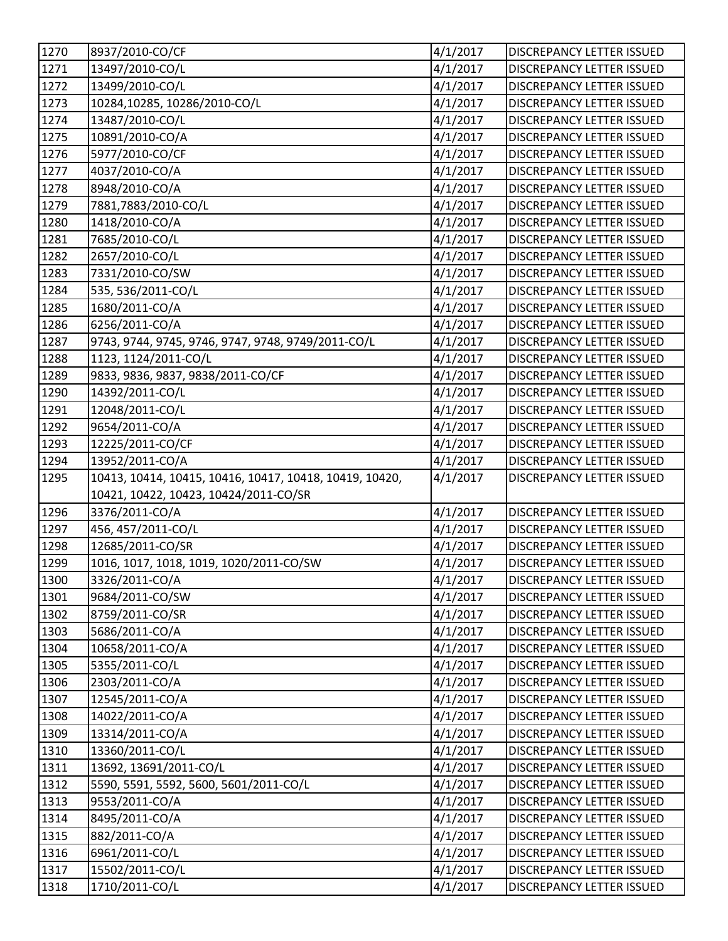| 1270                                                                         | 8937/2010-CO/CF                                         | 4/1/2017 | <b>DISCREPANCY LETTER ISSUED</b> |
|------------------------------------------------------------------------------|---------------------------------------------------------|----------|----------------------------------|
| 1271                                                                         | 13497/2010-CO/L                                         | 4/1/2017 | <b>DISCREPANCY LETTER ISSUED</b> |
| 1272                                                                         | 13499/2010-CO/L                                         | 4/1/2017 | DISCREPANCY LETTER ISSUED        |
| 1273                                                                         | 10284,10285, 10286/2010-CO/L                            | 4/1/2017 | DISCREPANCY LETTER ISSUED        |
| 1274                                                                         | 13487/2010-CO/L                                         | 4/1/2017 | DISCREPANCY LETTER ISSUED        |
| 1275                                                                         | 10891/2010-CO/A                                         | 4/1/2017 | <b>DISCREPANCY LETTER ISSUED</b> |
| 1276                                                                         | 5977/2010-CO/CF                                         | 4/1/2017 | <b>DISCREPANCY LETTER ISSUED</b> |
| 1277                                                                         | 4037/2010-CO/A                                          | 4/1/2017 | DISCREPANCY LETTER ISSUED        |
| 1278                                                                         | 8948/2010-CO/A                                          | 4/1/2017 | <b>DISCREPANCY LETTER ISSUED</b> |
| 1279                                                                         | 7881,7883/2010-CO/L                                     | 4/1/2017 | <b>DISCREPANCY LETTER ISSUED</b> |
| 1280                                                                         | 1418/2010-CO/A                                          | 4/1/2017 | <b>DISCREPANCY LETTER ISSUED</b> |
| 1281                                                                         | 7685/2010-CO/L                                          | 4/1/2017 | DISCREPANCY LETTER ISSUED        |
| 1282                                                                         | 2657/2010-CO/L                                          | 4/1/2017 | DISCREPANCY LETTER ISSUED        |
| 1283                                                                         | 7331/2010-CO/SW                                         | 4/1/2017 | DISCREPANCY LETTER ISSUED        |
| 1284                                                                         | 535, 536/2011-CO/L                                      | 4/1/2017 | <b>DISCREPANCY LETTER ISSUED</b> |
| 1285                                                                         | 1680/2011-CO/A                                          | 4/1/2017 | DISCREPANCY LETTER ISSUED        |
| 1286                                                                         | 6256/2011-CO/A                                          | 4/1/2017 | <b>DISCREPANCY LETTER ISSUED</b> |
| 1287                                                                         | 9743, 9744, 9745, 9746, 9747, 9748, 9749/2011-CO/L      | 4/1/2017 | DISCREPANCY LETTER ISSUED        |
| 1288                                                                         | 1123, 1124/2011-CO/L                                    | 4/1/2017 | DISCREPANCY LETTER ISSUED        |
| 1289                                                                         | 9833, 9836, 9837, 9838/2011-CO/CF                       | 4/1/2017 | <b>DISCREPANCY LETTER ISSUED</b> |
| 1290                                                                         | 14392/2011-CO/L                                         | 4/1/2017 | DISCREPANCY LETTER ISSUED        |
| 1291                                                                         | 12048/2011-CO/L                                         | 4/1/2017 | <b>DISCREPANCY LETTER ISSUED</b> |
| 1292                                                                         | 9654/2011-CO/A                                          | 4/1/2017 | DISCREPANCY LETTER ISSUED        |
| 1293                                                                         | 12225/2011-CO/CF                                        | 4/1/2017 | <b>DISCREPANCY LETTER ISSUED</b> |
| 1294                                                                         | 13952/2011-CO/A                                         | 4/1/2017 | <b>DISCREPANCY LETTER ISSUED</b> |
| 1295                                                                         | 10413, 10414, 10415, 10416, 10417, 10418, 10419, 10420, | 4/1/2017 | DISCREPANCY LETTER ISSUED        |
|                                                                              | 10421, 10422, 10423, 10424/2011-CO/SR                   |          |                                  |
|                                                                              |                                                         |          |                                  |
|                                                                              | 3376/2011-CO/A                                          | 4/1/2017 | DISCREPANCY LETTER ISSUED        |
|                                                                              | 456, 457/2011-CO/L                                      | 4/1/2017 | DISCREPANCY LETTER ISSUED        |
|                                                                              | 12685/2011-CO/SR                                        | 4/1/2017 | <b>DISCREPANCY LETTER ISSUED</b> |
|                                                                              | 1016, 1017, 1018, 1019, 1020/2011-CO/SW                 | 4/1/2017 | <b>DISCREPANCY LETTER ISSUED</b> |
| 1296<br>1297<br>1298<br>1299<br>1300                                         | 3326/2011-CO/A                                          | 4/1/2017 | DISCREPANCY LETTER ISSUED        |
| 1301                                                                         | 9684/2011-CO/SW                                         | 4/1/2017 | <b>DISCREPANCY LETTER ISSUED</b> |
| 1302                                                                         | 8759/2011-CO/SR                                         | 4/1/2017 | DISCREPANCY LETTER ISSUED        |
|                                                                              | 5686/2011-CO/A                                          | 4/1/2017 | <b>DISCREPANCY LETTER ISSUED</b> |
|                                                                              | 10658/2011-CO/A                                         | 4/1/2017 | DISCREPANCY LETTER ISSUED        |
|                                                                              | 5355/2011-CO/L                                          | 4/1/2017 | <b>DISCREPANCY LETTER ISSUED</b> |
|                                                                              | 2303/2011-CO/A                                          | 4/1/2017 | <b>DISCREPANCY LETTER ISSUED</b> |
|                                                                              | 12545/2011-CO/A                                         | 4/1/2017 | <b>DISCREPANCY LETTER ISSUED</b> |
|                                                                              | 14022/2011-CO/A                                         | 4/1/2017 | <b>DISCREPANCY LETTER ISSUED</b> |
|                                                                              | 13314/2011-CO/A                                         | 4/1/2017 | DISCREPANCY LETTER ISSUED        |
|                                                                              | 13360/2011-CO/L                                         | 4/1/2017 | DISCREPANCY LETTER ISSUED        |
|                                                                              | 13692, 13691/2011-CO/L                                  | 4/1/2017 | <b>DISCREPANCY LETTER ISSUED</b> |
| 1303<br>1304<br>1305<br>1306<br>1307<br>1308<br>1309<br>1310<br>1311<br>1312 | 5590, 5591, 5592, 5600, 5601/2011-CO/L                  | 4/1/2017 | <b>DISCREPANCY LETTER ISSUED</b> |
|                                                                              | 9553/2011-CO/A                                          | 4/1/2017 | <b>DISCREPANCY LETTER ISSUED</b> |
| 1313<br>1314                                                                 | 8495/2011-CO/A                                          | 4/1/2017 | DISCREPANCY LETTER ISSUED        |
|                                                                              | 882/2011-CO/A                                           | 4/1/2017 | <b>DISCREPANCY LETTER ISSUED</b> |
| 1315<br>1316                                                                 | 6961/2011-CO/L                                          | 4/1/2017 | <b>DISCREPANCY LETTER ISSUED</b> |
| 1317                                                                         | 15502/2011-CO/L                                         | 4/1/2017 | <b>DISCREPANCY LETTER ISSUED</b> |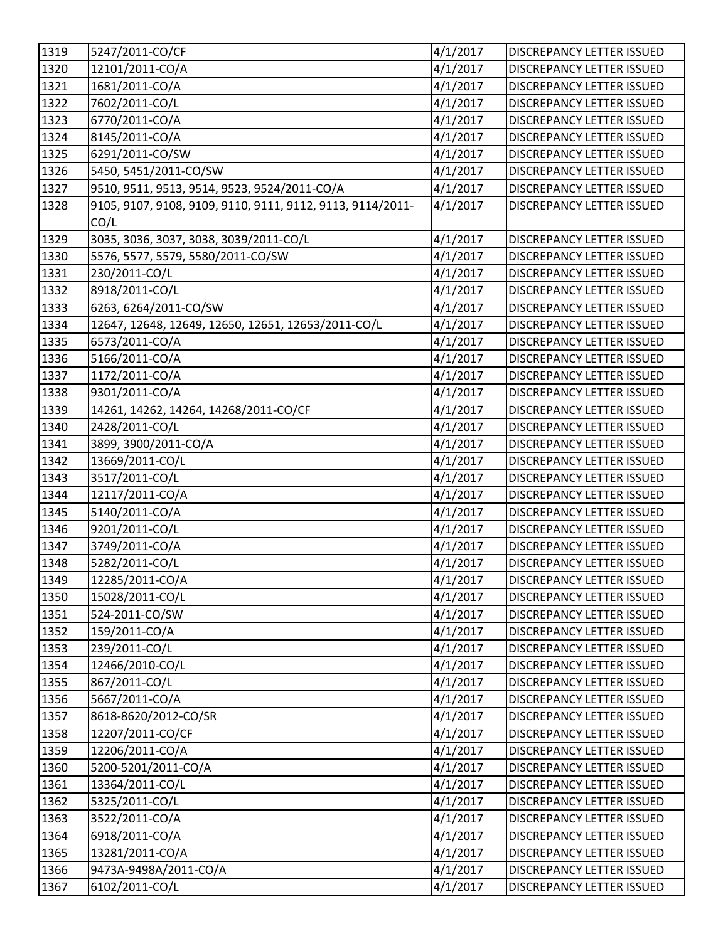| 1319 | 5247/2011-CO/CF                                            | 4/1/2017 | <b>DISCREPANCY LETTER ISSUED</b> |
|------|------------------------------------------------------------|----------|----------------------------------|
| 1320 | 12101/2011-CO/A                                            | 4/1/2017 | <b>DISCREPANCY LETTER ISSUED</b> |
| 1321 | 1681/2011-CO/A                                             | 4/1/2017 | DISCREPANCY LETTER ISSUED        |
| 1322 | 7602/2011-CO/L                                             | 4/1/2017 | DISCREPANCY LETTER ISSUED        |
| 1323 | 6770/2011-CO/A                                             | 4/1/2017 | DISCREPANCY LETTER ISSUED        |
| 1324 | 8145/2011-CO/A                                             | 4/1/2017 | DISCREPANCY LETTER ISSUED        |
| 1325 | 6291/2011-CO/SW                                            | 4/1/2017 | <b>DISCREPANCY LETTER ISSUED</b> |
| 1326 | 5450, 5451/2011-CO/SW                                      | 4/1/2017 | DISCREPANCY LETTER ISSUED        |
| 1327 | 9510, 9511, 9513, 9514, 9523, 9524/2011-CO/A               | 4/1/2017 | DISCREPANCY LETTER ISSUED        |
| 1328 | 9105, 9107, 9108, 9109, 9110, 9111, 9112, 9113, 9114/2011- | 4/1/2017 | DISCREPANCY LETTER ISSUED        |
|      | CO/L                                                       |          |                                  |
| 1329 | 3035, 3036, 3037, 3038, 3039/2011-CO/L                     | 4/1/2017 | <b>DISCREPANCY LETTER ISSUED</b> |
| 1330 | 5576, 5577, 5579, 5580/2011-CO/SW                          | 4/1/2017 | DISCREPANCY LETTER ISSUED        |
| 1331 | 230/2011-CO/L                                              | 4/1/2017 | <b>DISCREPANCY LETTER ISSUED</b> |
| 1332 | 8918/2011-CO/L                                             | 4/1/2017 | <b>DISCREPANCY LETTER ISSUED</b> |
| 1333 | 6263, 6264/2011-CO/SW                                      | 4/1/2017 | <b>DISCREPANCY LETTER ISSUED</b> |
| 1334 | 12647, 12648, 12649, 12650, 12651, 12653/2011-CO/L         | 4/1/2017 | DISCREPANCY LETTER ISSUED        |
| 1335 | 6573/2011-CO/A                                             | 4/1/2017 | DISCREPANCY LETTER ISSUED        |
| 1336 | 5166/2011-CO/A                                             | 4/1/2017 | <b>DISCREPANCY LETTER ISSUED</b> |
| 1337 | 1172/2011-CO/A                                             | 4/1/2017 | <b>DISCREPANCY LETTER ISSUED</b> |
| 1338 | 9301/2011-CO/A                                             | 4/1/2017 | DISCREPANCY LETTER ISSUED        |
| 1339 | 14261, 14262, 14264, 14268/2011-CO/CF                      | 4/1/2017 | DISCREPANCY LETTER ISSUED        |
| 1340 | 2428/2011-CO/L                                             | 4/1/2017 | DISCREPANCY LETTER ISSUED        |
| 1341 | 3899, 3900/2011-CO/A                                       | 4/1/2017 | DISCREPANCY LETTER ISSUED        |
| 1342 | 13669/2011-CO/L                                            | 4/1/2017 | <b>DISCREPANCY LETTER ISSUED</b> |
| 1343 | 3517/2011-CO/L                                             | 4/1/2017 | DISCREPANCY LETTER ISSUED        |
| 1344 | 12117/2011-CO/A                                            | 4/1/2017 | <b>DISCREPANCY LETTER ISSUED</b> |
| 1345 | 5140/2011-CO/A                                             | 4/1/2017 | DISCREPANCY LETTER ISSUED        |
| 1346 | 9201/2011-CO/L                                             | 4/1/2017 | DISCREPANCY LETTER ISSUED        |
| 1347 | 3749/2011-CO/A                                             | 4/1/2017 | <b>DISCREPANCY LETTER ISSUED</b> |
| 1348 | 5282/2011-CO/L                                             | 4/1/2017 | <b>DISCREPANCY LETTER ISSUED</b> |
| 1349 | 12285/2011-CO/A                                            | 4/1/2017 | DISCREPANCY LETTER ISSUED        |
| 1350 | 15028/2011-CO/L                                            | 4/1/2017 | <b>DISCREPANCY LETTER ISSUED</b> |
| 1351 | 524-2011-CO/SW                                             | 4/1/2017 | <b>DISCREPANCY LETTER ISSUED</b> |
| 1352 | 159/2011-CO/A                                              | 4/1/2017 | <b>DISCREPANCY LETTER ISSUED</b> |
| 1353 | 239/2011-CO/L                                              | 4/1/2017 | <b>DISCREPANCY LETTER ISSUED</b> |
| 1354 | 12466/2010-CO/L                                            | 4/1/2017 | DISCREPANCY LETTER ISSUED        |
| 1355 | 867/2011-CO/L                                              | 4/1/2017 | <b>DISCREPANCY LETTER ISSUED</b> |
| 1356 | 5667/2011-CO/A                                             | 4/1/2017 | <b>DISCREPANCY LETTER ISSUED</b> |
| 1357 | 8618-8620/2012-CO/SR                                       | 4/1/2017 | <b>DISCREPANCY LETTER ISSUED</b> |
| 1358 | 12207/2011-CO/CF                                           | 4/1/2017 | DISCREPANCY LETTER ISSUED        |
| 1359 | 12206/2011-CO/A                                            | 4/1/2017 | DISCREPANCY LETTER ISSUED        |
| 1360 | 5200-5201/2011-CO/A                                        | 4/1/2017 | <b>DISCREPANCY LETTER ISSUED</b> |
| 1361 | 13364/2011-CO/L                                            | 4/1/2017 | <b>DISCREPANCY LETTER ISSUED</b> |
| 1362 | 5325/2011-CO/L                                             | 4/1/2017 | <b>DISCREPANCY LETTER ISSUED</b> |
| 1363 | 3522/2011-CO/A                                             | 4/1/2017 | DISCREPANCY LETTER ISSUED        |
| 1364 | 6918/2011-CO/A                                             | 4/1/2017 | DISCREPANCY LETTER ISSUED        |
| 1365 | 13281/2011-CO/A                                            | 4/1/2017 | <b>DISCREPANCY LETTER ISSUED</b> |
| 1366 | 9473A-9498A/2011-CO/A                                      | 4/1/2017 | <b>DISCREPANCY LETTER ISSUED</b> |
| 1367 | 6102/2011-CO/L                                             | 4/1/2017 | DISCREPANCY LETTER ISSUED        |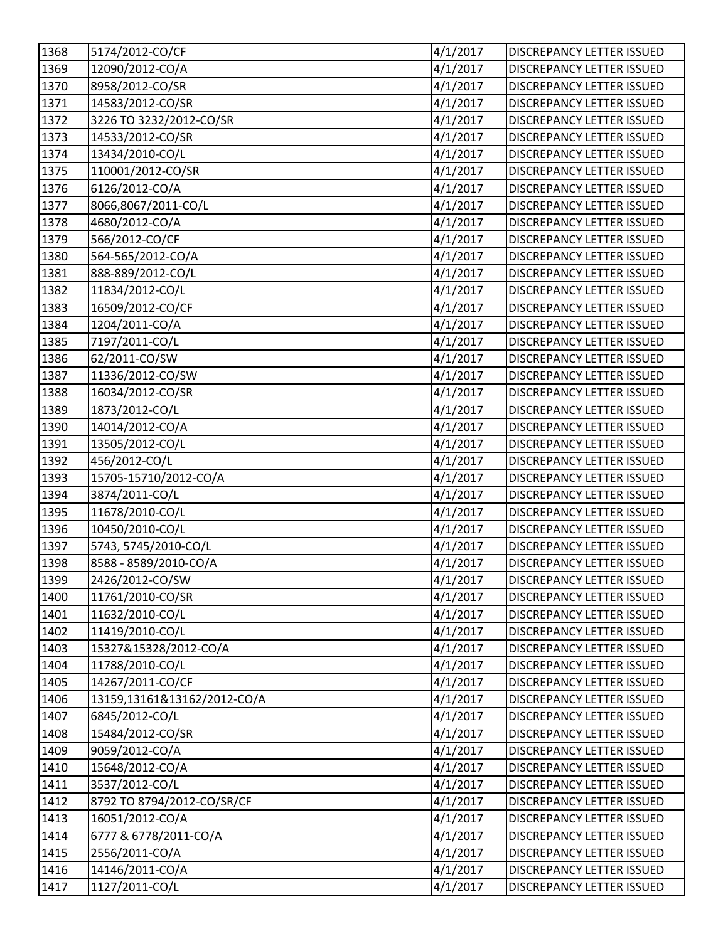| 1368 | 5174/2012-CO/CF             | 4/1/2017 | <b>DISCREPANCY LETTER ISSUED</b> |
|------|-----------------------------|----------|----------------------------------|
| 1369 | 12090/2012-CO/A             | 4/1/2017 | <b>DISCREPANCY LETTER ISSUED</b> |
| 1370 | 8958/2012-CO/SR             | 4/1/2017 | DISCREPANCY LETTER ISSUED        |
| 1371 | 14583/2012-CO/SR            | 4/1/2017 | DISCREPANCY LETTER ISSUED        |
| 1372 | 3226 TO 3232/2012-CO/SR     | 4/1/2017 | DISCREPANCY LETTER ISSUED        |
| 1373 | 14533/2012-CO/SR            | 4/1/2017 | <b>DISCREPANCY LETTER ISSUED</b> |
| 1374 | 13434/2010-CO/L             | 4/1/2017 | <b>DISCREPANCY LETTER ISSUED</b> |
| 1375 | 110001/2012-CO/SR           | 4/1/2017 | <b>DISCREPANCY LETTER ISSUED</b> |
| 1376 | 6126/2012-CO/A              | 4/1/2017 | DISCREPANCY LETTER ISSUED        |
| 1377 | 8066,8067/2011-CO/L         | 4/1/2017 | <b>DISCREPANCY LETTER ISSUED</b> |
| 1378 | 4680/2012-CO/A              | 4/1/2017 | <b>DISCREPANCY LETTER ISSUED</b> |
| 1379 | 566/2012-CO/CF              | 4/1/2017 | DISCREPANCY LETTER ISSUED        |
| 1380 | 564-565/2012-CO/A           | 4/1/2017 | <b>DISCREPANCY LETTER ISSUED</b> |
| 1381 | 888-889/2012-CO/L           | 4/1/2017 | DISCREPANCY LETTER ISSUED        |
| 1382 | 11834/2012-CO/L             | 4/1/2017 | <b>DISCREPANCY LETTER ISSUED</b> |
| 1383 | 16509/2012-CO/CF            | 4/1/2017 | <b>DISCREPANCY LETTER ISSUED</b> |
| 1384 | 1204/2011-CO/A              | 4/1/2017 | <b>DISCREPANCY LETTER ISSUED</b> |
| 1385 | 7197/2011-CO/L              | 4/1/2017 | DISCREPANCY LETTER ISSUED        |
| 1386 | 62/2011-CO/SW               | 4/1/2017 | DISCREPANCY LETTER ISSUED        |
| 1387 | 11336/2012-CO/SW            | 4/1/2017 | <b>DISCREPANCY LETTER ISSUED</b> |
| 1388 | 16034/2012-CO/SR            | 4/1/2017 | DISCREPANCY LETTER ISSUED        |
| 1389 | 1873/2012-CO/L              | 4/1/2017 | <b>DISCREPANCY LETTER ISSUED</b> |
| 1390 | 14014/2012-CO/A             | 4/1/2017 | DISCREPANCY LETTER ISSUED        |
| 1391 | 13505/2012-CO/L             | 4/1/2017 | DISCREPANCY LETTER ISSUED        |
| 1392 | 456/2012-CO/L               | 4/1/2017 | DISCREPANCY LETTER ISSUED        |
| 1393 | 15705-15710/2012-CO/A       | 4/1/2017 | <b>DISCREPANCY LETTER ISSUED</b> |
| 1394 | 3874/2011-CO/L              | 4/1/2017 | <b>DISCREPANCY LETTER ISSUED</b> |
| 1395 | 11678/2010-CO/L             | 4/1/2017 | <b>DISCREPANCY LETTER ISSUED</b> |
| 1396 | 10450/2010-CO/L             | 4/1/2017 | <b>DISCREPANCY LETTER ISSUED</b> |
| 1397 | 5743, 5745/2010-CO/L        | 4/1/2017 | DISCREPANCY LETTER ISSUED        |
| 1398 | 8588 - 8589/2010-CO/A       | 4/1/2017 | <b>DISCREPANCY LETTER ISSUED</b> |
| 1399 | 2426/2012-CO/SW             | 4/1/2017 | DISCREPANCY LETTER ISSUED        |
| 1400 | 11761/2010-CO/SR            | 4/1/2017 | <b>DISCREPANCY LETTER ISSUED</b> |
| 1401 | 11632/2010-CO/L             | 4/1/2017 | <b>DISCREPANCY LETTER ISSUED</b> |
| 1402 | 11419/2010-CO/L             | 4/1/2017 | <b>DISCREPANCY LETTER ISSUED</b> |
| 1403 | 15327&15328/2012-CO/A       | 4/1/2017 | DISCREPANCY LETTER ISSUED        |
| 1404 | 11788/2010-CO/L             | 4/1/2017 | DISCREPANCY LETTER ISSUED        |
| 1405 | 14267/2011-CO/CF            | 4/1/2017 | <b>DISCREPANCY LETTER ISSUED</b> |
| 1406 | 13159,13161&13162/2012-CO/A | 4/1/2017 | <b>DISCREPANCY LETTER ISSUED</b> |
| 1407 | 6845/2012-CO/L              | 4/1/2017 | <b>DISCREPANCY LETTER ISSUED</b> |
| 1408 | 15484/2012-CO/SR            | 4/1/2017 | DISCREPANCY LETTER ISSUED        |
| 1409 | 9059/2012-CO/A              | 4/1/2017 | DISCREPANCY LETTER ISSUED        |
| 1410 | 15648/2012-CO/A             | 4/1/2017 | <b>DISCREPANCY LETTER ISSUED</b> |
| 1411 | 3537/2012-CO/L              | 4/1/2017 | <b>DISCREPANCY LETTER ISSUED</b> |
| 1412 | 8792 TO 8794/2012-CO/SR/CF  | 4/1/2017 | <b>DISCREPANCY LETTER ISSUED</b> |
| 1413 | 16051/2012-CO/A             | 4/1/2017 | DISCREPANCY LETTER ISSUED        |
| 1414 | 6777 & 6778/2011-CO/A       | 4/1/2017 | <b>DISCREPANCY LETTER ISSUED</b> |
| 1415 | 2556/2011-CO/A              | 4/1/2017 | <b>DISCREPANCY LETTER ISSUED</b> |
| 1416 | 14146/2011-CO/A             | 4/1/2017 | <b>DISCREPANCY LETTER ISSUED</b> |
| 1417 | 1127/2011-CO/L              | 4/1/2017 | DISCREPANCY LETTER ISSUED        |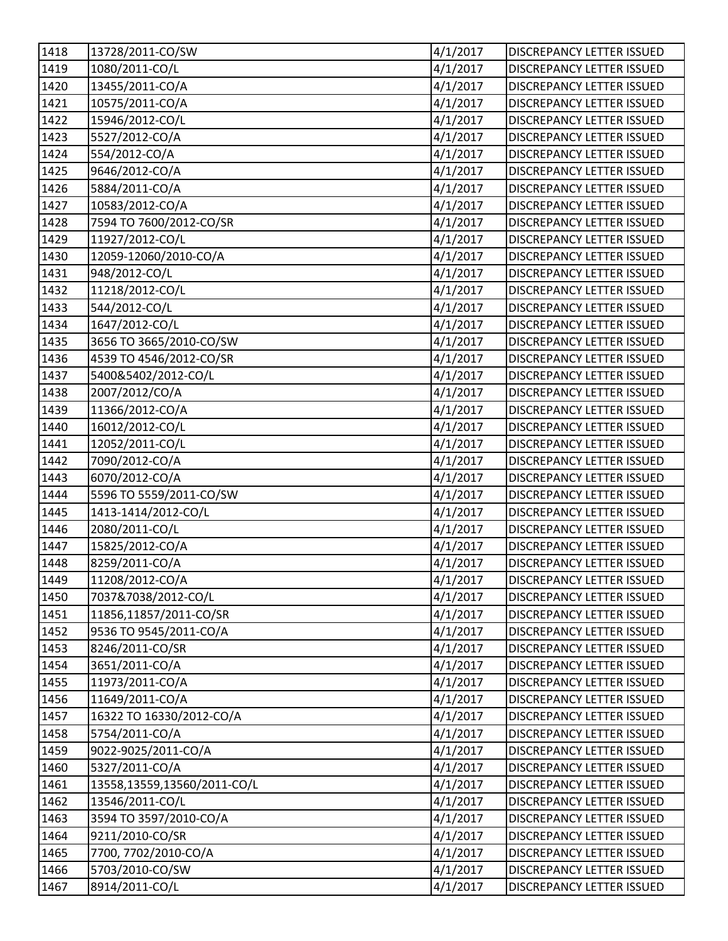| 1418               | 13728/2011-CO/SW            | 4/1/2017 | <b>DISCREPANCY LETTER ISSUED</b> |
|--------------------|-----------------------------|----------|----------------------------------|
| 1419               | 1080/2011-CO/L              | 4/1/2017 | <b>DISCREPANCY LETTER ISSUED</b> |
| 1420               | 13455/2011-CO/A             | 4/1/2017 | DISCREPANCY LETTER ISSUED        |
| 1421               | 10575/2011-CO/A             | 4/1/2017 | DISCREPANCY LETTER ISSUED        |
| 1422               | 15946/2012-CO/L             | 4/1/2017 | DISCREPANCY LETTER ISSUED        |
| 1423               | 5527/2012-CO/A              | 4/1/2017 | <b>DISCREPANCY LETTER ISSUED</b> |
| 1424               | 554/2012-CO/A               | 4/1/2017 | <b>DISCREPANCY LETTER ISSUED</b> |
| 1425               | 9646/2012-CO/A              | 4/1/2017 | DISCREPANCY LETTER ISSUED        |
| 1426               | 5884/2011-CO/A              | 4/1/2017 | DISCREPANCY LETTER ISSUED        |
| 1427               | 10583/2012-CO/A             | 4/1/2017 | <b>DISCREPANCY LETTER ISSUED</b> |
| 1428               | 7594 TO 7600/2012-CO/SR     | 4/1/2017 | <b>DISCREPANCY LETTER ISSUED</b> |
| 1429               | 11927/2012-CO/L             | 4/1/2017 | DISCREPANCY LETTER ISSUED        |
| 1430               | 12059-12060/2010-CO/A       | 4/1/2017 | DISCREPANCY LETTER ISSUED        |
| 1431               | 948/2012-CO/L               | 4/1/2017 | DISCREPANCY LETTER ISSUED        |
| 1432               | 11218/2012-CO/L             | 4/1/2017 | <b>DISCREPANCY LETTER ISSUED</b> |
| 1433               | 544/2012-CO/L               | 4/1/2017 | DISCREPANCY LETTER ISSUED        |
| 1434               | 1647/2012-CO/L              | 4/1/2017 | <b>DISCREPANCY LETTER ISSUED</b> |
| 1435               | 3656 TO 3665/2010-CO/SW     | 4/1/2017 | DISCREPANCY LETTER ISSUED        |
| 1436               | 4539 TO 4546/2012-CO/SR     | 4/1/2017 | <b>DISCREPANCY LETTER ISSUED</b> |
| 1437               | 5400&5402/2012-CO/L         | 4/1/2017 | <b>DISCREPANCY LETTER ISSUED</b> |
| $\overline{1}$ 438 | 2007/2012/CO/A              | 4/1/2017 | DISCREPANCY LETTER ISSUED        |
| 1439               | 11366/2012-CO/A             | 4/1/2017 | <b>DISCREPANCY LETTER ISSUED</b> |
| 1440               | 16012/2012-CO/L             | 4/1/2017 | <b>DISCREPANCY LETTER ISSUED</b> |
| 1441               | 12052/2011-CO/L             | 4/1/2017 | <b>DISCREPANCY LETTER ISSUED</b> |
| 1442               | 7090/2012-CO/A              | 4/1/2017 | <b>DISCREPANCY LETTER ISSUED</b> |
| 1443               | 6070/2012-CO/A              | 4/1/2017 | <b>DISCREPANCY LETTER ISSUED</b> |
| 1444               | 5596 TO 5559/2011-CO/SW     | 4/1/2017 | <b>DISCREPANCY LETTER ISSUED</b> |
| 1445               | 1413-1414/2012-CO/L         | 4/1/2017 | <b>DISCREPANCY LETTER ISSUED</b> |
| 1446               | 2080/2011-CO/L              | 4/1/2017 | <b>DISCREPANCY LETTER ISSUED</b> |
| 1447               | 15825/2012-CO/A             | 4/1/2017 | DISCREPANCY LETTER ISSUED        |
| 1448               | 8259/2011-CO/A              | 4/1/2017 | <b>DISCREPANCY LETTER ISSUED</b> |
| 1449               | 11208/2012-CO/A             | 4/1/2017 | DISCREPANCY LETTER ISSUED        |
| 1450               | 7037&7038/2012-CO/L         | 4/1/2017 | <b>DISCREPANCY LETTER ISSUED</b> |
| 1451               | 11856,11857/2011-CO/SR      | 4/1/2017 | DISCREPANCY LETTER ISSUED        |
| 1452               | 9536 TO 9545/2011-CO/A      | 4/1/2017 | <b>DISCREPANCY LETTER ISSUED</b> |
| 1453               | 8246/2011-CO/SR             | 4/1/2017 | DISCREPANCY LETTER ISSUED        |
| 1454               | 3651/2011-CO/A              | 4/1/2017 | <b>DISCREPANCY LETTER ISSUED</b> |
| 1455               | 11973/2011-CO/A             | 4/1/2017 | <b>DISCREPANCY LETTER ISSUED</b> |
| 1456               | 11649/2011-CO/A             | 4/1/2017 | <b>DISCREPANCY LETTER ISSUED</b> |
| 1457               | 16322 TO 16330/2012-CO/A    | 4/1/2017 | <b>DISCREPANCY LETTER ISSUED</b> |
| 1458               | 5754/2011-CO/A              | 4/1/2017 | DISCREPANCY LETTER ISSUED        |
| 1459               | 9022-9025/2011-CO/A         | 4/1/2017 | DISCREPANCY LETTER ISSUED        |
| 1460               | 5327/2011-CO/A              | 4/1/2017 | <b>DISCREPANCY LETTER ISSUED</b> |
| 1461               | 13558,13559,13560/2011-CO/L | 4/1/2017 | <b>DISCREPANCY LETTER ISSUED</b> |
| 1462               | 13546/2011-CO/L             | 4/1/2017 | <b>DISCREPANCY LETTER ISSUED</b> |
| 1463               | 3594 TO 3597/2010-CO/A      | 4/1/2017 | DISCREPANCY LETTER ISSUED        |
| 1464               | 9211/2010-CO/SR             | 4/1/2017 | DISCREPANCY LETTER ISSUED        |
| 1465               | 7700, 7702/2010-CO/A        | 4/1/2017 | <b>DISCREPANCY LETTER ISSUED</b> |
| 1466               | 5703/2010-CO/SW             | 4/1/2017 | <b>DISCREPANCY LETTER ISSUED</b> |
| 1467               | 8914/2011-CO/L              | 4/1/2017 | DISCREPANCY LETTER ISSUED        |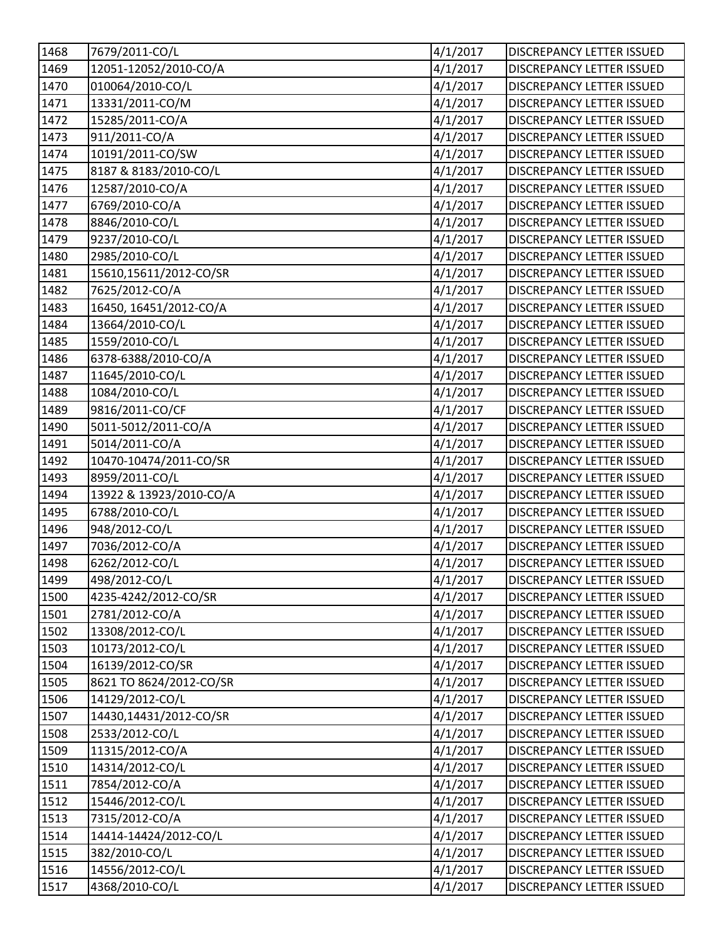| 1468               | 7679/2011-CO/L          | 4/1/2017 | <b>DISCREPANCY LETTER ISSUED</b> |
|--------------------|-------------------------|----------|----------------------------------|
| 1469               | 12051-12052/2010-CO/A   | 4/1/2017 | <b>DISCREPANCY LETTER ISSUED</b> |
| 1470               | 010064/2010-CO/L        | 4/1/2017 | <b>DISCREPANCY LETTER ISSUED</b> |
| 1471               | 13331/2011-CO/M         | 4/1/2017 | DISCREPANCY LETTER ISSUED        |
| 1472               | 15285/2011-CO/A         | 4/1/2017 | <b>DISCREPANCY LETTER ISSUED</b> |
| 1473               | 911/2011-CO/A           | 4/1/2017 | <b>DISCREPANCY LETTER ISSUED</b> |
| 1474               | 10191/2011-CO/SW        | 4/1/2017 | <b>DISCREPANCY LETTER ISSUED</b> |
| 1475               | 8187 & 8183/2010-CO/L   | 4/1/2017 | <b>DISCREPANCY LETTER ISSUED</b> |
| 1476               | 12587/2010-CO/A         | 4/1/2017 | DISCREPANCY LETTER ISSUED        |
| 1477               | 6769/2010-CO/A          | 4/1/2017 | <b>DISCREPANCY LETTER ISSUED</b> |
| 1478               | 8846/2010-CO/L          | 4/1/2017 | <b>DISCREPANCY LETTER ISSUED</b> |
| 1479               | 9237/2010-CO/L          | 4/1/2017 | DISCREPANCY LETTER ISSUED        |
| 1480               | 2985/2010-CO/L          | 4/1/2017 | DISCREPANCY LETTER ISSUED        |
| 1481               | 15610,15611/2012-CO/SR  | 4/1/2017 | DISCREPANCY LETTER ISSUED        |
| 1482               | 7625/2012-CO/A          | 4/1/2017 | <b>DISCREPANCY LETTER ISSUED</b> |
| 1483               | 16450, 16451/2012-CO/A  | 4/1/2017 | <b>DISCREPANCY LETTER ISSUED</b> |
| 1484               | 13664/2010-CO/L         | 4/1/2017 | DISCREPANCY LETTER ISSUED        |
| 1485               | 1559/2010-CO/L          | 4/1/2017 | DISCREPANCY LETTER ISSUED        |
| 1486               | 6378-6388/2010-CO/A     | 4/1/2017 | <b>DISCREPANCY LETTER ISSUED</b> |
| 1487               | 11645/2010-CO/L         | 4/1/2017 | <b>DISCREPANCY LETTER ISSUED</b> |
| $\overline{1}$ 488 | 1084/2010-CO/L          | 4/1/2017 | DISCREPANCY LETTER ISSUED        |
| 1489               | 9816/2011-CO/CF         | 4/1/2017 | <b>DISCREPANCY LETTER ISSUED</b> |
| 1490               | 5011-5012/2011-CO/A     | 4/1/2017 | DISCREPANCY LETTER ISSUED        |
| 1491               | 5014/2011-CO/A          | 4/1/2017 | <b>DISCREPANCY LETTER ISSUED</b> |
| 1492               | 10470-10474/2011-CO/SR  | 4/1/2017 | <b>DISCREPANCY LETTER ISSUED</b> |
| 1493               | 8959/2011-CO/L          | 4/1/2017 | <b>DISCREPANCY LETTER ISSUED</b> |
| 1494               | 13922 & 13923/2010-CO/A | 4/1/2017 | <b>DISCREPANCY LETTER ISSUED</b> |
| 1495               | 6788/2010-CO/L          | 4/1/2017 | DISCREPANCY LETTER ISSUED        |
| 1496               | 948/2012-CO/L           | 4/1/2017 | <b>DISCREPANCY LETTER ISSUED</b> |
| 1497               | 7036/2012-CO/A          | 4/1/2017 | DISCREPANCY LETTER ISSUED        |
| 1498               | 6262/2012-CO/L          | 4/1/2017 | <b>DISCREPANCY LETTER ISSUED</b> |
| 1499               | 498/2012-CO/L           | 4/1/2017 | DISCREPANCY LETTER ISSUED        |
| 1500               | 4235-4242/2012-CO/SR    | 4/1/2017 | <b>DISCREPANCY LETTER ISSUED</b> |
| 1501               | 2781/2012-CO/A          | 4/1/2017 | <b>DISCREPANCY LETTER ISSUED</b> |
| 1502               | 13308/2012-CO/L         | 4/1/2017 | <b>DISCREPANCY LETTER ISSUED</b> |
| 1503               | 10173/2012-CO/L         | 4/1/2017 | DISCREPANCY LETTER ISSUED        |
| 1504               | 16139/2012-CO/SR        | 4/1/2017 | DISCREPANCY LETTER ISSUED        |
| 1505               | 8621 TO 8624/2012-CO/SR | 4/1/2017 | <b>DISCREPANCY LETTER ISSUED</b> |
| 1506               | 14129/2012-CO/L         | 4/1/2017 | <b>DISCREPANCY LETTER ISSUED</b> |
| 1507               | 14430,14431/2012-CO/SR  | 4/1/2017 | <b>DISCREPANCY LETTER ISSUED</b> |
| 1508               | 2533/2012-CO/L          | 4/1/2017 | <b>DISCREPANCY LETTER ISSUED</b> |
| 1509               | 11315/2012-CO/A         | 4/1/2017 | DISCREPANCY LETTER ISSUED        |
| 1510               | 14314/2012-CO/L         | 4/1/2017 | <b>DISCREPANCY LETTER ISSUED</b> |
| 1511               | 7854/2012-CO/A          | 4/1/2017 | <b>DISCREPANCY LETTER ISSUED</b> |
| 1512               | 15446/2012-CO/L         | 4/1/2017 | <b>DISCREPANCY LETTER ISSUED</b> |
| 1513               | 7315/2012-CO/A          | 4/1/2017 | DISCREPANCY LETTER ISSUED        |
| 1514               | 14414-14424/2012-CO/L   | 4/1/2017 | <b>DISCREPANCY LETTER ISSUED</b> |
| 1515               | 382/2010-CO/L           | 4/1/2017 | <b>DISCREPANCY LETTER ISSUED</b> |
| 1516               | 14556/2012-CO/L         | 4/1/2017 | <b>DISCREPANCY LETTER ISSUED</b> |
| 1517               | 4368/2010-CO/L          | 4/1/2017 | DISCREPANCY LETTER ISSUED        |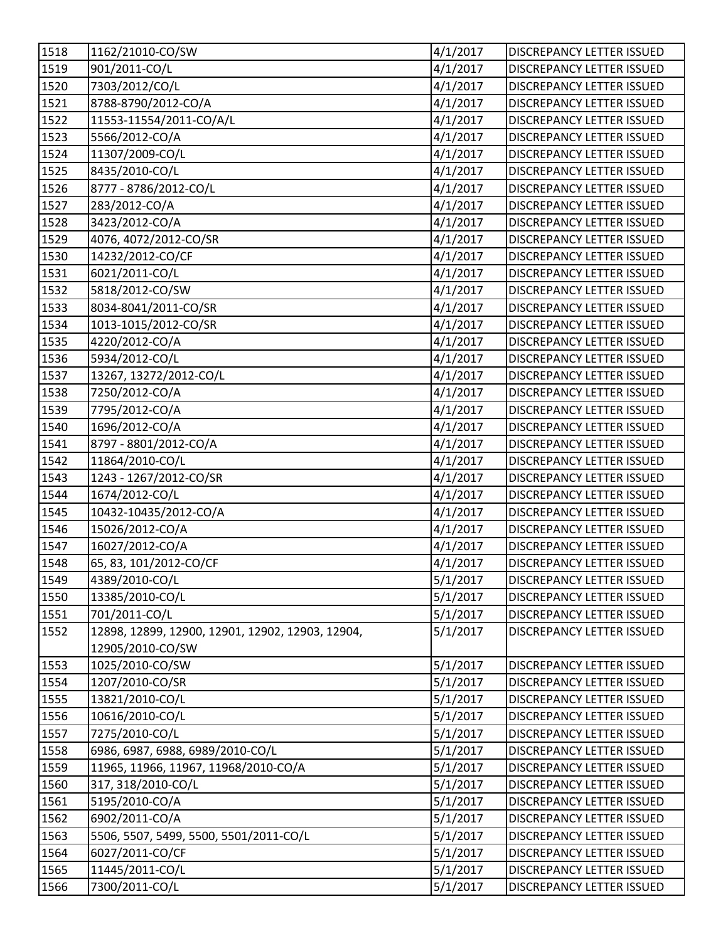| 1518 | 1162/21010-CO/SW                                 | 4/1/2017 | <b>DISCREPANCY LETTER ISSUED</b> |
|------|--------------------------------------------------|----------|----------------------------------|
| 1519 | 901/2011-CO/L                                    | 4/1/2017 | <b>DISCREPANCY LETTER ISSUED</b> |
| 1520 | 7303/2012/CO/L                                   | 4/1/2017 | DISCREPANCY LETTER ISSUED        |
| 1521 | 8788-8790/2012-CO/A                              | 4/1/2017 | DISCREPANCY LETTER ISSUED        |
| 1522 | 11553-11554/2011-CO/A/L                          | 4/1/2017 | <b>DISCREPANCY LETTER ISSUED</b> |
| 1523 | 5566/2012-CO/A                                   | 4/1/2017 | <b>DISCREPANCY LETTER ISSUED</b> |
| 1524 | 11307/2009-CO/L                                  | 4/1/2017 | <b>DISCREPANCY LETTER ISSUED</b> |
| 1525 | 8435/2010-CO/L                                   | 4/1/2017 | DISCREPANCY LETTER ISSUED        |
| 1526 | 8777 - 8786/2012-CO/L                            | 4/1/2017 | DISCREPANCY LETTER ISSUED        |
| 1527 | 283/2012-CO/A                                    | 4/1/2017 | <b>DISCREPANCY LETTER ISSUED</b> |
| 1528 | 3423/2012-CO/A                                   | 4/1/2017 | <b>DISCREPANCY LETTER ISSUED</b> |
| 1529 | 4076, 4072/2012-CO/SR                            | 4/1/2017 | DISCREPANCY LETTER ISSUED        |
| 1530 | 14232/2012-CO/CF                                 | 4/1/2017 | DISCREPANCY LETTER ISSUED        |
| 1531 | 6021/2011-CO/L                                   | 4/1/2017 | DISCREPANCY LETTER ISSUED        |
| 1532 | 5818/2012-CO/SW                                  | 4/1/2017 | <b>DISCREPANCY LETTER ISSUED</b> |
| 1533 | 8034-8041/2011-CO/SR                             | 4/1/2017 | DISCREPANCY LETTER ISSUED        |
| 1534 | 1013-1015/2012-CO/SR                             | 4/1/2017 | <b>DISCREPANCY LETTER ISSUED</b> |
| 1535 | 4220/2012-CO/A                                   | 4/1/2017 | DISCREPANCY LETTER ISSUED        |
| 1536 | 5934/2012-CO/L                                   | 4/1/2017 | <b>DISCREPANCY LETTER ISSUED</b> |
| 1537 | 13267, 13272/2012-CO/L                           | 4/1/2017 | <b>DISCREPANCY LETTER ISSUED</b> |
| 1538 | 7250/2012-CO/A                                   | 4/1/2017 | DISCREPANCY LETTER ISSUED        |
| 1539 | 7795/2012-CO/A                                   | 4/1/2017 | <b>DISCREPANCY LETTER ISSUED</b> |
| 1540 | 1696/2012-CO/A                                   | 4/1/2017 | <b>DISCREPANCY LETTER ISSUED</b> |
| 1541 | 8797 - 8801/2012-CO/A                            | 4/1/2017 | <b>DISCREPANCY LETTER ISSUED</b> |
| 1542 | 11864/2010-CO/L                                  | 4/1/2017 | DISCREPANCY LETTER ISSUED        |
| 1543 | 1243 - 1267/2012-CO/SR                           | 4/1/2017 | <b>DISCREPANCY LETTER ISSUED</b> |
| 1544 | 1674/2012-CO/L                                   | 4/1/2017 | <b>DISCREPANCY LETTER ISSUED</b> |
| 1545 | 10432-10435/2012-CO/A                            | 4/1/2017 | <b>DISCREPANCY LETTER ISSUED</b> |
| 1546 | 15026/2012-CO/A                                  | 4/1/2017 | DISCREPANCY LETTER ISSUED        |
| 1547 | 16027/2012-CO/A                                  | 4/1/2017 | DISCREPANCY LETTER ISSUED        |
| 1548 | 65, 83, 101/2012-CO/CF                           | 4/1/2017 | <b>DISCREPANCY LETTER ISSUED</b> |
| 1549 | 4389/2010-CO/L                                   | 5/1/2017 | DISCREPANCY LETTER ISSUED        |
| 1550 | 13385/2010-CO/L                                  | 5/1/2017 | <b>DISCREPANCY LETTER ISSUED</b> |
| 1551 | 701/2011-CO/L                                    | 5/1/2017 | DISCREPANCY LETTER ISSUED        |
| 1552 | 12898, 12899, 12900, 12901, 12902, 12903, 12904, | 5/1/2017 | DISCREPANCY LETTER ISSUED        |
|      | 12905/2010-CO/SW                                 |          |                                  |
| 1553 | 1025/2010-CO/SW                                  | 5/1/2017 | DISCREPANCY LETTER ISSUED        |
| 1554 | 1207/2010-CO/SR                                  | 5/1/2017 | DISCREPANCY LETTER ISSUED        |
| 1555 | 13821/2010-CO/L                                  | 5/1/2017 | DISCREPANCY LETTER ISSUED        |
| 1556 | 10616/2010-CO/L                                  | 5/1/2017 | <b>DISCREPANCY LETTER ISSUED</b> |
| 1557 | 7275/2010-CO/L                                   | 5/1/2017 | DISCREPANCY LETTER ISSUED        |
| 1558 | 6986, 6987, 6988, 6989/2010-CO/L                 | 5/1/2017 | DISCREPANCY LETTER ISSUED        |
| 1559 | 11965, 11966, 11967, 11968/2010-CO/A             | 5/1/2017 | DISCREPANCY LETTER ISSUED        |
| 1560 | 317, 318/2010-CO/L                               | 5/1/2017 | DISCREPANCY LETTER ISSUED        |
| 1561 | 5195/2010-CO/A                                   | 5/1/2017 | <b>DISCREPANCY LETTER ISSUED</b> |
| 1562 | 6902/2011-CO/A                                   | 5/1/2017 | DISCREPANCY LETTER ISSUED        |
| 1563 | 5506, 5507, 5499, 5500, 5501/2011-CO/L           | 5/1/2017 | DISCREPANCY LETTER ISSUED        |
| 1564 | 6027/2011-CO/CF                                  | 5/1/2017 | <b>DISCREPANCY LETTER ISSUED</b> |
| 1565 | 11445/2011-CO/L                                  | 5/1/2017 | DISCREPANCY LETTER ISSUED        |
| 1566 | 7300/2011-CO/L                                   | 5/1/2017 | DISCREPANCY LETTER ISSUED        |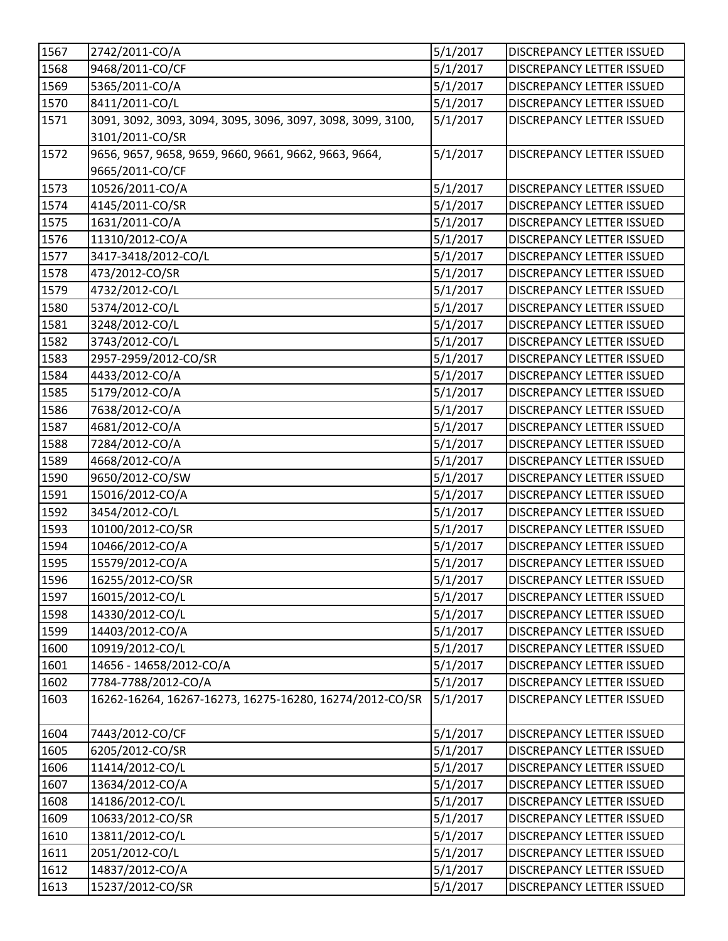| 1567 | 2742/2011-CO/A                                              | 5/1/2017 | <b>DISCREPANCY LETTER ISSUED</b> |
|------|-------------------------------------------------------------|----------|----------------------------------|
| 1568 | 9468/2011-CO/CF                                             | 5/1/2017 | <b>DISCREPANCY LETTER ISSUED</b> |
| 1569 | 5365/2011-CO/A                                              | 5/1/2017 | DISCREPANCY LETTER ISSUED        |
| 1570 | 8411/2011-CO/L                                              | 5/1/2017 | <b>DISCREPANCY LETTER ISSUED</b> |
| 1571 | 3091, 3092, 3093, 3094, 3095, 3096, 3097, 3098, 3099, 3100, | 5/1/2017 | DISCREPANCY LETTER ISSUED        |
|      | 3101/2011-CO/SR                                             |          |                                  |
| 1572 | 9656, 9657, 9658, 9659, 9660, 9661, 9662, 9663, 9664,       | 5/1/2017 | <b>DISCREPANCY LETTER ISSUED</b> |
|      | 9665/2011-CO/CF                                             |          |                                  |
| 1573 | 10526/2011-CO/A                                             | 5/1/2017 | DISCREPANCY LETTER ISSUED        |
| 1574 | 4145/2011-CO/SR                                             | 5/1/2017 | <b>DISCREPANCY LETTER ISSUED</b> |
| 1575 | 1631/2011-CO/A                                              | 5/1/2017 | DISCREPANCY LETTER ISSUED        |
| 1576 | 11310/2012-CO/A                                             | 5/1/2017 | DISCREPANCY LETTER ISSUED        |
| 1577 | 3417-3418/2012-CO/L                                         | 5/1/2017 | DISCREPANCY LETTER ISSUED        |
| 1578 | 473/2012-CO/SR                                              | 5/1/2017 | DISCREPANCY LETTER ISSUED        |
| 1579 | 4732/2012-CO/L                                              | 5/1/2017 | DISCREPANCY LETTER ISSUED        |
| 1580 | 5374/2012-CO/L                                              | 5/1/2017 | <b>DISCREPANCY LETTER ISSUED</b> |
| 1581 | 3248/2012-CO/L                                              | 5/1/2017 | DISCREPANCY LETTER ISSUED        |
| 1582 | 3743/2012-CO/L                                              | 5/1/2017 | DISCREPANCY LETTER ISSUED        |
| 1583 | 2957-2959/2012-CO/SR                                        | 5/1/2017 | <b>DISCREPANCY LETTER ISSUED</b> |
| 1584 | 4433/2012-CO/A                                              | 5/1/2017 | <b>DISCREPANCY LETTER ISSUED</b> |
| 1585 | 5179/2012-CO/A                                              | 5/1/2017 | DISCREPANCY LETTER ISSUED        |
| 1586 | 7638/2012-CO/A                                              | 5/1/2017 | <b>DISCREPANCY LETTER ISSUED</b> |
| 1587 | 4681/2012-CO/A                                              | 5/1/2017 | DISCREPANCY LETTER ISSUED        |
| 1588 | 7284/2012-CO/A                                              | 5/1/2017 | DISCREPANCY LETTER ISSUED        |
| 1589 | 4668/2012-CO/A                                              | 5/1/2017 | <b>DISCREPANCY LETTER ISSUED</b> |
| 1590 | 9650/2012-CO/SW                                             | 5/1/2017 | DISCREPANCY LETTER ISSUED        |
| 1591 | 15016/2012-CO/A                                             | 5/1/2017 | <b>DISCREPANCY LETTER ISSUED</b> |
| 1592 | 3454/2012-CO/L                                              | 5/1/2017 | DISCREPANCY LETTER ISSUED        |
| 1593 | 10100/2012-CO/SR                                            | 5/1/2017 | <b>DISCREPANCY LETTER ISSUED</b> |
| 1594 | 10466/2012-CO/A                                             | 5/1/2017 | <b>DISCREPANCY LETTER ISSUED</b> |
| 1595 | 15579/2012-CO/A                                             | 5/1/2017 | DISCREPANCY LETTER ISSUED        |
| 1596 | 16255/2012-CO/SR                                            | 5/1/2017 | <b>DISCREPANCY LETTER ISSUED</b> |
| 1597 | 16015/2012-CO/L                                             | 5/1/2017 | <b>DISCREPANCY LETTER ISSUED</b> |
| 1598 | 14330/2012-CO/L                                             | 5/1/2017 | DISCREPANCY LETTER ISSUED        |
| 1599 | 14403/2012-CO/A                                             | 5/1/2017 | <b>DISCREPANCY LETTER ISSUED</b> |
| 1600 | 10919/2012-CO/L                                             | 5/1/2017 | <b>DISCREPANCY LETTER ISSUED</b> |
| 1601 | 14656 - 14658/2012-CO/A                                     | 5/1/2017 | <b>DISCREPANCY LETTER ISSUED</b> |
| 1602 | 7784-7788/2012-CO/A                                         | 5/1/2017 | <b>DISCREPANCY LETTER ISSUED</b> |
| 1603 | 16262-16264, 16267-16273, 16275-16280, 16274/2012-CO/SR     | 5/1/2017 | DISCREPANCY LETTER ISSUED        |
| 1604 | 7443/2012-CO/CF                                             | 5/1/2017 | <b>DISCREPANCY LETTER ISSUED</b> |
| 1605 | 6205/2012-CO/SR                                             | 5/1/2017 | DISCREPANCY LETTER ISSUED        |
| 1606 | 11414/2012-CO/L                                             | 5/1/2017 | DISCREPANCY LETTER ISSUED        |
| 1607 | 13634/2012-CO/A                                             | 5/1/2017 | <b>DISCREPANCY LETTER ISSUED</b> |
| 1608 | 14186/2012-CO/L                                             | 5/1/2017 | <b>DISCREPANCY LETTER ISSUED</b> |
| 1609 | 10633/2012-CO/SR                                            | 5/1/2017 | DISCREPANCY LETTER ISSUED        |
| 1610 | 13811/2012-CO/L                                             | 5/1/2017 | DISCREPANCY LETTER ISSUED        |
| 1611 | 2051/2012-CO/L                                              | 5/1/2017 | <b>DISCREPANCY LETTER ISSUED</b> |
| 1612 | 14837/2012-CO/A                                             | 5/1/2017 | <b>DISCREPANCY LETTER ISSUED</b> |
| 1613 | 15237/2012-CO/SR                                            | 5/1/2017 | DISCREPANCY LETTER ISSUED        |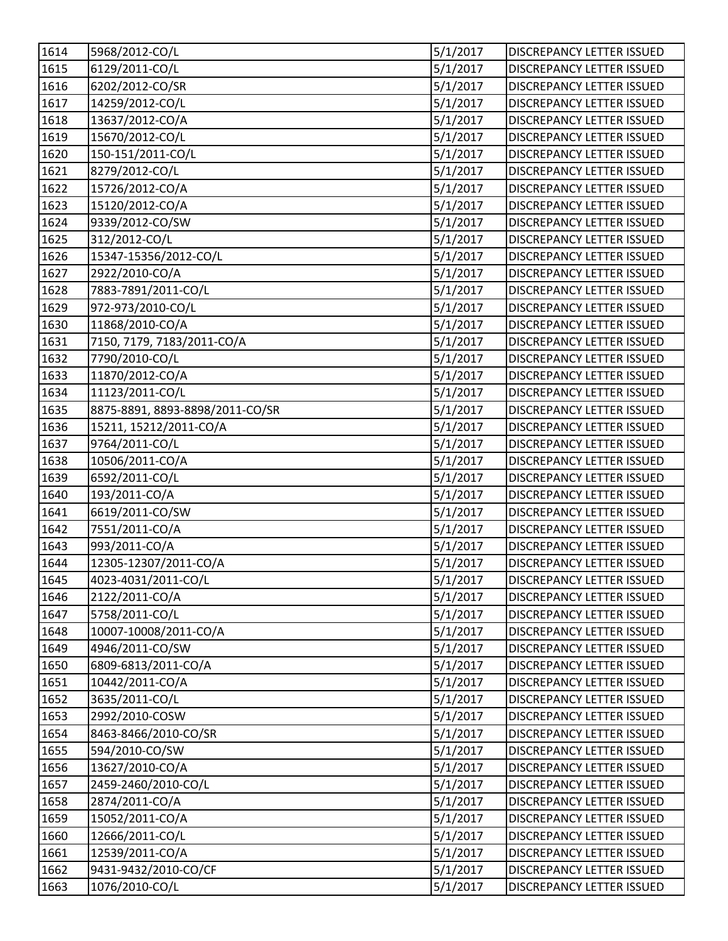| 1614              | 5968/2012-CO/L                  | 5/1/2017 | <b>DISCREPANCY LETTER ISSUED</b> |
|-------------------|---------------------------------|----------|----------------------------------|
| 1615              | 6129/2011-CO/L                  | 5/1/2017 | <b>DISCREPANCY LETTER ISSUED</b> |
| 1616              | 6202/2012-CO/SR                 | 5/1/2017 | DISCREPANCY LETTER ISSUED        |
| 1617              | 14259/2012-CO/L                 | 5/1/2017 | DISCREPANCY LETTER ISSUED        |
| 1618              | 13637/2012-CO/A                 | 5/1/2017 | DISCREPANCY LETTER ISSUED        |
| $\overline{1619}$ | 15670/2012-CO/L                 | 5/1/2017 | DISCREPANCY LETTER ISSUED        |
| 1620              | 150-151/2011-CO/L               | 5/1/2017 | DISCREPANCY LETTER ISSUED        |
| 1621              | 8279/2012-CO/L                  | 5/1/2017 | DISCREPANCY LETTER ISSUED        |
| 1622              | 15726/2012-CO/A                 | 5/1/2017 | DISCREPANCY LETTER ISSUED        |
| 1623              | 15120/2012-CO/A                 | 5/1/2017 | <b>DISCREPANCY LETTER ISSUED</b> |
| 1624              | 9339/2012-CO/SW                 | 5/1/2017 | <b>DISCREPANCY LETTER ISSUED</b> |
| 1625              | 312/2012-CO/L                   | 5/1/2017 | DISCREPANCY LETTER ISSUED        |
| 1626              | 15347-15356/2012-CO/L           | 5/1/2017 | DISCREPANCY LETTER ISSUED        |
| 1627              | 2922/2010-CO/A                  | 5/1/2017 | <b>DISCREPANCY LETTER ISSUED</b> |
| 1628              | 7883-7891/2011-CO/L             | 5/1/2017 | <b>DISCREPANCY LETTER ISSUED</b> |
| 1629              | 972-973/2010-CO/L               | 5/1/2017 | DISCREPANCY LETTER ISSUED        |
| 1630              | 11868/2010-CO/A                 | 5/1/2017 | DISCREPANCY LETTER ISSUED        |
| 1631              | 7150, 7179, 7183/2011-CO/A      | 5/1/2017 | DISCREPANCY LETTER ISSUED        |
| 1632              | 7790/2010-CO/L                  | 5/1/2017 | DISCREPANCY LETTER ISSUED        |
| 1633              | 11870/2012-CO/A                 | 5/1/2017 | <b>DISCREPANCY LETTER ISSUED</b> |
| 1634              | 11123/2011-CO/L                 | 5/1/2017 | <b>DISCREPANCY LETTER ISSUED</b> |
| 1635              | 8875-8891, 8893-8898/2011-CO/SR | 5/1/2017 | DISCREPANCY LETTER ISSUED        |
| 1636              | 15211, 15212/2011-CO/A          | 5/1/2017 | DISCREPANCY LETTER ISSUED        |
| 1637              | 9764/2011-CO/L                  | 5/1/2017 | DISCREPANCY LETTER ISSUED        |
| 1638              | 10506/2011-CO/A                 | 5/1/2017 | DISCREPANCY LETTER ISSUED        |
| 1639              | 6592/2011-CO/L                  | 5/1/2017 | DISCREPANCY LETTER ISSUED        |
| 1640              | 193/2011-CO/A                   | 5/1/2017 | <b>DISCREPANCY LETTER ISSUED</b> |
| 1641              | 6619/2011-CO/SW                 | 5/1/2017 | DISCREPANCY LETTER ISSUED        |
| 1642              | 7551/2011-CO/A                  | 5/1/2017 | <b>DISCREPANCY LETTER ISSUED</b> |
| 1643              | 993/2011-CO/A                   | 5/1/2017 | <b>DISCREPANCY LETTER ISSUED</b> |
| 1644              | 12305-12307/2011-CO/A           | 5/1/2017 | DISCREPANCY LETTER ISSUED        |
| 1645              | 4023-4031/2011-CO/L             | 5/1/2017 | DISCREPANCY LETTER ISSUED        |
| 1646              | 2122/2011-CO/A                  | 5/1/2017 | <b>DISCREPANCY LETTER ISSUED</b> |
| 1647              | 5758/2011-CO/L                  | 5/1/2017 | DISCREPANCY LETTER ISSUED        |
| 1648              | 10007-10008/2011-CO/A           | 5/1/2017 | <b>DISCREPANCY LETTER ISSUED</b> |
| 1649              | 4946/2011-CO/SW                 | 5/1/2017 | DISCREPANCY LETTER ISSUED        |
| 1650              | 6809-6813/2011-CO/A             | 5/1/2017 | DISCREPANCY LETTER ISSUED        |
| 1651              | 10442/2011-CO/A                 | 5/1/2017 | DISCREPANCY LETTER ISSUED        |
| 1652              | 3635/2011-CO/L                  | 5/1/2017 | <b>DISCREPANCY LETTER ISSUED</b> |
| 1653              | 2992/2010-COSW                  | 5/1/2017 | <b>DISCREPANCY LETTER ISSUED</b> |
| 1654              | 8463-8466/2010-CO/SR            | 5/1/2017 | DISCREPANCY LETTER ISSUED        |
| 1655              | 594/2010-CO/SW                  | 5/1/2017 | DISCREPANCY LETTER ISSUED        |
| 1656              | 13627/2010-CO/A                 | 5/1/2017 | <b>DISCREPANCY LETTER ISSUED</b> |
| 1657              | 2459-2460/2010-CO/L             | 5/1/2017 | <b>DISCREPANCY LETTER ISSUED</b> |
| 1658              | 2874/2011-CO/A                  | 5/1/2017 | <b>DISCREPANCY LETTER ISSUED</b> |
| 1659              | 15052/2011-CO/A                 | 5/1/2017 | DISCREPANCY LETTER ISSUED        |
| 1660              | 12666/2011-CO/L                 | 5/1/2017 | DISCREPANCY LETTER ISSUED        |
| 1661              | 12539/2011-CO/A                 | 5/1/2017 | <b>DISCREPANCY LETTER ISSUED</b> |
| 1662              | 9431-9432/2010-CO/CF            | 5/1/2017 | <b>DISCREPANCY LETTER ISSUED</b> |
| 1663              | 1076/2010-CO/L                  | 5/1/2017 | DISCREPANCY LETTER ISSUED        |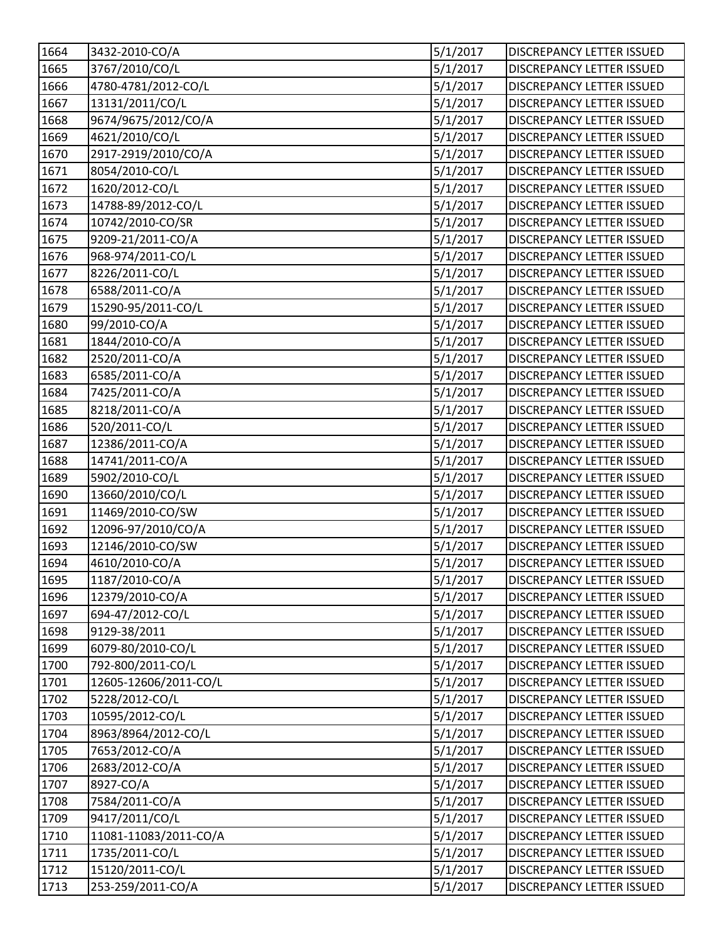| 1664 | 3432-2010-CO/A        | 5/1/2017             | <b>DISCREPANCY LETTER ISSUED</b> |
|------|-----------------------|----------------------|----------------------------------|
| 1665 | 3767/2010/CO/L        | 5/1/2017             | <b>DISCREPANCY LETTER ISSUED</b> |
| 1666 | 4780-4781/2012-CO/L   | 5/1/2017             | <b>DISCREPANCY LETTER ISSUED</b> |
| 1667 | 13131/2011/CO/L       | 5/1/2017             | DISCREPANCY LETTER ISSUED        |
| 1668 | 9674/9675/2012/CO/A   | 5/1/2017             | DISCREPANCY LETTER ISSUED        |
| 1669 | 4621/2010/CO/L        | 5/1/2017             | DISCREPANCY LETTER ISSUED        |
| 1670 | 2917-2919/2010/CO/A   | 5/1/2017             | DISCREPANCY LETTER ISSUED        |
| 1671 | 8054/2010-CO/L        | 5/1/2017             | DISCREPANCY LETTER ISSUED        |
| 1672 | 1620/2012-CO/L        | 5/1/2017             | DISCREPANCY LETTER ISSUED        |
| 1673 | 14788-89/2012-CO/L    | 5/1/2017             | <b>DISCREPANCY LETTER ISSUED</b> |
| 1674 | 10742/2010-CO/SR      | 5/1/2017             | <b>DISCREPANCY LETTER ISSUED</b> |
| 1675 | 9209-21/2011-CO/A     | 5/1/2017             | DISCREPANCY LETTER ISSUED        |
| 1676 | 968-974/2011-CO/L     | 5/1/2017             | DISCREPANCY LETTER ISSUED        |
| 1677 | 8226/2011-CO/L        | 5/1/2017             | <b>DISCREPANCY LETTER ISSUED</b> |
| 1678 | 6588/2011-CO/A        | 5/1/2017             | DISCREPANCY LETTER ISSUED        |
| 1679 | 15290-95/2011-CO/L    | 5/1/2017             | <b>DISCREPANCY LETTER ISSUED</b> |
| 1680 | 99/2010-CO/A          | 5/1/2017             | DISCREPANCY LETTER ISSUED        |
| 1681 | 1844/2010-CO/A        | 5/1/2017             | DISCREPANCY LETTER ISSUED        |
| 1682 | 2520/2011-CO/A        | 5/1/2017             | DISCREPANCY LETTER ISSUED        |
| 1683 | 6585/2011-CO/A        | 5/1/2017             | <b>DISCREPANCY LETTER ISSUED</b> |
| 1684 | 7425/2011-CO/A        | 5/1/2017             | <b>DISCREPANCY LETTER ISSUED</b> |
| 1685 | 8218/2011-CO/A        | 5/1/2017             | DISCREPANCY LETTER ISSUED        |
| 1686 | 520/2011-CO/L         | 5/1/2017             | DISCREPANCY LETTER ISSUED        |
| 1687 | 12386/2011-CO/A       | 5/1/2017             | DISCREPANCY LETTER ISSUED        |
| 1688 | 14741/2011-CO/A       | 5/1/2017             | <b>DISCREPANCY LETTER ISSUED</b> |
| 1689 | 5902/2010-CO/L        | 5/1/2017             | <b>DISCREPANCY LETTER ISSUED</b> |
| 1690 | 13660/2010/CO/L       | 5/1/2017             | <b>DISCREPANCY LETTER ISSUED</b> |
| 1691 | 11469/2010-CO/SW      | 5/1/2017             | DISCREPANCY LETTER ISSUED        |
| 1692 | 12096-97/2010/CO/A    | 5/1/2017             | DISCREPANCY LETTER ISSUED        |
| 1693 | 12146/2010-CO/SW      | 5/1/2017             | <b>DISCREPANCY LETTER ISSUED</b> |
| 1694 | 4610/2010-CO/A        | 5/1/2017             | <b>DISCREPANCY LETTER ISSUED</b> |
| 1695 | 1187/2010-CO/A        | $\frac{1}{5/1/2017}$ | DISCREPANCY LETTER ISSUED        |
| 1696 | 12379/2010-CO/A       | 5/1/2017             | <b>DISCREPANCY LETTER ISSUED</b> |
| 1697 | 694-47/2012-CO/L      | 5/1/2017             | DISCREPANCY LETTER ISSUED        |
| 1698 | 9129-38/2011          | 5/1/2017             | <b>DISCREPANCY LETTER ISSUED</b> |
| 1699 | 6079-80/2010-CO/L     | 5/1/2017             | DISCREPANCY LETTER ISSUED        |
| 1700 | 792-800/2011-CO/L     | 5/1/2017             | <b>DISCREPANCY LETTER ISSUED</b> |
| 1701 | 12605-12606/2011-CO/L | 5/1/2017             | DISCREPANCY LETTER ISSUED        |
| 1702 | 5228/2012-CO/L        | 5/1/2017             | <b>DISCREPANCY LETTER ISSUED</b> |
| 1703 | 10595/2012-CO/L       | 5/1/2017             | <b>DISCREPANCY LETTER ISSUED</b> |
| 1704 | 8963/8964/2012-CO/L   | 5/1/2017             | DISCREPANCY LETTER ISSUED        |
| 1705 | 7653/2012-CO/A        | 5/1/2017             | DISCREPANCY LETTER ISSUED        |
| 1706 | 2683/2012-CO/A        | 5/1/2017             | <b>DISCREPANCY LETTER ISSUED</b> |
| 1707 | 8927-CO/A             | 5/1/2017             | <b>DISCREPANCY LETTER ISSUED</b> |
| 1708 | 7584/2011-CO/A        | 5/1/2017             | <b>DISCREPANCY LETTER ISSUED</b> |
| 1709 | 9417/2011/CO/L        | 5/1/2017             | DISCREPANCY LETTER ISSUED        |
| 1710 | 11081-11083/2011-CO/A | 5/1/2017             | DISCREPANCY LETTER ISSUED        |
| 1711 | 1735/2011-CO/L        | 5/1/2017             | <b>DISCREPANCY LETTER ISSUED</b> |
| 1712 | 15120/2011-CO/L       | 5/1/2017             | <b>DISCREPANCY LETTER ISSUED</b> |
| 1713 | 253-259/2011-CO/A     | 5/1/2017             | DISCREPANCY LETTER ISSUED        |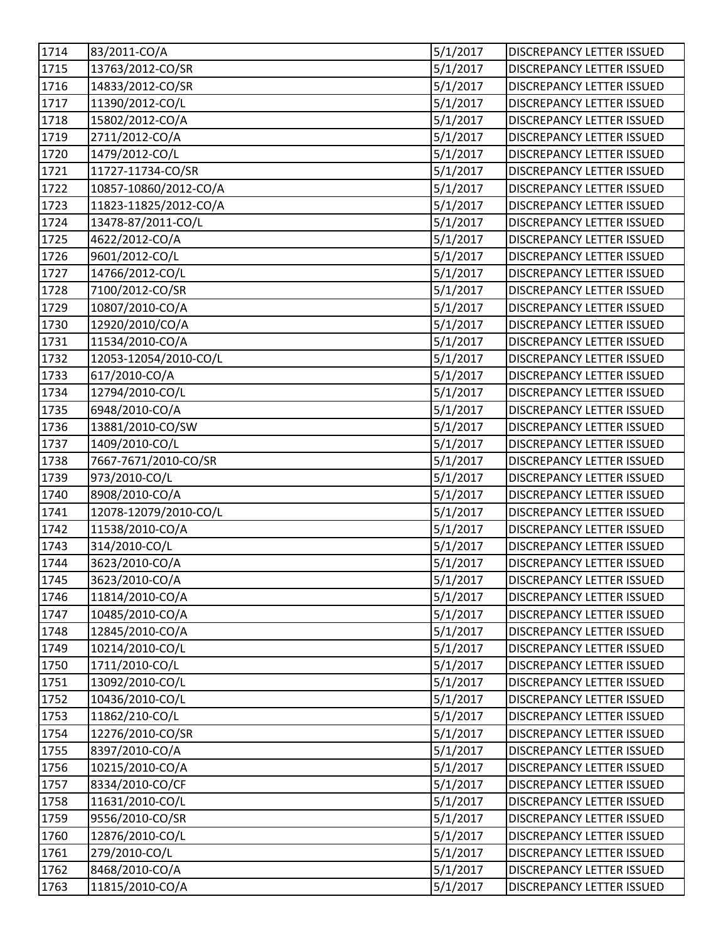| 1714   | 83/2011-CO/A          | 5/1/2017             | DISCREPANCY LETTER ISSUED        |
|--------|-----------------------|----------------------|----------------------------------|
| 1715   | 13763/2012-CO/SR      | 5/1/2017             | <b>DISCREPANCY LETTER ISSUED</b> |
| 1716   | 14833/2012-CO/SR      | 5/1/2017             | <b>DISCREPANCY LETTER ISSUED</b> |
| 1717   | 11390/2012-CO/L       | 5/1/2017             | DISCREPANCY LETTER ISSUED        |
| 1718   | 15802/2012-CO/A       | 5/1/2017             | DISCREPANCY LETTER ISSUED        |
| 1719   | 2711/2012-CO/A        | 5/1/2017             | DISCREPANCY LETTER ISSUED        |
| 1720   | 1479/2012-CO/L        | 5/1/2017             | DISCREPANCY LETTER ISSUED        |
| 1721   | 11727-11734-CO/SR     | 5/1/2017             | DISCREPANCY LETTER ISSUED        |
| 1722   | 10857-10860/2012-CO/A | 5/1/2017             | DISCREPANCY LETTER ISSUED        |
| 1723   | 11823-11825/2012-CO/A | 5/1/2017             | <b>DISCREPANCY LETTER ISSUED</b> |
| 1724   | 13478-87/2011-CO/L    | 5/1/2017             | <b>DISCREPANCY LETTER ISSUED</b> |
| 1725   | 4622/2012-CO/A        | 5/1/2017             | DISCREPANCY LETTER ISSUED        |
| 1726   | 9601/2012-CO/L        | 5/1/2017             | DISCREPANCY LETTER ISSUED        |
| 1727   | 14766/2012-CO/L       | 5/1/2017             | <b>DISCREPANCY LETTER ISSUED</b> |
| 1728   | 7100/2012-CO/SR       | 5/1/2017             | <b>DISCREPANCY LETTER ISSUED</b> |
| 1729   | 10807/2010-CO/A       | 5/1/2017             | <b>DISCREPANCY LETTER ISSUED</b> |
| 1730   | 12920/2010/CO/A       | 5/1/2017             | DISCREPANCY LETTER ISSUED        |
| 1731   | 11534/2010-CO/A       | 5/1/2017             | DISCREPANCY LETTER ISSUED        |
| 1732   | 12053-12054/2010-CO/L | 5/1/2017             | DISCREPANCY LETTER ISSUED        |
| 1733   | 617/2010-CO/A         | 5/1/2017             | <b>DISCREPANCY LETTER ISSUED</b> |
| 1734   | 12794/2010-CO/L       | 5/1/2017             | <b>DISCREPANCY LETTER ISSUED</b> |
| 1735   | 6948/2010-CO/A        | 5/1/2017             | DISCREPANCY LETTER ISSUED        |
| 1736   | 13881/2010-CO/SW      | 5/1/2017             | DISCREPANCY LETTER ISSUED        |
| $1737$ | 1409/2010-CO/L        | 5/1/2017             | DISCREPANCY LETTER ISSUED        |
| 1738   | 7667-7671/2010-CO/SR  | 5/1/2017             | <b>DISCREPANCY LETTER ISSUED</b> |
| 1739   | 973/2010-CO/L         | 5/1/2017             | DISCREPANCY LETTER ISSUED        |
| 1740   | 8908/2010-CO/A        | 5/1/2017             | <b>DISCREPANCY LETTER ISSUED</b> |
| 1741   | 12078-12079/2010-CO/L | 5/1/2017             | DISCREPANCY LETTER ISSUED        |
| 1742   | 11538/2010-CO/A       | 5/1/2017             | <b>DISCREPANCY LETTER ISSUED</b> |
| 1743   | 314/2010-CO/L         | 5/1/2017             | <b>DISCREPANCY LETTER ISSUED</b> |
| 1744   | 3623/2010-CO/A        | 5/1/2017             | DISCREPANCY LETTER ISSUED        |
| 1745   | 3623/2010-CO/A        | $\frac{1}{5/1/2017}$ | DISCREPANCY LETTER ISSUED        |
| 1746   | 11814/2010-CO/A       | 5/1/2017             | <b>DISCREPANCY LETTER ISSUED</b> |
| 1747   | 10485/2010-CO/A       | 5/1/2017             | DISCREPANCY LETTER ISSUED        |
| 1748   | 12845/2010-CO/A       | 5/1/2017             | <b>DISCREPANCY LETTER ISSUED</b> |
| 1749   | 10214/2010-CO/L       | 5/1/2017             | <b>DISCREPANCY LETTER ISSUED</b> |
| 1750   | 1711/2010-CO/L        | 5/1/2017             | DISCREPANCY LETTER ISSUED        |
| 1751   | 13092/2010-CO/L       | 5/1/2017             | DISCREPANCY LETTER ISSUED        |
| 1752   | 10436/2010-CO/L       | 5/1/2017             | <b>DISCREPANCY LETTER ISSUED</b> |
| 1753   | 11862/210-CO/L        | 5/1/2017             | <b>DISCREPANCY LETTER ISSUED</b> |
| 1754   | 12276/2010-CO/SR      | 5/1/2017             | DISCREPANCY LETTER ISSUED        |
| 1755   | 8397/2010-CO/A        | 5/1/2017             | DISCREPANCY LETTER ISSUED        |
| 1756   | 10215/2010-CO/A       | 5/1/2017             | <b>DISCREPANCY LETTER ISSUED</b> |
| 1757   | 8334/2010-CO/CF       | 5/1/2017             | <b>DISCREPANCY LETTER ISSUED</b> |
| 1758   | 11631/2010-CO/L       | 5/1/2017             | DISCREPANCY LETTER ISSUED        |
| 1759   | 9556/2010-CO/SR       | 5/1/2017             | DISCREPANCY LETTER ISSUED        |
| 1760   | 12876/2010-CO/L       | 5/1/2017             | DISCREPANCY LETTER ISSUED        |
| 1761   | 279/2010-CO/L         | 5/1/2017             | <b>DISCREPANCY LETTER ISSUED</b> |
| 1762   | 8468/2010-CO/A        | 5/1/2017             | DISCREPANCY LETTER ISSUED        |
| 1763   | 11815/2010-CO/A       | 5/1/2017             | DISCREPANCY LETTER ISSUED        |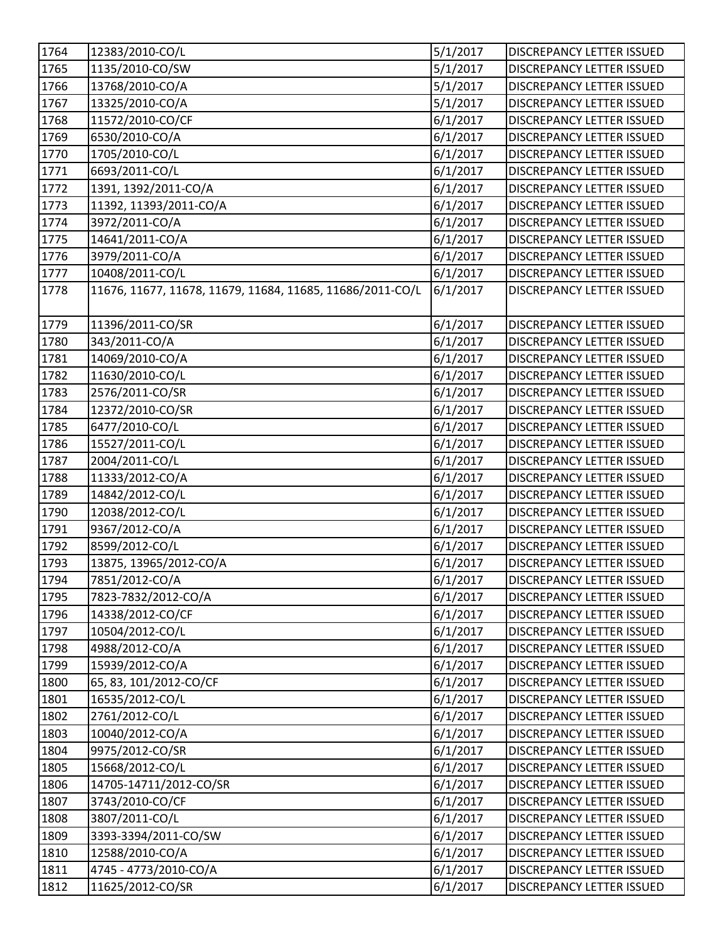| 1764 | 12383/2010-CO/L                                           | 5/1/2017 | DISCREPANCY LETTER ISSUED        |
|------|-----------------------------------------------------------|----------|----------------------------------|
| 1765 | 1135/2010-CO/SW                                           | 5/1/2017 | <b>DISCREPANCY LETTER ISSUED</b> |
| 1766 | 13768/2010-CO/A                                           | 5/1/2017 | DISCREPANCY LETTER ISSUED        |
| 1767 | 13325/2010-CO/A                                           | 5/1/2017 | DISCREPANCY LETTER ISSUED        |
| 1768 | 11572/2010-CO/CF                                          | 6/1/2017 | <b>DISCREPANCY LETTER ISSUED</b> |
| 1769 | 6530/2010-CO/A                                            | 6/1/2017 | <b>DISCREPANCY LETTER ISSUED</b> |
| 1770 | 1705/2010-CO/L                                            | 6/1/2017 | DISCREPANCY LETTER ISSUED        |
| 1771 | 6693/2011-CO/L                                            | 6/1/2017 | DISCREPANCY LETTER ISSUED        |
| 1772 | 1391, 1392/2011-CO/A                                      | 6/1/2017 | DISCREPANCY LETTER ISSUED        |
| 1773 | 11392, 11393/2011-CO/A                                    | 6/1/2017 | <b>DISCREPANCY LETTER ISSUED</b> |
| 1774 | 3972/2011-CO/A                                            | 6/1/2017 | <b>DISCREPANCY LETTER ISSUED</b> |
| 1775 | 14641/2011-CO/A                                           | 6/1/2017 | DISCREPANCY LETTER ISSUED        |
| 1776 | 3979/2011-CO/A                                            | 6/1/2017 | DISCREPANCY LETTER ISSUED        |
| 1777 | 10408/2011-CO/L                                           | 6/1/2017 | DISCREPANCY LETTER ISSUED        |
| 1778 | 11676, 11677, 11678, 11679, 11684, 11685, 11686/2011-CO/L | 6/1/2017 | <b>DISCREPANCY LETTER ISSUED</b> |
|      |                                                           |          |                                  |
| 1779 | 11396/2011-CO/SR                                          | 6/1/2017 | <b>DISCREPANCY LETTER ISSUED</b> |
| 1780 | 343/2011-CO/A                                             | 6/1/2017 | DISCREPANCY LETTER ISSUED        |
| 1781 | 14069/2010-CO/A                                           | 6/1/2017 | DISCREPANCY LETTER ISSUED        |
| 1782 | 11630/2010-CO/L                                           | 6/1/2017 | <b>DISCREPANCY LETTER ISSUED</b> |
| 1783 | 2576/2011-CO/SR                                           | 6/1/2017 | DISCREPANCY LETTER ISSUED        |
| 1784 | 12372/2010-CO/SR                                          | 6/1/2017 | DISCREPANCY LETTER ISSUED        |
| 1785 | 6477/2010-CO/L                                            | 6/1/2017 | DISCREPANCY LETTER ISSUED        |
| 1786 | 15527/2011-CO/L                                           | 6/1/2017 | DISCREPANCY LETTER ISSUED        |
| 1787 | 2004/2011-CO/L                                            | 6/1/2017 | DISCREPANCY LETTER ISSUED        |
| 1788 | 11333/2012-CO/A                                           | 6/1/2017 | DISCREPANCY LETTER ISSUED        |
| 1789 | 14842/2012-CO/L                                           | 6/1/2017 | <b>DISCREPANCY LETTER ISSUED</b> |
| 1790 | 12038/2012-CO/L                                           | 6/1/2017 | <b>DISCREPANCY LETTER ISSUED</b> |
| 1791 | 9367/2012-CO/A                                            | 6/1/2017 | DISCREPANCY LETTER ISSUED        |
| 1792 | 8599/2012-CO/L                                            | 6/1/2017 | DISCREPANCY LETTER ISSUED        |
| 1793 | 13875, 13965/2012-CO/A                                    | 6/1/2017 | <b>DISCREPANCY LETTER ISSUED</b> |
| 1794 | 7851/2012-CO/A                                            | 6/1/2017 | DISCREPANCY LETTER ISSUED        |
| 1795 | 7823-7832/2012-CO/A                                       | 6/1/2017 | <b>DISCREPANCY LETTER ISSUED</b> |
| 1796 | 14338/2012-CO/CF                                          | 6/1/2017 | DISCREPANCY LETTER ISSUED        |
| 1797 | 10504/2012-CO/L                                           | 6/1/2017 | <b>DISCREPANCY LETTER ISSUED</b> |
| 1798 | 4988/2012-CO/A                                            | 6/1/2017 | <b>DISCREPANCY LETTER ISSUED</b> |
| 1799 | 15939/2012-CO/A                                           | 6/1/2017 | <b>DISCREPANCY LETTER ISSUED</b> |
| 1800 | 65, 83, 101/2012-CO/CF                                    | 6/1/2017 | <b>DISCREPANCY LETTER ISSUED</b> |
| 1801 | 16535/2012-CO/L                                           | 6/1/2017 | <b>DISCREPANCY LETTER ISSUED</b> |
| 1802 | 2761/2012-CO/L                                            | 6/1/2017 | <b>DISCREPANCY LETTER ISSUED</b> |
| 1803 | 10040/2012-CO/A                                           | 6/1/2017 | DISCREPANCY LETTER ISSUED        |
| 1804 | 9975/2012-CO/SR                                           | 6/1/2017 | DISCREPANCY LETTER ISSUED        |
| 1805 | 15668/2012-CO/L                                           | 6/1/2017 | <b>DISCREPANCY LETTER ISSUED</b> |
| 1806 | 14705-14711/2012-CO/SR                                    | 6/1/2017 | <b>DISCREPANCY LETTER ISSUED</b> |
| 1807 | 3743/2010-CO/CF                                           | 6/1/2017 | <b>DISCREPANCY LETTER ISSUED</b> |
| 1808 | 3807/2011-CO/L                                            | 6/1/2017 | DISCREPANCY LETTER ISSUED        |
| 1809 | 3393-3394/2011-CO/SW                                      | 6/1/2017 | <b>DISCREPANCY LETTER ISSUED</b> |
| 1810 | 12588/2010-CO/A                                           | 6/1/2017 | <b>DISCREPANCY LETTER ISSUED</b> |
| 1811 | 4745 - 4773/2010-CO/A                                     | 6/1/2017 | <b>DISCREPANCY LETTER ISSUED</b> |
| 1812 | 11625/2012-CO/SR                                          | 6/1/2017 | DISCREPANCY LETTER ISSUED        |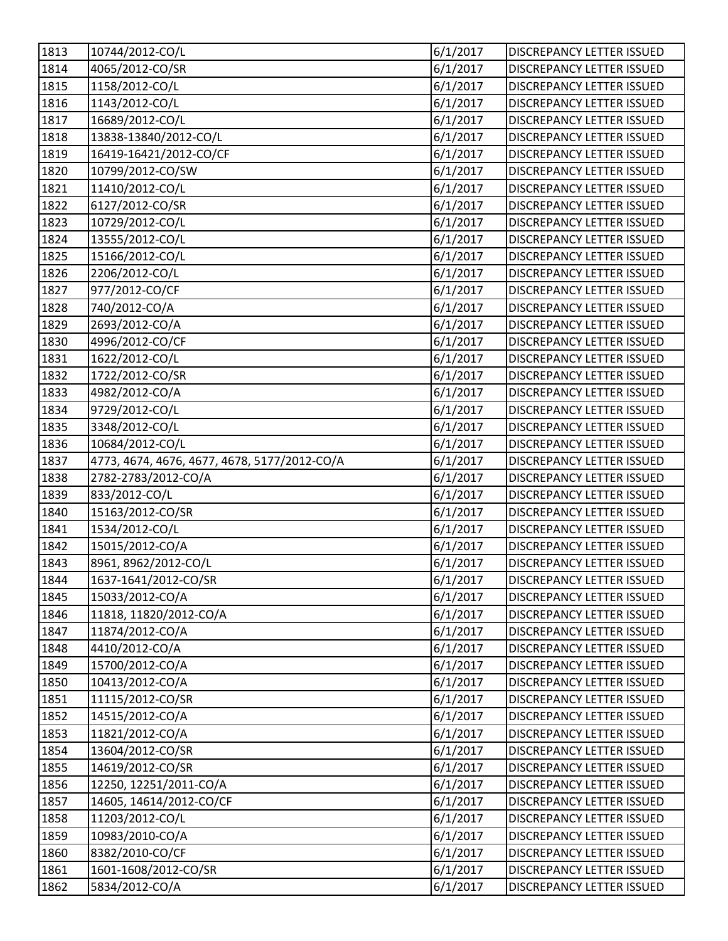| 1813 | 10744/2012-CO/L                              | 6/1/2017 | <b>DISCREPANCY LETTER ISSUED</b> |
|------|----------------------------------------------|----------|----------------------------------|
| 1814 | 4065/2012-CO/SR                              | 6/1/2017 | <b>DISCREPANCY LETTER ISSUED</b> |
| 1815 | 1158/2012-CO/L                               | 6/1/2017 | DISCREPANCY LETTER ISSUED        |
| 1816 | 1143/2012-CO/L                               | 6/1/2017 | DISCREPANCY LETTER ISSUED        |
| 1817 | 16689/2012-CO/L                              | 6/1/2017 | <b>DISCREPANCY LETTER ISSUED</b> |
| 1818 | 13838-13840/2012-CO/L                        | 6/1/2017 | <b>DISCREPANCY LETTER ISSUED</b> |
| 1819 | 16419-16421/2012-CO/CF                       | 6/1/2017 | <b>DISCREPANCY LETTER ISSUED</b> |
| 1820 | 10799/2012-CO/SW                             | 6/1/2017 | DISCREPANCY LETTER ISSUED        |
| 1821 | 11410/2012-CO/L                              | 6/1/2017 | <b>DISCREPANCY LETTER ISSUED</b> |
| 1822 | 6127/2012-CO/SR                              | 6/1/2017 | <b>DISCREPANCY LETTER ISSUED</b> |
| 1823 | 10729/2012-CO/L                              | 6/1/2017 | <b>DISCREPANCY LETTER ISSUED</b> |
| 1824 | 13555/2012-CO/L                              | 6/1/2017 | DISCREPANCY LETTER ISSUED        |
| 1825 | 15166/2012-CO/L                              | 6/1/2017 | <b>DISCREPANCY LETTER ISSUED</b> |
| 1826 | 2206/2012-CO/L                               | 6/1/2017 | DISCREPANCY LETTER ISSUED        |
| 1827 | 977/2012-CO/CF                               | 6/1/2017 | <b>DISCREPANCY LETTER ISSUED</b> |
| 1828 | 740/2012-CO/A                                | 6/1/2017 | <b>DISCREPANCY LETTER ISSUED</b> |
| 1829 | 2693/2012-CO/A                               | 6/1/2017 | DISCREPANCY LETTER ISSUED        |
| 1830 | 4996/2012-CO/CF                              | 6/1/2017 | DISCREPANCY LETTER ISSUED        |
| 1831 | 1622/2012-CO/L                               | 6/1/2017 | DISCREPANCY LETTER ISSUED        |
| 1832 | 1722/2012-CO/SR                              | 6/1/2017 | <b>DISCREPANCY LETTER ISSUED</b> |
| 1833 | 4982/2012-CO/A                               | 6/1/2017 | DISCREPANCY LETTER ISSUED        |
| 1834 | 9729/2012-CO/L                               | 6/1/2017 | <b>DISCREPANCY LETTER ISSUED</b> |
| 1835 | 3348/2012-CO/L                               | 6/1/2017 | DISCREPANCY LETTER ISSUED        |
| 1836 | 10684/2012-CO/L                              | 6/1/2017 | <b>DISCREPANCY LETTER ISSUED</b> |
| 1837 | 4773, 4674, 4676, 4677, 4678, 5177/2012-CO/A | 6/1/2017 | <b>DISCREPANCY LETTER ISSUED</b> |
| 1838 | 2782-2783/2012-CO/A                          | 6/1/2017 | <b>DISCREPANCY LETTER ISSUED</b> |
| 1839 | 833/2012-CO/L                                | 6/1/2017 | <b>DISCREPANCY LETTER ISSUED</b> |
| 1840 | 15163/2012-CO/SR                             | 6/1/2017 | DISCREPANCY LETTER ISSUED        |
| 1841 | 1534/2012-CO/L                               | 6/1/2017 | <b>DISCREPANCY LETTER ISSUED</b> |
| 1842 | 15015/2012-CO/A                              | 6/1/2017 | DISCREPANCY LETTER ISSUED        |
| 1843 | 8961, 8962/2012-CO/L                         | 6/1/2017 | <b>DISCREPANCY LETTER ISSUED</b> |
| 1844 | 1637-1641/2012-CO/SR                         | 6/1/2017 | DISCREPANCY LETTER ISSUED        |
| 1845 | 15033/2012-CO/A                              | 6/1/2017 | <b>DISCREPANCY LETTER ISSUED</b> |
| 1846 | 11818, 11820/2012-CO/A                       | 6/1/2017 | DISCREPANCY LETTER ISSUED        |
| 1847 | 11874/2012-CO/A                              | 6/1/2017 | <b>DISCREPANCY LETTER ISSUED</b> |
| 1848 | 4410/2012-CO/A                               | 6/1/2017 | <b>DISCREPANCY LETTER ISSUED</b> |
| 1849 | 15700/2012-CO/A                              | 6/1/2017 | <b>DISCREPANCY LETTER ISSUED</b> |
| 1850 | 10413/2012-CO/A                              | 6/1/2017 | <b>DISCREPANCY LETTER ISSUED</b> |
| 1851 | 11115/2012-CO/SR                             | 6/1/2017 | <b>DISCREPANCY LETTER ISSUED</b> |
| 1852 | 14515/2012-CO/A                              | 6/1/2017 | <b>DISCREPANCY LETTER ISSUED</b> |
| 1853 | 11821/2012-CO/A                              | 6/1/2017 | DISCREPANCY LETTER ISSUED        |
| 1854 | 13604/2012-CO/SR                             | 6/1/2017 | DISCREPANCY LETTER ISSUED        |
| 1855 | 14619/2012-CO/SR                             | 6/1/2017 | <b>DISCREPANCY LETTER ISSUED</b> |
| 1856 | 12250, 12251/2011-CO/A                       | 6/1/2017 | <b>DISCREPANCY LETTER ISSUED</b> |
| 1857 | 14605, 14614/2012-CO/CF                      | 6/1/2017 | <b>DISCREPANCY LETTER ISSUED</b> |
| 1858 | 11203/2012-CO/L                              | 6/1/2017 | DISCREPANCY LETTER ISSUED        |
| 1859 | 10983/2010-CO/A                              | 6/1/2017 | <b>DISCREPANCY LETTER ISSUED</b> |
| 1860 | 8382/2010-CO/CF                              | 6/1/2017 | <b>DISCREPANCY LETTER ISSUED</b> |
| 1861 | 1601-1608/2012-CO/SR                         | 6/1/2017 | <b>DISCREPANCY LETTER ISSUED</b> |
| 1862 | 5834/2012-CO/A                               | 6/1/2017 | DISCREPANCY LETTER ISSUED        |